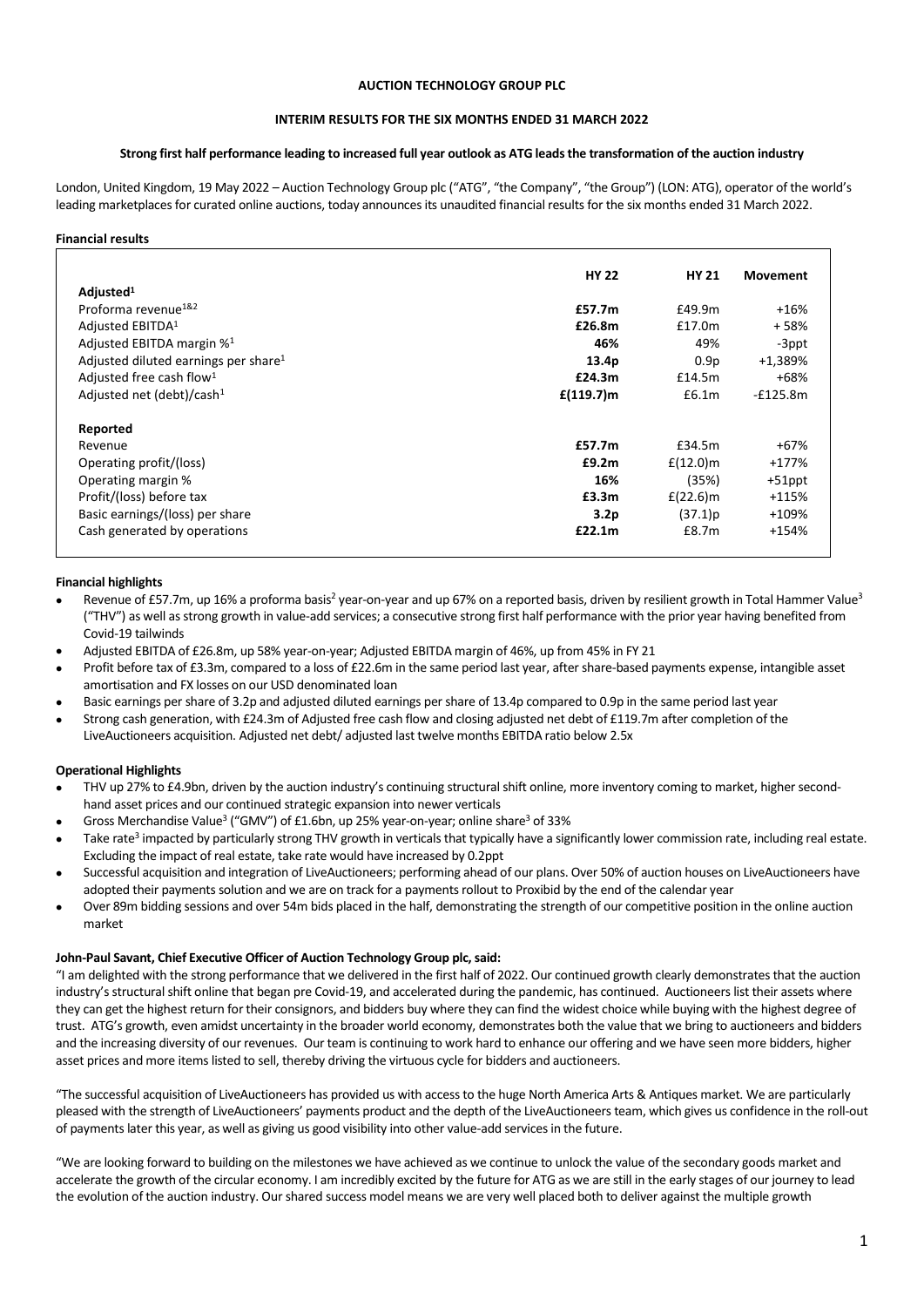# **AUCTION TECHNOLOGY GROUP PLC**

# **INTERIM RESULTS FOR THE SIX MONTHS ENDED 31 MARCH 2022**

# **Strong first half performance leading to increased full year outlook as ATG leads the transformation of the auction industry**

London, United Kingdom, 19 May 2022 – Auction Technology Group plc ("ATG", "the Company", "the Group") (LON: ATG), operator of the world's leading marketplaces for curated online auctions, today announces its unaudited financial results for the six months ended 31 March 2022.

#### **Financial results**

|                                                  | <b>HY 22</b>     | <b>HY 21</b> | <b>Movement</b> |
|--------------------------------------------------|------------------|--------------|-----------------|
| Adjusted <sup>1</sup>                            |                  |              |                 |
| Proforma revenue <sup>1&amp;2</sup>              | £57.7m           | £49.9m       | $+16%$          |
| Adjusted EBITDA <sup>1</sup>                     | £26.8m           | £17.0m       | +58%            |
| Adjusted EBITDA margin % <sup>1</sup>            | 46%              | 49%          | -3ppt           |
| Adjusted diluted earnings per share <sup>1</sup> | 13.4p            | 0.9p         | +1,389%         |
| Adjusted free cash flow <sup>1</sup>             | £24.3m           | £14.5m       | $+68%$          |
| Adjusted net (debt)/cash <sup>1</sup>            | $f(119.7)$ m     | £6.1m        | $-f125.8m$      |
| Reported                                         |                  |              |                 |
| Revenue                                          | £57.7m           | £34.5m       | +67%            |
| Operating profit/(loss)                          | £9.2m            | $f(12.0)$ m  | $+177%$         |
| Operating margin %                               | 16%              | (35%)        | +51ppt          |
| Profit/(loss) before tax                         | £3.3m            | $E(22.6)$ m  | $+115%$         |
| Basic earnings/(loss) per share                  | 3.2 <sub>p</sub> | (37.1)p      | +109%           |
| Cash generated by operations                     | £22.1m           | £8.7m        | $+154%$         |

#### **Financial highlights**

- Revenue of £57.7m, up 16% a proforma basis<sup>2</sup> year-on-year and up 67% on a reported basis, driven by resilient growth in Total Hammer Value<sup>3</sup> ("THV") as well as strong growth in value-add services; a consecutive strong first half performance with the prior year having benefited from Covid-19 tailwinds
- Adjusted EBITDA of £26.8m, up 58% year-on-year; Adjusted EBITDA margin of 46%, up from 45% in FY 21
- Profit before tax of £3.3m, compared to a loss of £22.6m in the same period last year, after share-based payments expense, intangible asset amortisation and FX losses on our USD denominated loan
- Basic earnings per share of 3.2p and adjusted diluted earnings per share of 13.4p compared to 0.9p in the same period last year
- Strong cash generation, with £24.3m of Adjusted free cash flow and closing adjusted net debt of £119.7m after completion of the LiveAuctioneers acquisition. Adjusted net debt/ adjusted last twelve months EBITDA ratio below 2.5x

#### **Operational Highlights**

- THV up 27% to £4.9bn, driven by the auction industry's continuing structural shift online, more inventory coming to market, higher secondhand asset prices and our continued strategic expansion into newer verticals
- Gross Merchandise Value<sup>3</sup> ("GMV") of £1.6bn, up 25% year-on-year; online share<sup>3</sup> of 33%
- Take rate<sup>3</sup> impacted by particularly strong THV growth in verticals that typically have a significantly lower commission rate, including real estate. Excluding the impact of real estate, take rate would have increased by 0.2ppt
- Successful acquisition and integration of LiveAuctioneers; performing ahead of our plans. Over 50% of auction houses on LiveAuctioneers have adopted their payments solution and we are on track for a payments rollout to Proxibid by the end of the calendar year
- Over 89m bidding sessions and over 54m bids placed in the half, demonstrating the strength of our competitive position in the online auction market

#### **John-Paul Savant, Chief Executive Officer of Auction Technology Group plc, said:**

"I am delighted with the strong performance that we delivered in the first half of 2022. Our continued growth clearly demonstrates that the auction industry's structural shift online that began pre Covid-19, and accelerated during the pandemic, has continued. Auctioneers list their assets where they can get the highest return for their consignors, and bidders buy where they can find the widest choice while buying with the highest degree of trust. ATG's growth, even amidst uncertainty in the broader world economy, demonstrates both the value that we bring to auctioneers and bidders and the increasing diversity of our revenues. Our team is continuing to work hard to enhance our offering and we have seen more bidders, higher asset prices and more items listed to sell, thereby driving the virtuous cycle for bidders and auctioneers.

"The successful acquisition of LiveAuctioneers has provided us with access to the huge North America Arts & Antiques market. We are particularly pleased with the strength of LiveAuctioneers' payments product and the depth of the LiveAuctioneers team, which gives us confidence in the roll-out of payments later this year, as well as giving us good visibility into other value-add services in the future.

"We are looking forward to building on the milestones we have achieved as we continue to unlock the value of the secondary goods market and accelerate the growth of the circular economy. I am incredibly excited by the future for ATG as we are still in the early stages of our journey to lead the evolution of the auction industry. Our shared success model means we are very well placed both to deliver against the multiple growth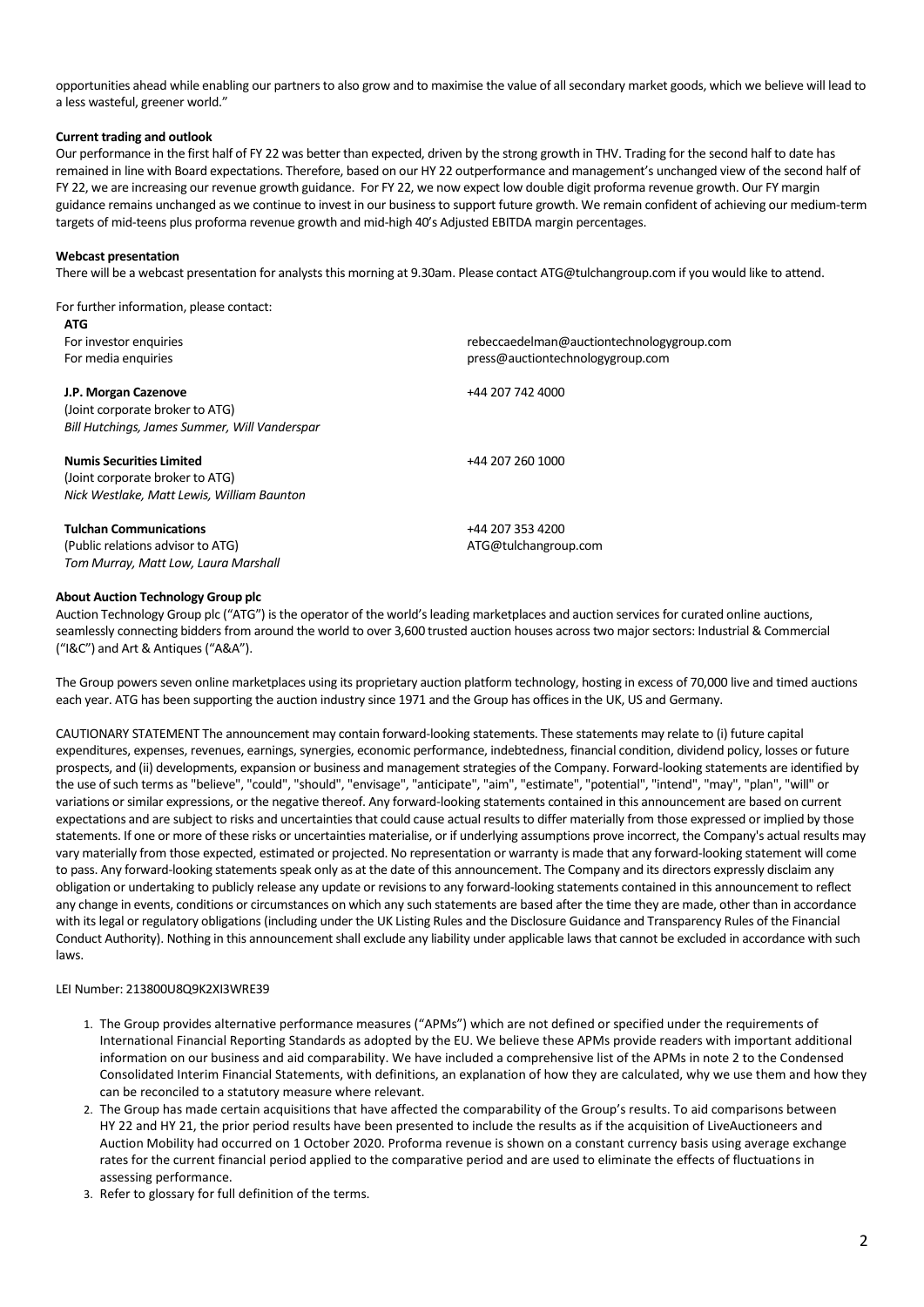opportunities ahead while enabling our partners to also grow and to maximise the value of all secondary market goods, which we believe will lead to a less wasteful, greener world."

# **Current trading and outlook**

Our performance in the first half of FY 22 was better than expected, driven by the strong growth in THV. Trading for the second half to date has remained in line with Board expectations. Therefore, based on our HY 22 outperformance and management's unchanged view of the second half of FY 22, we are increasing our revenue growth guidance. For FY 22, we now expect low double digit proforma revenue growth. Our FY margin guidance remains unchanged as we continue to invest in our business to support future growth. We remain confident of achieving our medium-term targets of mid-teens plus proforma revenue growth and mid-high 40's Adjusted EBITDA margin percentages.

# **Webcast presentation**

There will be a webcast presentation for analysts this morning at 9.30am. Please contact [ATG@tulchangroup.com](mailto:ATG@tulchangroup.com) if you would like to attend.

#### For further information, please contact:

| <b>ATG</b>                                    |                                           |
|-----------------------------------------------|-------------------------------------------|
| For investor enquiries                        | rebeccaedelman@auctiontechnologygroup.com |
| For media enquiries                           | press@auctiontechnologygroup.com          |
| J.P. Morgan Cazenove                          | +44 207 742 4000                          |
| (Joint corporate broker to ATG)               |                                           |
| Bill Hutchings, James Summer, Will Vanderspar |                                           |
| <b>Numis Securities Limited</b>               | +44 207 260 1000                          |
| (Joint corporate broker to ATG)               |                                           |
| Nick Westlake, Matt Lewis, William Baunton    |                                           |
| <b>Tulchan Communications</b>                 | +44 207 353 4200                          |
| (Public relations advisor to ATG)             | ATG@tulchangroup.com                      |
| Tom Murray, Matt Low, Laura Marshall          |                                           |

#### **About Auction Technology Group plc**

Auction Technology Group plc ("ATG") is the operator of the world's leading marketplaces and auction services for curated online auctions, seamlessly connecting bidders from around the world to over 3,600 trusted auction houses across two major sectors: Industrial & Commercial ("I&C") and Art & Antiques ("A&A").

The Group powers seven online marketplaces using its proprietary auction platform technology, hosting in excess of 70,000 live and timed auctions each year. ATG has been supporting the auction industry since 1971 and the Group has offices in the UK, US and Germany.

CAUTIONARY STATEMENT The announcement may contain forward-looking statements. These statements may relate to (i) future capital expenditures, expenses, revenues, earnings, synergies, economic performance, indebtedness, financial condition, dividend policy, losses or future prospects, and (ii) developments, expansion or business and management strategies of the Company. Forward-looking statements are identified by the use of such terms as "believe", "could", "should", "envisage", "anticipate", "aim", "estimate", "potential", "intend", "may", "plan", "will" or variations or similar expressions, or the negative thereof. Any forward-looking statements contained in this announcement are based on current expectations and are subject to risks and uncertainties that could cause actual results to differ materially from those expressed or implied by those statements. If one or more of these risks or uncertainties materialise, or if underlying assumptions prove incorrect, the Company's actual results may vary materially from those expected, estimated or projected. No representation or warranty is made that any forward-looking statement will come to pass. Any forward-looking statements speak only as at the date of this announcement. The Company and its directors expressly disclaim any obligation or undertaking to publicly release any update or revisions to any forward-looking statements contained in this announcement to reflect any change in events, conditions or circumstances on which any such statements are based after the time they are made, other than in accordance with its legal or regulatory obligations (including under the UK Listing Rules and the Disclosure Guidance and Transparency Rules of the Financial Conduct Authority). Nothing in this announcement shall exclude any liability under applicable laws that cannot be excluded in accordance with such laws.

#### LEI Number: 213800U8Q9K2XI3WRE39

- 1. The Group provides alternative performance measures ("APMs") which are not defined or specified under the requirements of International Financial Reporting Standards as adopted by the EU. We believe these APMs provide readers with important additional information on our business and aid comparability. We have included a comprehensive list of the APMs in note 2 to the Condensed Consolidated Interim Financial Statements, with definitions, an explanation of how they are calculated, why we use them and how they can be reconciled to a statutory measure where relevant.
- 2. The Group has made certain acquisitions that have affected the comparability of the Group's results. To aid comparisons between HY 22 and HY 21, the prior period results have been presented to include the results as if the acquisition of LiveAuctioneers and Auction Mobility had occurred on 1 October 2020. Proforma revenue is shown on a constant currency basis using average exchange rates for the current financial period applied to the comparative period and are used to eliminate the effects of fluctuations in assessing performance.
- 3. Refer to glossary for full definition of the terms.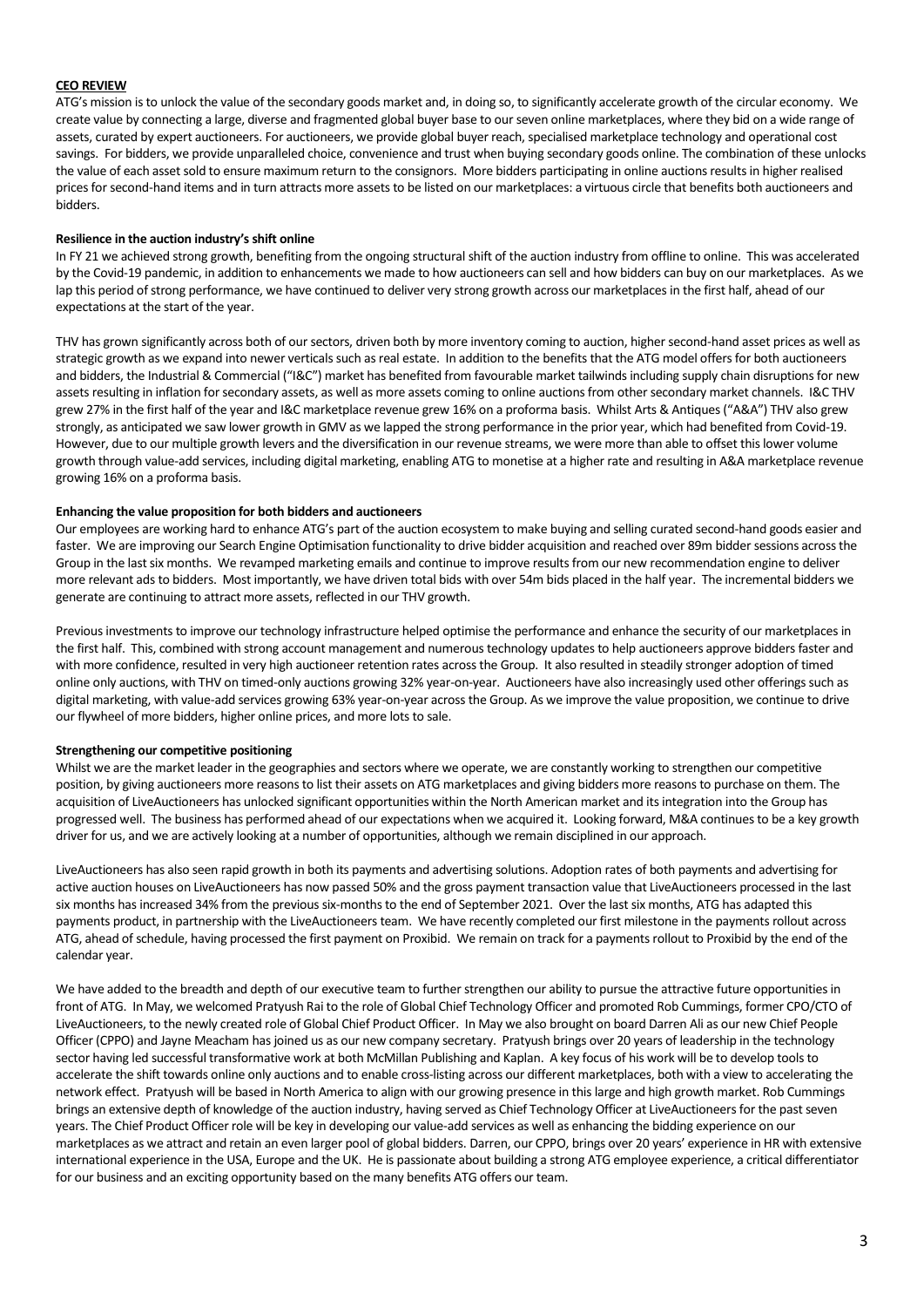# **CEO REVIEW**

ATG's mission is to unlock the value of the secondary goods market and, in doing so, to significantly accelerate growth of the circular economy. We create value by connecting a large, diverse and fragmented global buyer base to our seven online marketplaces, where they bid on a wide range of assets, curated by expert auctioneers. For auctioneers, we provide global buyer reach, specialised marketplace technology and operational cost savings. For bidders, we provide unparalleled choice, convenience and trust when buying secondary goods online. The combination of these unlocks the value of each asset sold to ensure maximum return to the consignors. More bidders participating in online auctions results in higher realised prices for second-hand items and in turn attracts more assets to be listed on our marketplaces: a virtuous circle that benefits both auctioneers and bidders.

# **Resilience in the auction industry's shift online**

In FY 21 we achieved strong growth, benefiting from the ongoing structural shift of the auction industry from offline to online. This was accelerated by the Covid-19 pandemic, in addition to enhancements we made to how auctioneers can sell and how bidders can buy on our marketplaces. As we lap this period of strong performance, we have continued to deliver very strong growth across our marketplaces in the first half, ahead of our expectations at the start of the year.

THV has grown significantly across both of our sectors, driven both by more inventory coming to auction, higher second-hand asset prices as well as strategic growth as we expand into newer verticals such as real estate. In addition to the benefits that the ATG model offers for both auctioneers and bidders, the Industrial & Commercial ("I&C") market has benefited from favourable market tailwinds including supply chain disruptions for new assets resulting in inflation for secondary assets, as well as more assets coming to online auctions from other secondary market channels. I&C THV grew 27% in the first half of the year and I&C marketplace revenue grew 16% on a proforma basis. Whilst Arts & Antiques ("A&A") THV also grew strongly, as anticipated we saw lower growth in GMV as we lapped the strong performance in the prior year, which had benefited from Covid-19. However, due to our multiple growth levers and the diversification in our revenue streams, we were more than able to offset this lower volume growth through value-add services, including digital marketing, enabling ATG to monetise at a higher rate and resulting in A&A marketplace revenue growing 16% on a proforma basis.

#### **Enhancing the value proposition for both bidders and auctioneers**

Our employees are working hard to enhance ATG's part of the auction ecosystem to make buying and selling curated second-hand goods easier and faster. We are improving our Search Engine Optimisation functionality to drive bidder acquisition and reached over 89m bidder sessions across the Group in the last six months. We revamped marketing emails and continue to improve results from our new recommendation engine to deliver more relevant ads to bidders. Most importantly, we have driven total bids with over 54m bids placed in the half year. The incremental bidders we generate are continuing to attract more assets, reflected in our THV growth.

Previous investments to improve our technology infrastructure helped optimise the performance and enhance the security of our marketplaces in the first half. This, combined with strong account management and numerous technology updates to help auctioneers approve bidders faster and with more confidence, resulted in very high auctioneer retention rates across the Group. It also resulted in steadily stronger adoption of timed online only auctions, with THV on timed-only auctions growing 32% year-on-year. Auctioneers have also increasingly used other offerings such as digital marketing, with value-add services growing 63% year-on-year across the Group. As we improve the value proposition, we continue to drive our flywheel of more bidders, higher online prices, and more lots to sale.

# **Strengthening our competitive positioning**

Whilst we are the market leader in the geographies and sectors where we operate, we are constantly working to strengthen our competitive position, by giving auctioneers more reasons to list their assets on ATG marketplaces and giving bidders more reasons to purchase on them. The acquisition of LiveAuctioneers has unlocked significant opportunities within the North American market and its integration into the Group has progressed well. The business has performed ahead of our expectations when we acquired it. Looking forward, M&A continues to be a key growth driver for us, and we are actively looking at a number of opportunities, although we remain disciplined in our approach.

LiveAuctioneers has also seen rapid growth in both its payments and advertising solutions. Adoption rates of both payments and advertising for active auction houses on LiveAuctioneers has now passed 50% and the gross payment transaction value that LiveAuctioneers processed in the last six months has increased 34% from the previous six-months to the end of September 2021. Over the last six months, ATG has adapted this payments product, in partnership with the LiveAuctioneers team. We have recently completed our first milestone in the payments rollout across ATG, ahead of schedule, having processed the first payment on Proxibid. We remain on track for a paymentsrollout to Proxibid by the end of the calendar year.

We have added to the breadth and depth of our executive team to further strengthen our ability to pursue the attractive future opportunities in front of ATG. In May, we welcomed Pratyush Rai to the role of Global Chief Technology Officer and promoted Rob Cummings, former CPO/CTO of LiveAuctioneers, to the newly created role of Global Chief Product Officer. In May we also brought on board Darren Ali as our new Chief People Officer (CPPO) and Jayne Meacham has joined us as our new company secretary. Pratyush brings over 20 years of leadership in the technology sector having led successful transformative work at both McMillan Publishing and Kaplan. A key focus of his work will be to develop toolsto accelerate the shift towards online only auctions and to enable cross-listing across our different marketplaces, both with a view to accelerating the network effect. Pratyush will be based in North America to align with our growing presence in this large and high growth market. Rob Cummings brings an extensive depth of knowledge of the auction industry, having served as Chief Technology Officer at LiveAuctioneers for the past seven years. The Chief Product Officer role will be key in developing our value-add services as well as enhancing the bidding experience on our marketplaces as we attract and retain an even larger pool of global bidders. Darren, our CPPO, brings over 20 years' experience in HR with extensive international experience in the USA, Europe and the UK. He is passionate about building a strong ATG employee experience, a critical differentiator for our business and an exciting opportunity based on the many benefits ATG offers our team.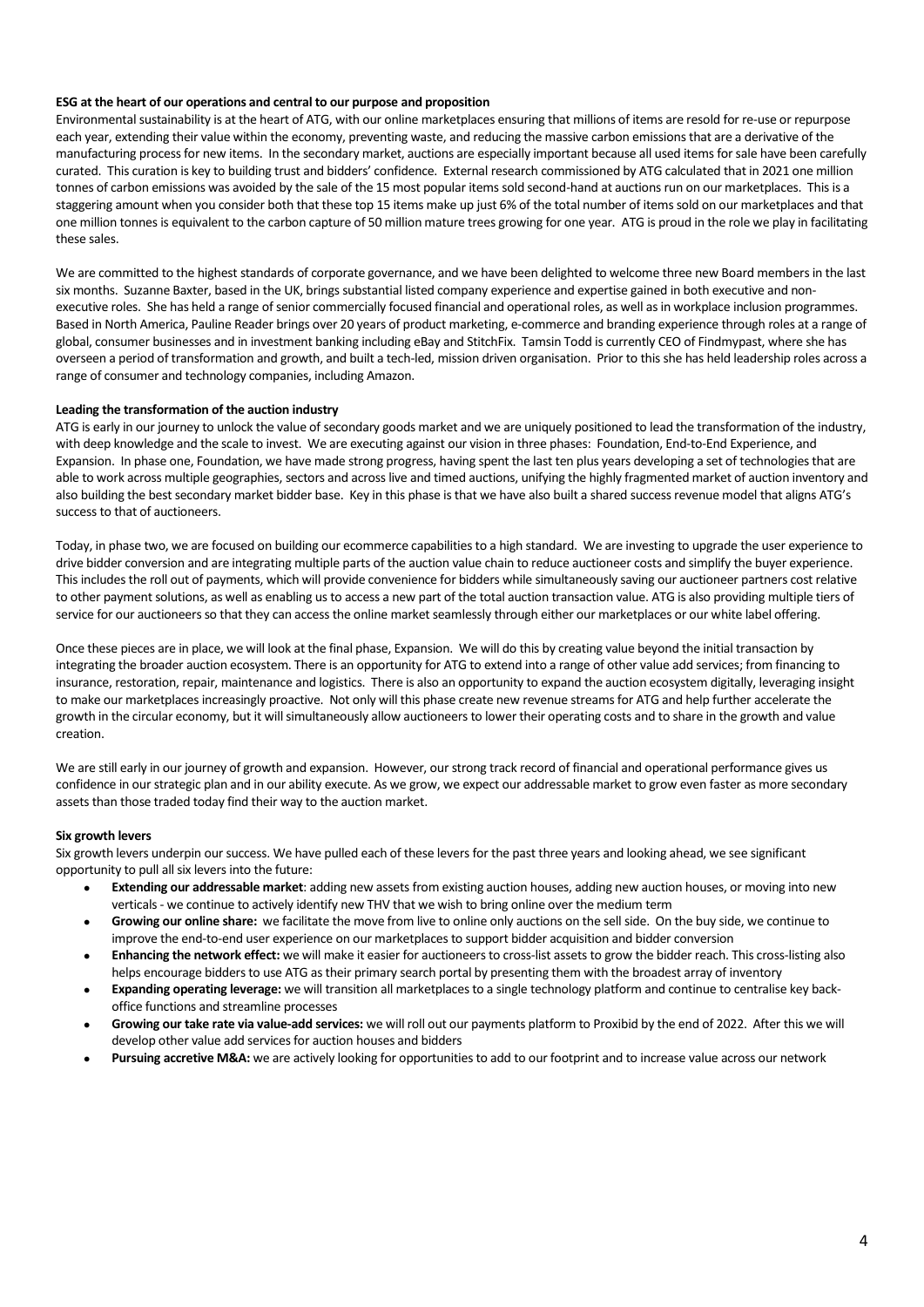# **ESG at the heart of our operations and central to our purpose and proposition**

Environmental sustainability is at the heart of ATG, with our online marketplaces ensuring that millions of items are resold for re-use or repurpose each year, extending their value within the economy, preventing waste, and reducing the massive carbon emissions that are a derivative of the manufacturing process for new items. In the secondary market, auctions are especially important because all used items for sale have been carefully curated. This curation is key to building trust and bidders' confidence. External research commissioned by ATG calculated that in 2021 one million tonnes of carbon emissions was avoided by the sale of the 15 most popular items sold second-hand at auctions run on our marketplaces. This is a staggering amount when you consider both that these top 15 items make up just 6% of the total number of items sold on our marketplaces and that one million tonnes is equivalent to the carbon capture of 50 million mature trees growing for one year. ATG is proud in the role we play in facilitating these sales.

We are committed to the highest standards of corporate governance, and we have been delighted to welcome three new Board members in the last six months. Suzanne Baxter, based in the UK, brings substantial listed company experience and expertise gained in both executive and nonexecutive roles. She has held a range of senior commercially focused financial and operational roles, as well as in workplace inclusion programmes. Based in North America, Pauline Reader brings over 20 years of product marketing, e-commerce and branding experience through roles at a range of global, consumer businesses and in investment banking including eBay and StitchFix. Tamsin Todd is currently CEO of Findmypast, where she has overseen a period of transformation and growth, and built a tech-led, mission driven organisation. Prior to this she has held leadership roles across a range of consumer and technology companies, including Amazon.

#### **Leading the transformation of the auction industry**

ATG is early in our journey to unlock the value of secondary goods market and we are uniquely positioned to lead the transformation of the industry, with deep knowledge and the scale to invest. We are executing against our vision in three phases: Foundation, End-to-End Experience, and Expansion. In phase one, Foundation, we have made strong progress, having spent the last ten plus years developing a set of technologies that are able to work across multiple geographies, sectors and across live and timed auctions, unifying the highly fragmented market of auction inventory and also building the best secondary market bidder base. Key in this phase is that we have also built a shared success revenue model that aligns ATG's success to that of auctioneers.

Today, in phase two, we are focused on building our ecommerce capabilities to a high standard. We are investing to upgrade the user experience to drive bidder conversion and are integrating multiple parts of the auction value chain to reduce auctioneer costs and simplify the buyer experience. This includes the roll out of payments, which will provide convenience for bidders while simultaneously saving our auctioneer partners cost relative to other payment solutions, as well as enabling us to access a new part of the total auction transaction value. ATG is also providing multiple tiers of service for our auctioneers so that they can access the online market seamlessly through either our marketplaces or our white label offering.

Once these pieces are in place, we will look at the final phase, Expansion. We will do this by creating value beyond the initial transaction by integrating the broader auction ecosystem. There is an opportunity for ATG to extend into a range of other value add services; from financing to insurance, restoration, repair, maintenance and logistics. There is also an opportunity to expand the auction ecosystem digitally, leveraging insight to make our marketplaces increasingly proactive. Not only will this phase create new revenue streams for ATG and help further accelerate the growth in the circular economy, but it will simultaneously allow auctioneers to lower their operating costs and to share in the growth and value creation.

We are still early in our journey of growth and expansion. However, our strong track record of financial and operational performance gives us confidence in our strategic plan and in our ability execute. As we grow, we expect our addressable market to grow even faster as more secondary assets than those traded today find their way to the auction market.

#### **Six growth levers**

Six growth levers underpin our success. We have pulled each of these levers for the past three years and looking ahead, we see significant opportunity to pull all six levers into the future:

- **Extending our addressable market**: adding new assets from existing auction houses, adding new auction houses, or moving into new verticals - we continue to actively identify new THV that we wish to bring online over the medium term
- **Growing our online share:** we facilitate the move from live to online only auctions on the sell side. On the buy side, we continue to improve the end-to-end user experience on our marketplaces to support bidder acquisition and bidder conversion
- **Enhancing the network effect:** we will make it easier for auctioneers to cross-list assets to grow the bidder reach. This cross-listing also helps encourage bidders to use ATG as their primary search portal by presenting them with the broadest array of inventory
- **Expanding operating leverage:** we will transition all marketplaces to a single technology platform and continue to centralise key backoffice functions and streamline processes
- **Growing our take rate via value-add services:** we will roll out our payments platform to Proxibid by the end of 2022. After this we will develop other value add services for auction houses and bidders
- Pursuing accretive M&A: we are actively looking for opportunities to add to our footprint and to increase value across our network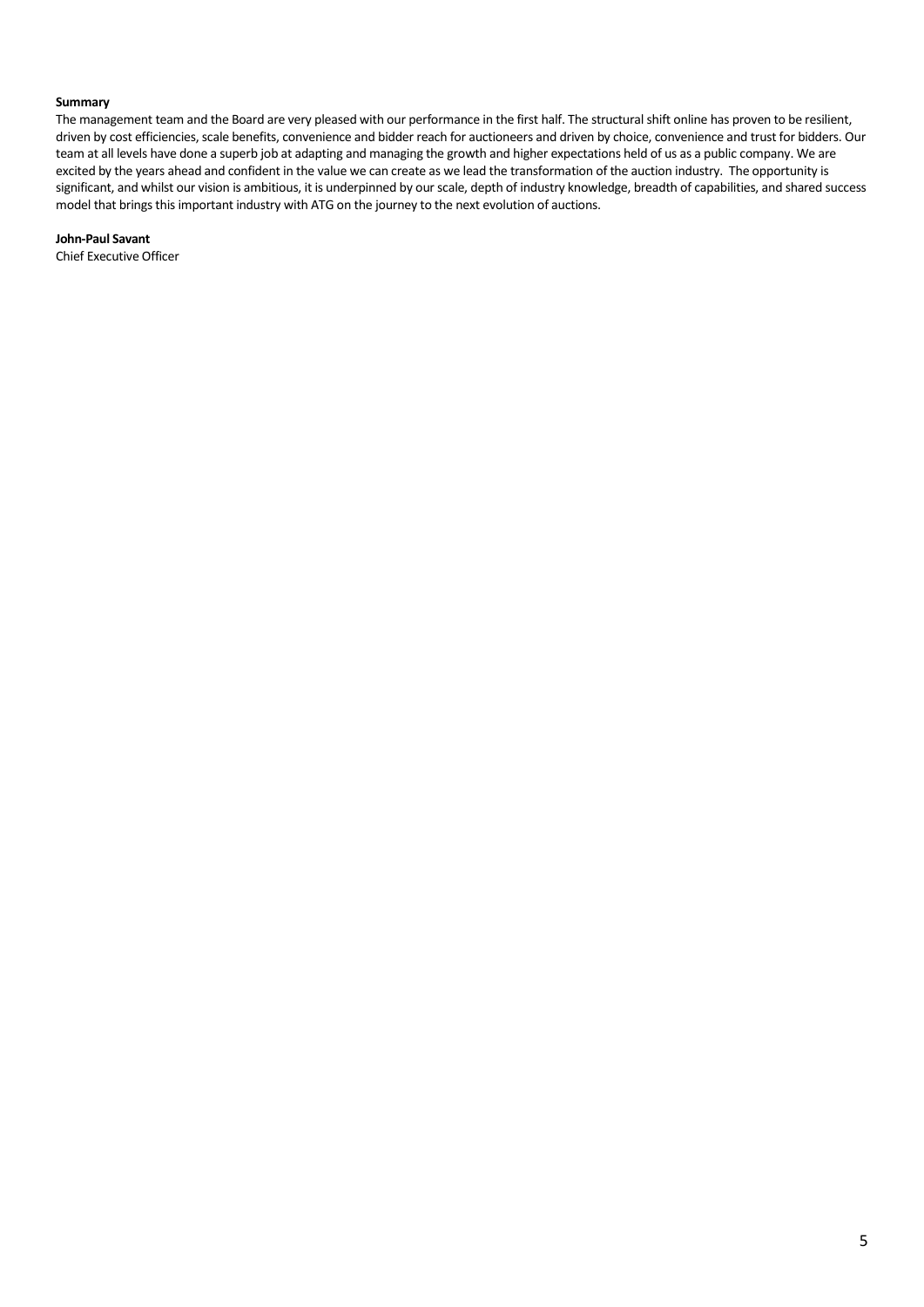#### **Summary**

The management team and the Board are very pleased with our performance in the first half. The structural shift online has proven to be resilient, driven by cost efficiencies, scale benefits, convenience and bidder reach for auctioneers and driven by choice, convenience and trust for bidders. Our team at all levels have done a superb job at adapting and managing the growth and higher expectations held of us as a public company. We are excited by the years ahead and confident in the value we can create as we lead the transformation of the auction industry. The opportunity is significant, and whilst our vision is ambitious, it is underpinned by our scale, depth of industry knowledge, breadth of capabilities, and shared success model that brings this important industry with ATG on the journey to the next evolution of auctions.

**John-Paul Savant**

Chief Executive Officer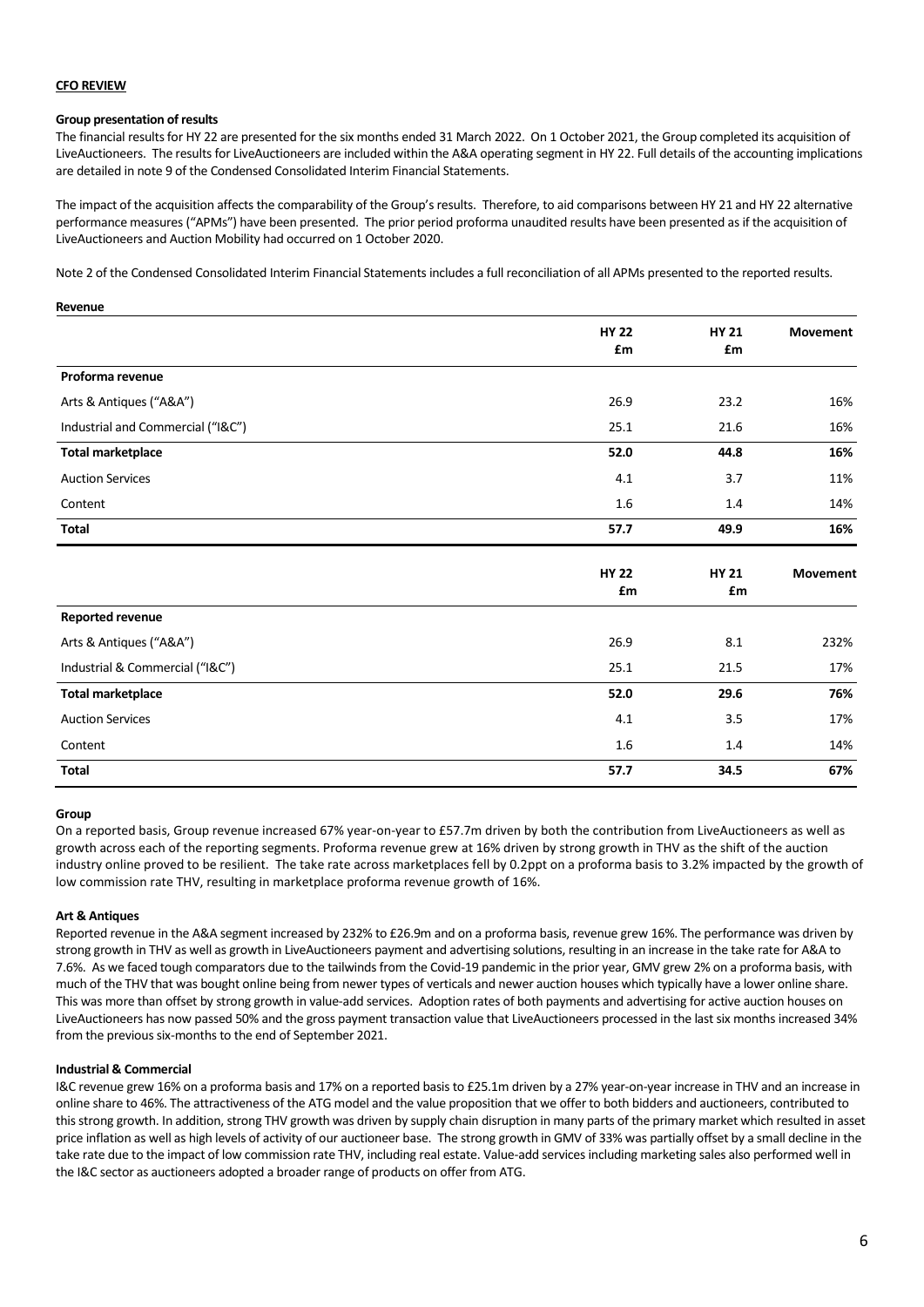# **CFO REVIEW**

# **Group presentation of results**

The financial results for HY 22 are presented for the six months ended 31 March 2022. On 1 October 2021, the Group completed its acquisition of LiveAuctioneers. The results for LiveAuctioneers are included within the A&A operating segment in HY 22. Full details of the accounting implications are detailed in note 9 of the Condensed Consolidated Interim Financial Statements.

The impact of the acquisition affects the comparability of the Group's results. Therefore, to aid comparisons between HY 21 and HY 22 alternative performance measures ("APMs") have been presented. The prior period proforma unaudited results have been presented as if the acquisition of LiveAuctioneers and Auction Mobility had occurred on 1 October 2020.

Note 2 of the Condensed Consolidated Interim Financial Statements includes a full reconciliation of all APMs presented to the reported results.

#### **Revenue**

|                                   | <b>HY 22</b><br>£m | <b>HY 21</b><br>£m | Movement        |
|-----------------------------------|--------------------|--------------------|-----------------|
| Proforma revenue                  |                    |                    |                 |
| Arts & Antiques ("A&A")           | 26.9               | 23.2               | 16%             |
| Industrial and Commercial ("I&C") | 25.1               | 21.6               | 16%             |
| <b>Total marketplace</b>          | 52.0               | 44.8               | 16%             |
| <b>Auction Services</b>           | 4.1                | 3.7                | 11%             |
| Content                           | 1.6                | 1.4                | 14%             |
| <b>Total</b>                      | 57.7               | 49.9               | 16%             |
|                                   | <b>HY 22</b><br>£m | <b>HY 21</b><br>£m | <b>Movement</b> |
| <b>Reported revenue</b>           |                    |                    |                 |
| Arts & Antiques ("A&A")           | 26.9               | 8.1                | 232%            |
| Industrial & Commercial ("I&C")   | 25.1               | 21.5               | 17%             |
| <b>Total marketplace</b>          | 52.0               | 29.6               | 76%             |
| <b>Auction Services</b>           | 4.1                | 3.5                | 17%             |
| Content                           | 1.6                | 1.4                | 14%             |
| <b>Total</b>                      | 57.7               | 34.5               | 67%             |

#### **Group**

On a reported basis, Group revenue increased 67% year-on-year to £57.7m driven by both the contribution from LiveAuctioneers as well as growth across each of the reporting segments. Proforma revenue grew at 16% driven by strong growth in THV as the shift of the auction industry online proved to be resilient. The take rate across marketplaces fell by 0.2ppt on a proforma basis to 3.2% impacted by the growth of low commission rate THV, resulting in marketplace proforma revenue growth of 16%.

#### **Art & Antiques**

Reported revenue in the A&A segment increased by 232% to £26.9m and on a proforma basis, revenue grew 16%. The performance was driven by strong growth in THV as well as growth in LiveAuctioneers payment and advertising solutions, resulting in an increase in the take rate for A&A to 7.6%. As we faced tough comparators due to the tailwinds from the Covid-19 pandemic in the prior year, GMV grew 2% on a proforma basis, with much of the THV that was bought online being from newer types of verticals and newer auction houses which typically have a lower online share. This was more than offset by strong growth in value-add services. Adoption rates of both payments and advertising for active auction houses on LiveAuctioneers has now passed 50% and the gross payment transaction value that LiveAuctioneers processed in the last six months increased 34% from the previous six-months to the end of September 2021.

#### **Industrial & Commercial**

I&C revenue grew 16% on a proforma basis and 17% on a reported basis to £25.1m driven by a 27% year-on-year increase in THV and an increase in online share to 46%. The attractiveness of the ATG model and the value proposition that we offer to both bidders and auctioneers, contributed to this strong growth. In addition, strong THV growth was driven by supply chain disruption in many parts of the primary market which resulted in asset price inflation as well as high levels of activity of our auctioneer base. The strong growth in GMV of 33% was partially offset by a small decline in the take rate due to the impact of low commission rate THV, including real estate. Value-add services including marketing sales also performed well in the I&C sector as auctioneers adopted a broader range of products on offer from ATG.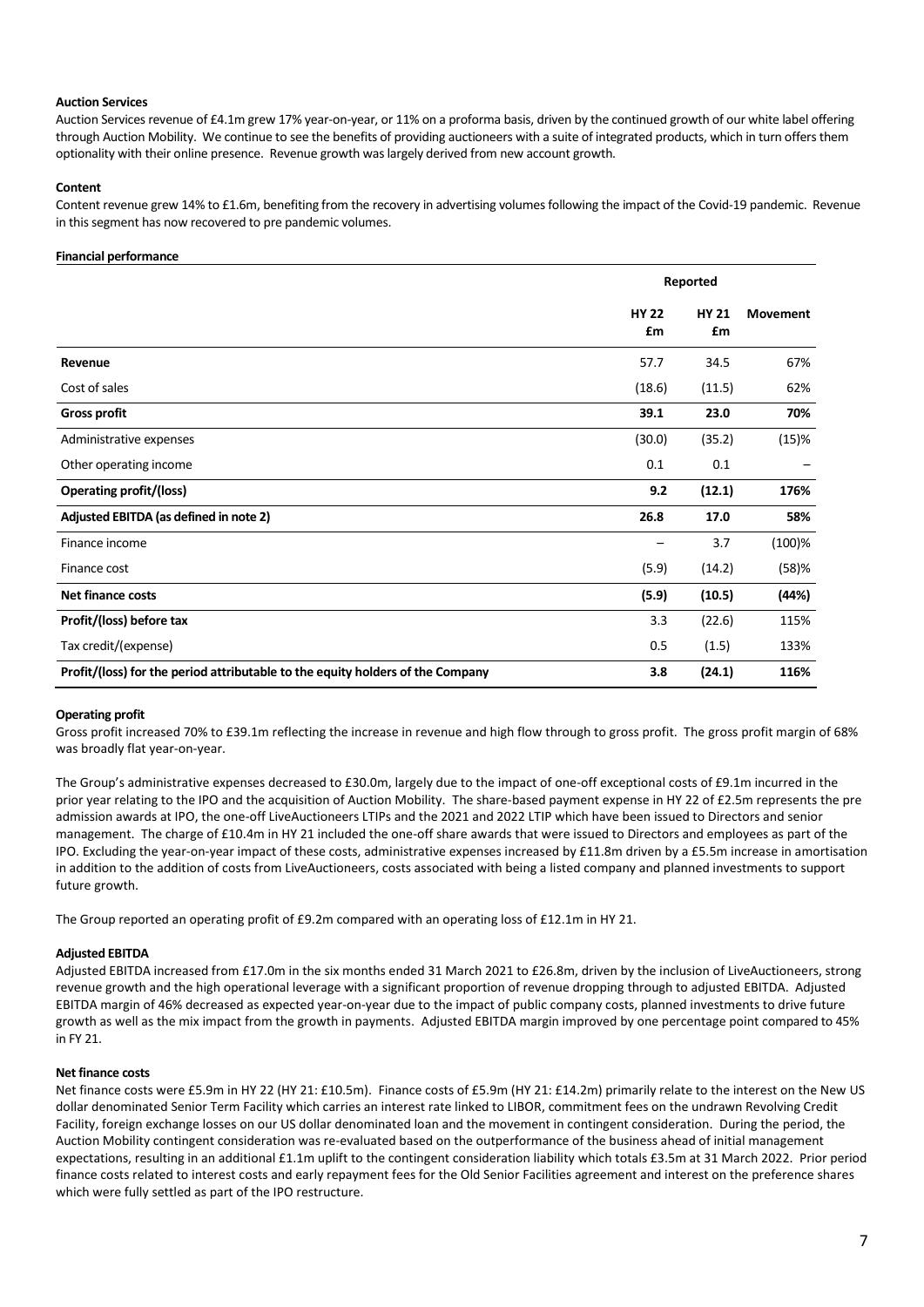#### **Auction Services**

Auction Services revenue of £4.1m grew 17% year-on-year, or 11% on a proforma basis, driven by the continued growth of our white label offering through Auction Mobility. We continue to see the benefits of providing auctioneers with a suite of integrated products, which in turn offers them optionality with their online presence. Revenue growth was largely derived from new account growth.

#### **Content**

Content revenue grew 14% to £1.6m, benefiting from the recovery in advertising volumes following the impact of the Covid-19 pandemic. Revenue in this segment has now recovered to pre pandemic volumes.

#### **Financial performance**

|                                                                                | Reported           |                    |                 |  |
|--------------------------------------------------------------------------------|--------------------|--------------------|-----------------|--|
|                                                                                | <b>HY 22</b><br>£m | <b>HY 21</b><br>£m | <b>Movement</b> |  |
| Revenue                                                                        | 57.7               | 34.5               | 67%             |  |
| Cost of sales                                                                  | (18.6)             | (11.5)             | 62%             |  |
| <b>Gross profit</b>                                                            | 39.1               | 23.0               | 70%             |  |
| Administrative expenses                                                        | (30.0)             | (35.2)             | (15)%           |  |
| Other operating income                                                         | 0.1                | 0.1                |                 |  |
| <b>Operating profit/(loss)</b>                                                 | 9.2                | (12.1)             | 176%            |  |
| Adjusted EBITDA (as defined in note 2)                                         | 26.8               | 17.0               | 58%             |  |
| Finance income                                                                 |                    | 3.7                | $(100)$ %       |  |
| Finance cost                                                                   | (5.9)              | (14.2)             | (58)%           |  |
| Net finance costs                                                              | (5.9)              | (10.5)             | (44%)           |  |
| Profit/(loss) before tax                                                       | 3.3                | (22.6)             | 115%            |  |
| Tax credit/(expense)                                                           | 0.5                | (1.5)              | 133%            |  |
| Profit/(loss) for the period attributable to the equity holders of the Company | 3.8                | (24.1)             | 116%            |  |

#### **Operating profit**

Gross profit increased 70% to £39.1m reflecting the increase in revenue and high flow through to gross profit. The gross profit margin of 68% was broadly flat year-on-year.

The Group's administrative expenses decreased to £30.0m, largely due to the impact of one-off exceptional costs of £9.1m incurred in the prior year relating to the IPO and the acquisition of Auction Mobility. The share-based payment expense in HY 22 of £2.5m represents the pre admission awards at IPO, the one-off LiveAuctioneers LTIPs and the 2021 and 2022 LTIP which have been issued to Directors and senior management. The charge of £10.4m in HY 21 included the one-off share awards that were issued to Directors and employees as part of the IPO. Excluding the year-on-year impact of these costs, administrative expenses increased by £11.8m driven by a £5.5m increase in amortisation in addition to the addition of costs from LiveAuctioneers, costs associated with being a listed company and planned investments to support future growth.

The Group reported an operating profit of £9.2m compared with an operating loss of £12.1m in HY 21.

# **Adjusted EBITDA**

Adjusted EBITDA increased from £17.0m in the six months ended 31 March 2021 to £26.8m, driven by the inclusion of LiveAuctioneers, strong revenue growth and the high operational leverage with a significant proportion of revenue dropping through to adjusted EBITDA. Adjusted EBITDA margin of 46% decreased as expected year-on-year due to the impact of public company costs, planned investments to drive future growth as well as the mix impact from the growth in payments. Adjusted EBITDA margin improved by one percentage point compared to 45% in FY 21.

#### **Net finance costs**

Net finance costs were £5.9m in HY 22 (HY 21: £10.5m). Finance costs of £5.9m (HY 21: £14.2m) primarily relate to the interest on the New US dollar denominated Senior Term Facility which carries an interest rate linked to LIBOR, commitment fees on the undrawn Revolving Credit Facility, foreign exchange losses on our US dollar denominated loan and the movement in contingent consideration. During the period, the Auction Mobility contingent consideration was re-evaluated based on the outperformance of the business ahead of initial management expectations, resulting in an additional £1.1m uplift to the contingent consideration liability which totals £3.5m at 31 March 2022. Prior period finance costs related to interest costs and early repayment fees for the Old Senior Facilities agreement and interest on the preference shares which were fully settled as part of the IPO restructure.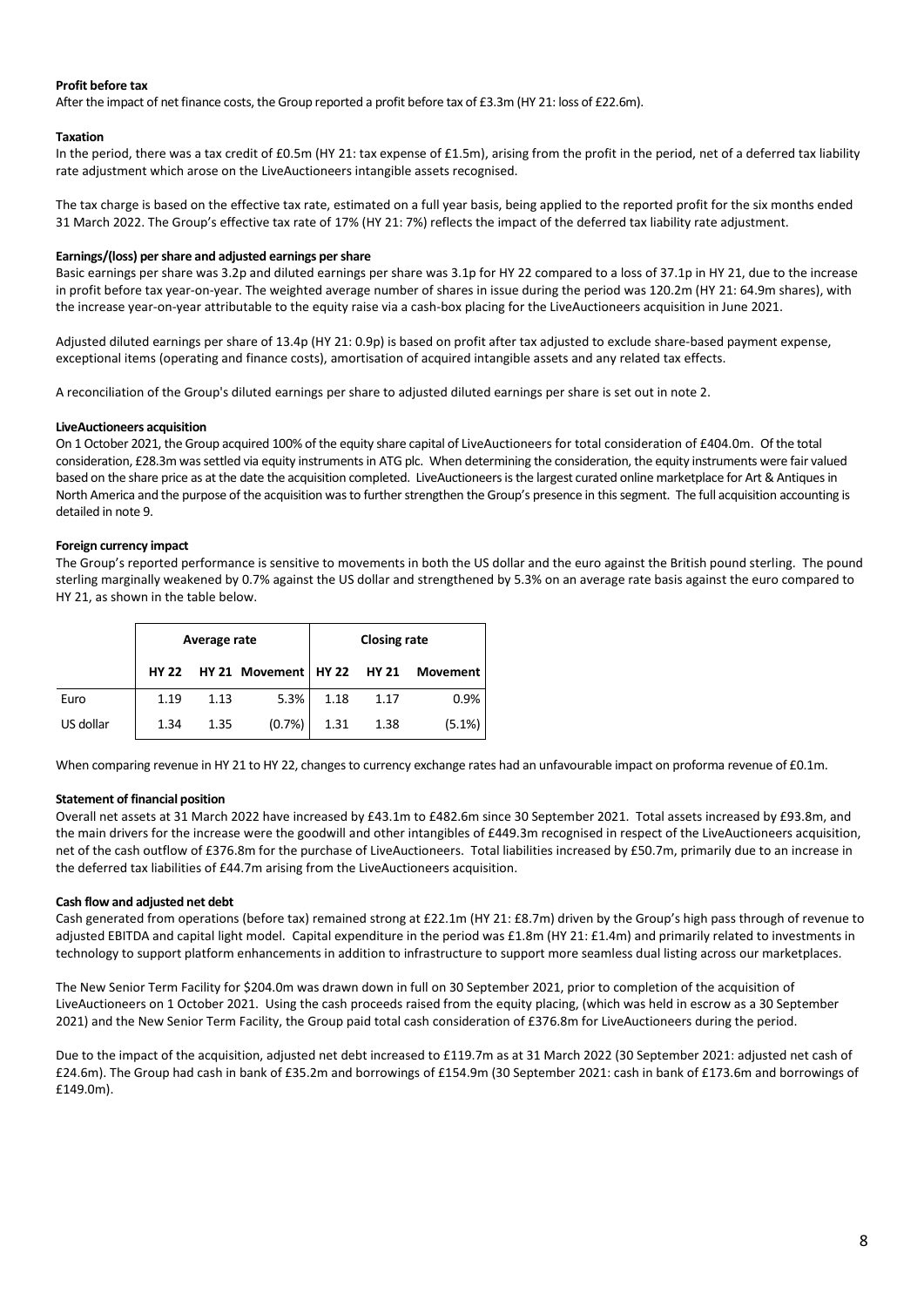# **Profit before tax**

After the impact of net finance costs, the Group reported a profit before tax of £3.3m (HY 21: loss of £22.6m).

# **Taxation**

In the period, there was a tax credit of £0.5m (HY 21: tax expense of £1.5m), arising from the profit in the period, net of a deferred tax liability rate adjustment which arose on the LiveAuctioneers intangible assets recognised.

The tax charge is based on the effective tax rate, estimated on a full year basis, being applied to the reported profit for the six months ended 31 March 2022. The Group's effective tax rate of 17% (HY 21: 7%) reflects the impact of the deferred tax liability rate adjustment.

# **Earnings/(loss) per share and adjusted earnings per share**

Basic earnings per share was 3.2p and diluted earnings per share was 3.1p for HY 22 compared to a loss of 37.1p in HY 21, due to the increase in profit before tax year-on-year. The weighted average number of shares in issue during the period was 120.2m (HY 21: 64.9m shares), with the increase year-on-year attributable to the equity raise via a cash-box placing for the LiveAuctioneers acquisition in June 2021.

Adjusted diluted earnings per share of 13.4p (HY 21: 0.9p) is based on profit after tax adjusted to exclude share-based payment expense, exceptional items (operating and finance costs), amortisation of acquired intangible assets and any related tax effects.

A reconciliation of the Group's diluted earnings per share to adjusted diluted earnings per share is set out in note 2.

#### **LiveAuctioneers acquisition**

On 1 October 2021, the Group acquired 100% of the equity share capital of LiveAuctioneers for total consideration of £404.0m. Of the total consideration, £28.3m was settled via equity instruments in ATG plc. When determining the consideration, the equity instruments were fair valued based on the share price as at the date the acquisition completed. LiveAuctioneers is the largest curated online marketplace for Art & Antiques in North America and the purpose of the acquisition was to further strengthen the Group's presence in this segment. The full acquisition accounting is detailed in note 9.

# **Foreign currency impact**

The Group's reported performance is sensitive to movements in both the US dollar and the euro against the British pound sterling. The pound sterling marginally weakened by 0.7% against the US dollar and strengthened by 5.3% on an average rate basis against the euro compared to HY 21, as shown in the table below.

|           | Average rate |      |                            |      | <b>Closing rate</b> |          |
|-----------|--------------|------|----------------------------|------|---------------------|----------|
|           | <b>HY 22</b> |      | HY 21 Movement HY 22 HY 21 |      |                     | Movement |
| Euro      | 1.19         | 1.13 | 5.3%                       | 1.18 | 1.17                | 0.9%     |
| US dollar | 1.34         | 1.35 | $(0.7\%)$                  | 1.31 | 1.38                | (5.1%)   |

When comparing revenue in HY 21 to HY 22, changes to currency exchange rates had an unfavourable impact on proforma revenue of £0.1m.

# **Statement of financial position**

Overall net assets at 31 March 2022 have increased by £43.1m to £482.6m since 30 September 2021. Total assets increased by £93.8m, and the main drivers for the increase were the goodwill and other intangibles of £449.3m recognised in respect of the LiveAuctioneers acquisition, net of the cash outflow of £376.8m for the purchase of LiveAuctioneers. Total liabilities increased by £50.7m, primarily due to an increase in the deferred tax liabilities of £44.7m arising from the LiveAuctioneers acquisition.

# **Cash flow and adjusted net debt**

Cash generated from operations (before tax) remained strong at £22.1m (HY 21: £8.7m) driven by the Group's high pass through of revenue to adjusted EBITDA and capital light model. Capital expenditure in the period was £1.8m (HY 21: £1.4m) and primarily related to investments in technology to support platform enhancements in addition to infrastructure to support more seamless dual listing across our marketplaces.

The New Senior Term Facility for \$204.0m was drawn down in full on 30 September 2021, prior to completion of the acquisition of LiveAuctioneers on 1 October 2021. Using the cash proceeds raised from the equity placing, (which was held in escrow as a 30 September 2021) and the New Senior Term Facility, the Group paid total cash consideration of £376.8m for LiveAuctioneers during the period.

Due to the impact of the acquisition, adjusted net debt increased to £119.7m as at 31 March 2022 (30 September 2021: adjusted net cash of £24.6m). The Group had cash in bank of £35.2m and borrowings of £154.9m (30 September 2021: cash in bank of £173.6m and borrowings of £149.0m).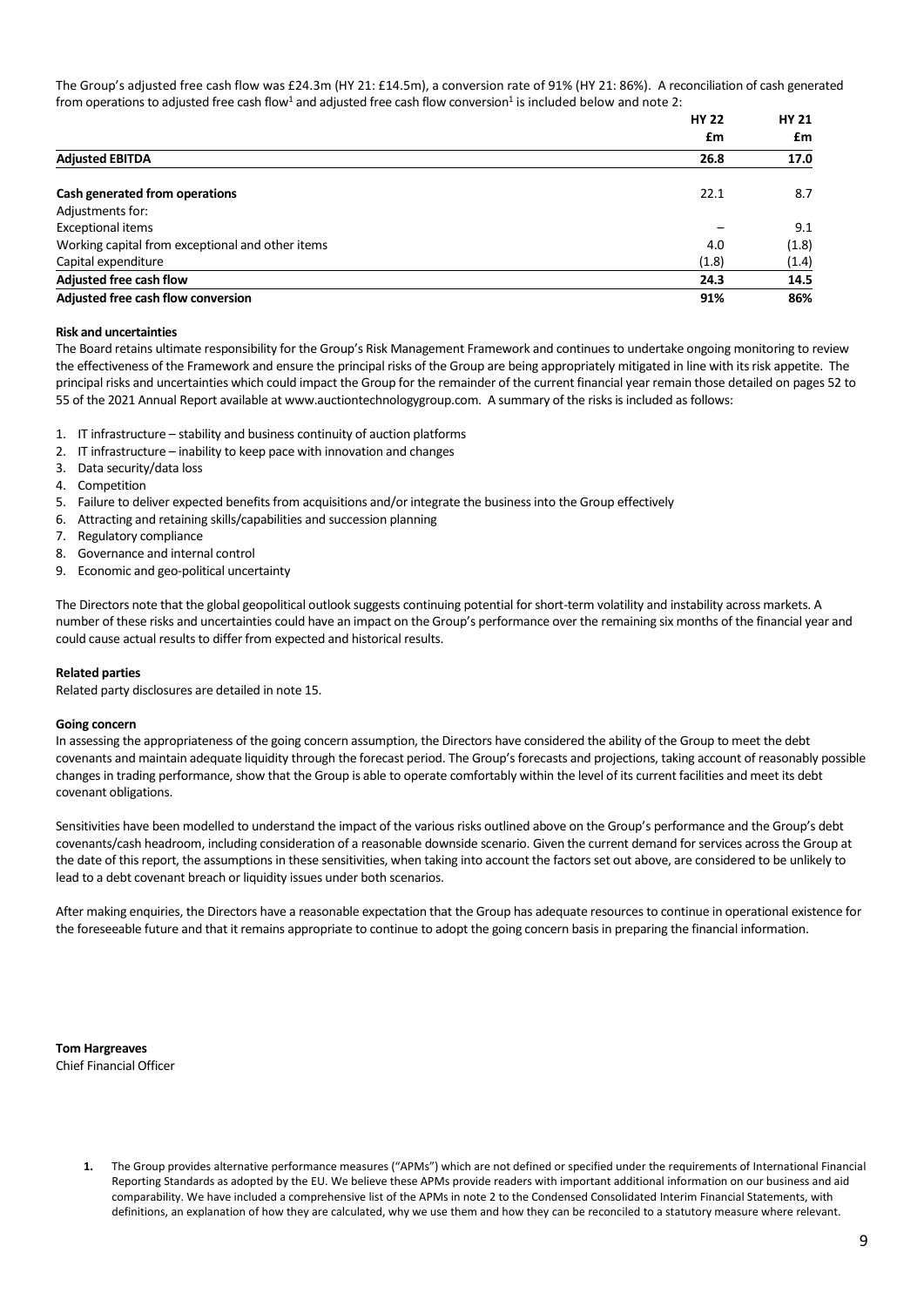The Group's adjusted free cash flow was £24.3m (HY 21: £14.5m), a conversion rate of 91% (HY 21: 86%). A reconciliation of cash generated from operations to adjusted free cash flow $^1$  and adjusted free cash flow conversion $^1$  is included below and note 2:

|                                                  | <b>HY 22</b> | <b>HY 21</b> |  |
|--------------------------------------------------|--------------|--------------|--|
|                                                  | £m           | £m           |  |
| <b>Adjusted EBITDA</b>                           | 26.8         | 17.0         |  |
| Cash generated from operations                   | 22.1         | 8.7          |  |
| Adjustments for:                                 |              |              |  |
| <b>Exceptional items</b>                         |              | 9.1          |  |
| Working capital from exceptional and other items | 4.0          | (1.8)        |  |
| Capital expenditure                              | (1.8)        | (1.4)        |  |
| <b>Adjusted free cash flow</b>                   | 24.3         | 14.5         |  |
| Adjusted free cash flow conversion               | 91%          | 86%          |  |

#### **Risk and uncertainties**

The Board retains ultimate responsibility for the Group's Risk Management Framework and continues to undertake ongoing monitoring to review the effectiveness of the Framework and ensure the principal risks of the Group are being appropriately mitigated in line with its risk appetite. The principal risks and uncertainties which could impact the Group for the remainder of the current financial year remain those detailed on pages 52 to 55 of the 2021 Annual Report available at www.auctiontechnologygroup.com. A summary of the risks is included as follows:

- 1. IT infrastructure stability and business continuity of auction platforms
- 2. IT infrastructure inability to keep pace with innovation and changes
- 3. Data security/data loss
- 4. Competition
- 5. Failure to deliver expected benefits from acquisitions and/or integrate the business into the Group effectively
- 6. Attracting and retaining skills/capabilities and succession planning
- 7. Regulatory compliance
- 8. Governance and internal control
- 9. Economic and geo-political uncertainty

The Directors note that the global geopolitical outlook suggests continuing potential for short-term volatility and instability across markets. A number of these risks and uncertainties could have an impact on the Group's performance over the remaining six months of the financial year and could cause actual results to differ from expected and historical results.

#### **Related parties**

Related party disclosures are detailed in note 15.

#### **Going concern**

In assessing the appropriateness of the going concern assumption, the Directors have considered the ability of the Group to meet the debt covenants and maintain adequate liquidity through the forecast period. The Group's forecasts and projections, taking account of reasonably possible changes in trading performance, show that the Group is able to operate comfortably within the level of its current facilities and meet its debt covenant obligations.

Sensitivities have been modelled to understand the impact of the various risks outlined above on the Group's performance and the Group's debt covenants/cash headroom, including consideration of a reasonable downside scenario. Given the current demand for services across the Group at the date of this report, the assumptions in these sensitivities, when taking into account the factors set out above, are considered to be unlikely to lead to a debt covenant breach or liquidity issues under both scenarios.

After making enquiries, the Directors have a reasonable expectation that the Group has adequate resources to continue in operational existence for the foreseeable future and that it remains appropriate to continue to adopt the going concern basis in preparing the financial information.

**Tom Hargreaves** Chief Financial Officer

> **1.** The Group provides alternative performance measures ("APMs") which are not defined or specified under the requirements of International Financial Reporting Standards as adopted by the EU. We believe these APMs provide readers with important additional information on our business and aid comparability. We have included a comprehensive list of the APMs in note 2 to the Condensed Consolidated Interim Financial Statements, with definitions, an explanation of how they are calculated, why we use them and how they can be reconciled to a statutory measure where relevant.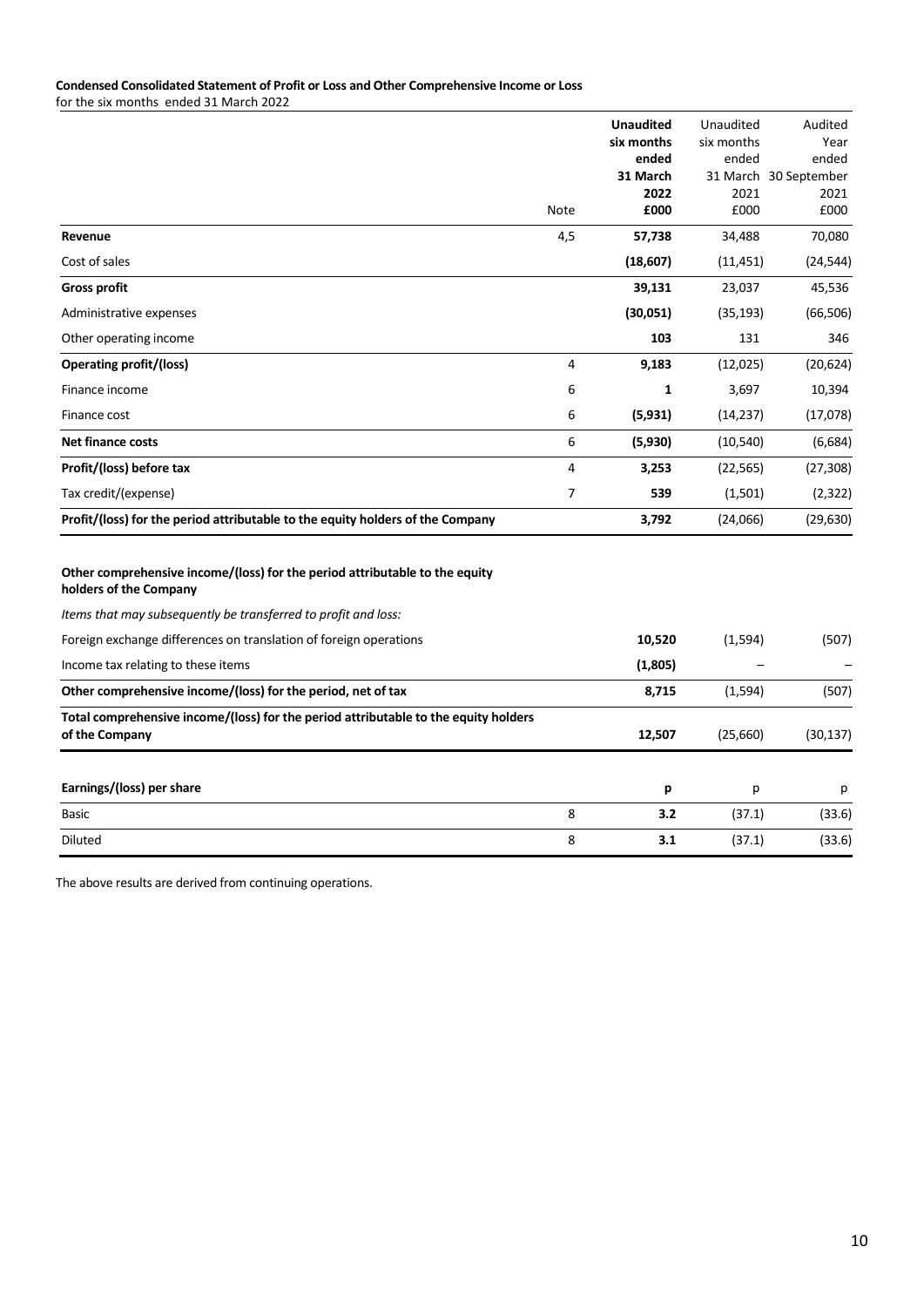# **Condensed Consolidated Statement of Profit or Loss and Other Comprehensive Income or Loss**

for the six months ended 31 March 2022

|                                                                                                       |      | <b>Unaudited</b><br>six months | Unaudited<br>six months | Audited<br>Year       |
|-------------------------------------------------------------------------------------------------------|------|--------------------------------|-------------------------|-----------------------|
|                                                                                                       |      | ended                          | ended                   | ended                 |
|                                                                                                       |      | 31 March                       |                         | 31 March 30 September |
|                                                                                                       | Note | 2022<br>£000                   | 2021<br>£000            | 2021<br>£000          |
| Revenue                                                                                               | 4,5  | 57,738                         | 34,488                  | 70,080                |
| Cost of sales                                                                                         |      | (18,607)                       | (11, 451)               | (24, 544)             |
| <b>Gross profit</b>                                                                                   |      | 39,131                         | 23,037                  | 45,536                |
| Administrative expenses                                                                               |      | (30,051)                       | (35, 193)               | (66, 506)             |
| Other operating income                                                                                |      | 103                            | 131                     | 346                   |
| <b>Operating profit/(loss)</b>                                                                        | 4    | 9,183                          | (12, 025)               | (20, 624)             |
| Finance income                                                                                        | 6    | 1                              | 3,697                   | 10,394                |
| Finance cost                                                                                          | 6    | (5,931)                        | (14, 237)               | (17,078)              |
| <b>Net finance costs</b>                                                                              | 6    | (5,930)                        | (10, 540)               | (6,684)               |
| Profit/(loss) before tax                                                                              | 4    | 3,253                          | (22, 565)               | (27, 308)             |
| Tax credit/(expense)                                                                                  | 7    | 539                            | (1,501)                 | (2, 322)              |
| Profit/(loss) for the period attributable to the equity holders of the Company                        |      | 3,792                          | (24,066)                | (29, 630)             |
| Other comprehensive income/(loss) for the period attributable to the equity<br>holders of the Company |      |                                |                         |                       |
| Items that may subsequently be transferred to profit and loss:                                        |      |                                |                         |                       |
| Foreign exchange differences on translation of foreign operations                                     |      | 10,520                         | (1, 594)                | (507)                 |
| Income tax relating to these items                                                                    |      | (1,805)                        |                         |                       |
| Other comprehensive income/(loss) for the period, net of tax                                          |      | 8,715                          | (1,594)                 | (507)                 |
| Total comprehensive income/(loss) for the period attributable to the equity holders<br>of the Company |      | 12,507                         | (25,660)                | (30, 137)             |
|                                                                                                       |      |                                |                         |                       |
| Earnings/(loss) per share                                                                             |      | р                              | р                       | р                     |

Basic 8 **3.2** (37.1) (33.6) Diluted 8 **3.1** (37.1) (33.6)

The above results are derived from continuing operations.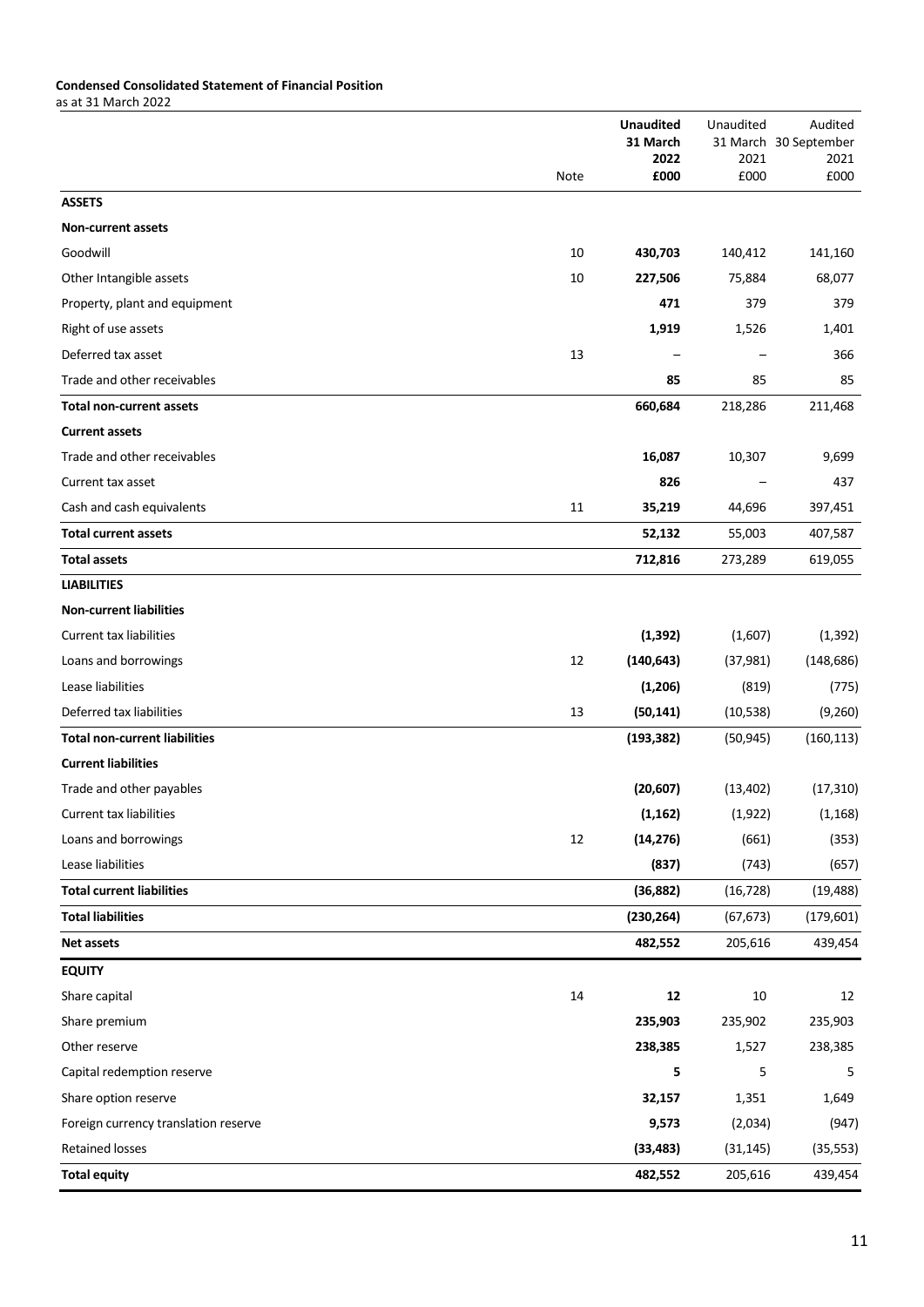# **Condensed Consolidated Statement of Financial Position**

as at 31 March 2022

|                                      |      | <b>Unaudited</b><br>31 March | Unaudited | Audited<br>31 March 30 September |
|--------------------------------------|------|------------------------------|-----------|----------------------------------|
|                                      |      | 2022                         | 2021      | 2021                             |
|                                      | Note | £000                         | £000      | £000                             |
| <b>ASSETS</b>                        |      |                              |           |                                  |
| <b>Non-current assets</b>            |      |                              |           |                                  |
| Goodwill                             | 10   | 430,703                      | 140,412   | 141,160                          |
| Other Intangible assets              | 10   | 227,506                      | 75,884    | 68,077                           |
| Property, plant and equipment        |      | 471                          | 379       | 379                              |
| Right of use assets                  |      | 1,919                        | 1,526     | 1,401                            |
| Deferred tax asset                   | 13   |                              |           | 366                              |
| Trade and other receivables          |      | 85                           | 85        | 85                               |
| <b>Total non-current assets</b>      |      | 660,684                      | 218,286   | 211,468                          |
| <b>Current assets</b>                |      |                              |           |                                  |
| Trade and other receivables          |      | 16,087                       | 10,307    | 9,699                            |
| Current tax asset                    |      | 826                          |           | 437                              |
| Cash and cash equivalents            | 11   | 35,219                       | 44,696    | 397,451                          |
| <b>Total current assets</b>          |      | 52,132                       | 55,003    | 407,587                          |
| <b>Total assets</b>                  |      | 712,816                      | 273,289   | 619,055                          |
| <b>LIABILITIES</b>                   |      |                              |           |                                  |
| <b>Non-current liabilities</b>       |      |                              |           |                                  |
| <b>Current tax liabilities</b>       |      | (1, 392)                     | (1,607)   | (1, 392)                         |
| Loans and borrowings                 | 12   | (140, 643)                   | (37, 981) | (148, 686)                       |
| Lease liabilities                    |      | (1,206)                      | (819)     | (775)                            |
| Deferred tax liabilities             | 13   | (50, 141)                    | (10, 538) | (9,260)                          |
| <b>Total non-current liabilities</b> |      | (193, 382)                   | (50, 945) | (160, 113)                       |
| <b>Current liabilities</b>           |      |                              |           |                                  |
| Trade and other payables             |      | (20, 607)                    | (13, 402) | (17, 310)                        |
| Current tax liabilities              |      | (1, 162)                     | (1,922)   | (1, 168)                         |
| Loans and borrowings                 | 12   | (14, 276)                    | (661)     | (353)                            |
| Lease liabilities                    |      | (837)                        | (743)     | (657)                            |
| <b>Total current liabilities</b>     |      | (36, 882)                    | (16, 728) | (19, 488)                        |
| <b>Total liabilities</b>             |      | (230, 264)                   | (67, 673) | (179, 601)                       |
| <b>Net assets</b>                    |      | 482,552                      | 205,616   | 439,454                          |
| <b>EQUITY</b>                        |      |                              |           |                                  |
| Share capital                        | 14   | 12                           | 10        | 12                               |
| Share premium                        |      | 235,903                      | 235,902   | 235,903                          |
| Other reserve                        |      | 238,385                      | 1,527     | 238,385                          |
| Capital redemption reserve           |      | 5                            | 5         | 5                                |
| Share option reserve                 |      | 32,157                       | 1,351     | 1,649                            |
| Foreign currency translation reserve |      | 9,573                        | (2,034)   | (947)                            |
| <b>Retained losses</b>               |      | (33, 483)                    | (31, 145) | (35, 553)                        |
| <b>Total equity</b>                  |      | 482,552                      | 205,616   | 439,454                          |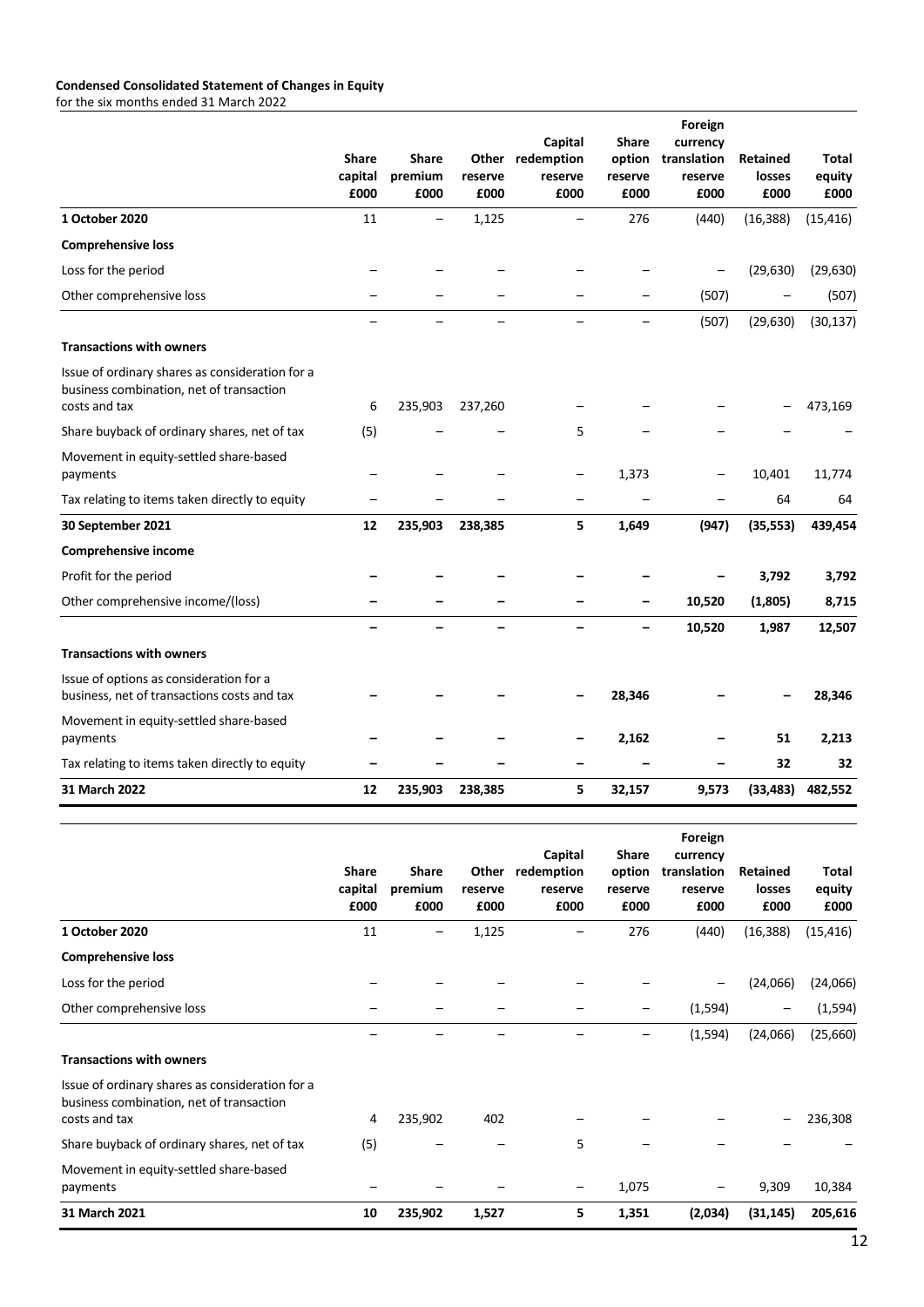# **Condensed Consolidated Statement of Changes in Equity**

for the six months ended 31 March 2022

|                                                                                                              | <b>Share</b><br>capital<br>£000 | <b>Share</b><br>premium<br>£000 | Other<br>reserve<br>£000 | Capital<br>redemption<br>reserve<br>£000 | <b>Share</b><br>option<br>reserve<br>£000 | Foreign<br>currency<br>translation<br>reserve<br>£000 | <b>Retained</b><br>losses<br>£000 | Total<br>equity<br>£000 |
|--------------------------------------------------------------------------------------------------------------|---------------------------------|---------------------------------|--------------------------|------------------------------------------|-------------------------------------------|-------------------------------------------------------|-----------------------------------|-------------------------|
| 1 October 2020                                                                                               | 11                              |                                 | 1,125                    |                                          | 276                                       | (440)                                                 | (16, 388)                         | (15, 416)               |
| <b>Comprehensive loss</b>                                                                                    |                                 |                                 |                          |                                          |                                           |                                                       |                                   |                         |
| Loss for the period                                                                                          |                                 |                                 |                          |                                          |                                           |                                                       | (29, 630)                         | (29, 630)               |
| Other comprehensive loss                                                                                     |                                 |                                 |                          |                                          |                                           | (507)                                                 |                                   | (507)                   |
|                                                                                                              |                                 |                                 |                          |                                          |                                           | (507)                                                 | (29, 630)                         | (30, 137)               |
| <b>Transactions with owners</b>                                                                              |                                 |                                 |                          |                                          |                                           |                                                       |                                   |                         |
| Issue of ordinary shares as consideration for a<br>business combination, net of transaction<br>costs and tax | 6                               | 235,903                         | 237,260                  |                                          |                                           |                                                       |                                   | 473,169                 |
| Share buyback of ordinary shares, net of tax                                                                 | (5)                             |                                 |                          | 5                                        |                                           |                                                       |                                   |                         |
| Movement in equity-settled share-based<br>payments                                                           |                                 |                                 |                          |                                          | 1,373                                     |                                                       | 10,401                            | 11,774                  |
| Tax relating to items taken directly to equity                                                               |                                 |                                 |                          |                                          |                                           |                                                       | 64                                | 64                      |
| 30 September 2021                                                                                            | 12                              | 235,903                         | 238,385                  | 5                                        | 1,649                                     | (947)                                                 | (35, 553)                         | 439,454                 |
| Comprehensive income                                                                                         |                                 |                                 |                          |                                          |                                           |                                                       |                                   |                         |
| Profit for the period                                                                                        |                                 |                                 |                          |                                          |                                           |                                                       | 3,792                             | 3,792                   |
| Other comprehensive income/(loss)                                                                            |                                 |                                 |                          |                                          |                                           | 10,520                                                | (1,805)                           | 8,715                   |
|                                                                                                              |                                 |                                 |                          |                                          |                                           | 10,520                                                | 1,987                             | 12,507                  |
| <b>Transactions with owners</b>                                                                              |                                 |                                 |                          |                                          |                                           |                                                       |                                   |                         |
| Issue of options as consideration for a<br>business, net of transactions costs and tax                       |                                 |                                 |                          |                                          | 28,346                                    |                                                       |                                   | 28,346                  |
| Movement in equity-settled share-based<br>payments                                                           |                                 |                                 |                          |                                          | 2,162                                     |                                                       | 51                                | 2,213                   |
| Tax relating to items taken directly to equity                                                               |                                 |                                 |                          |                                          |                                           |                                                       | 32                                | 32                      |
| 31 March 2022                                                                                                | 12                              | 235,903                         | 238,385                  | 5                                        | 32,157                                    | 9,573                                                 | (33, 483)                         | 482,552                 |

|                                                                                                              | <b>Share</b><br>capital<br>£000 | <b>Share</b><br>premium<br>£000 | Other<br>reserve<br>£000 | Capital<br>redemption<br>reserve<br>£000 | Share<br>option<br>reserve<br>£000 | Foreign<br>currency<br>translation<br>reserve<br>£000 | Retained<br>losses<br>£000 | Total<br>equity<br>£000 |
|--------------------------------------------------------------------------------------------------------------|---------------------------------|---------------------------------|--------------------------|------------------------------------------|------------------------------------|-------------------------------------------------------|----------------------------|-------------------------|
| 1 October 2020                                                                                               | 11                              |                                 | 1,125                    |                                          | 276                                | (440)                                                 | (16, 388)                  | (15, 416)               |
| <b>Comprehensive loss</b>                                                                                    |                                 |                                 |                          |                                          |                                    |                                                       |                            |                         |
| Loss for the period                                                                                          |                                 |                                 |                          |                                          |                                    | -                                                     | (24,066)                   | (24,066)                |
| Other comprehensive loss                                                                                     |                                 |                                 |                          |                                          |                                    | (1, 594)                                              |                            | (1, 594)                |
|                                                                                                              |                                 |                                 |                          |                                          |                                    | (1, 594)                                              | (24,066)                   | (25,660)                |
| <b>Transactions with owners</b>                                                                              |                                 |                                 |                          |                                          |                                    |                                                       |                            |                         |
| Issue of ordinary shares as consideration for a<br>business combination, net of transaction<br>costs and tax | 4                               | 235,902                         | 402                      |                                          |                                    |                                                       |                            | 236,308                 |
| Share buyback of ordinary shares, net of tax                                                                 | (5)                             |                                 |                          | 5                                        |                                    |                                                       |                            |                         |
| Movement in equity-settled share-based<br>payments                                                           |                                 |                                 |                          | $\qquad \qquad$                          | 1,075                              |                                                       | 9,309                      | 10,384                  |
| 31 March 2021                                                                                                | 10                              | 235,902                         | 1,527                    | 5.                                       | 1,351                              | (2,034)                                               | (31, 145)                  | 205,616                 |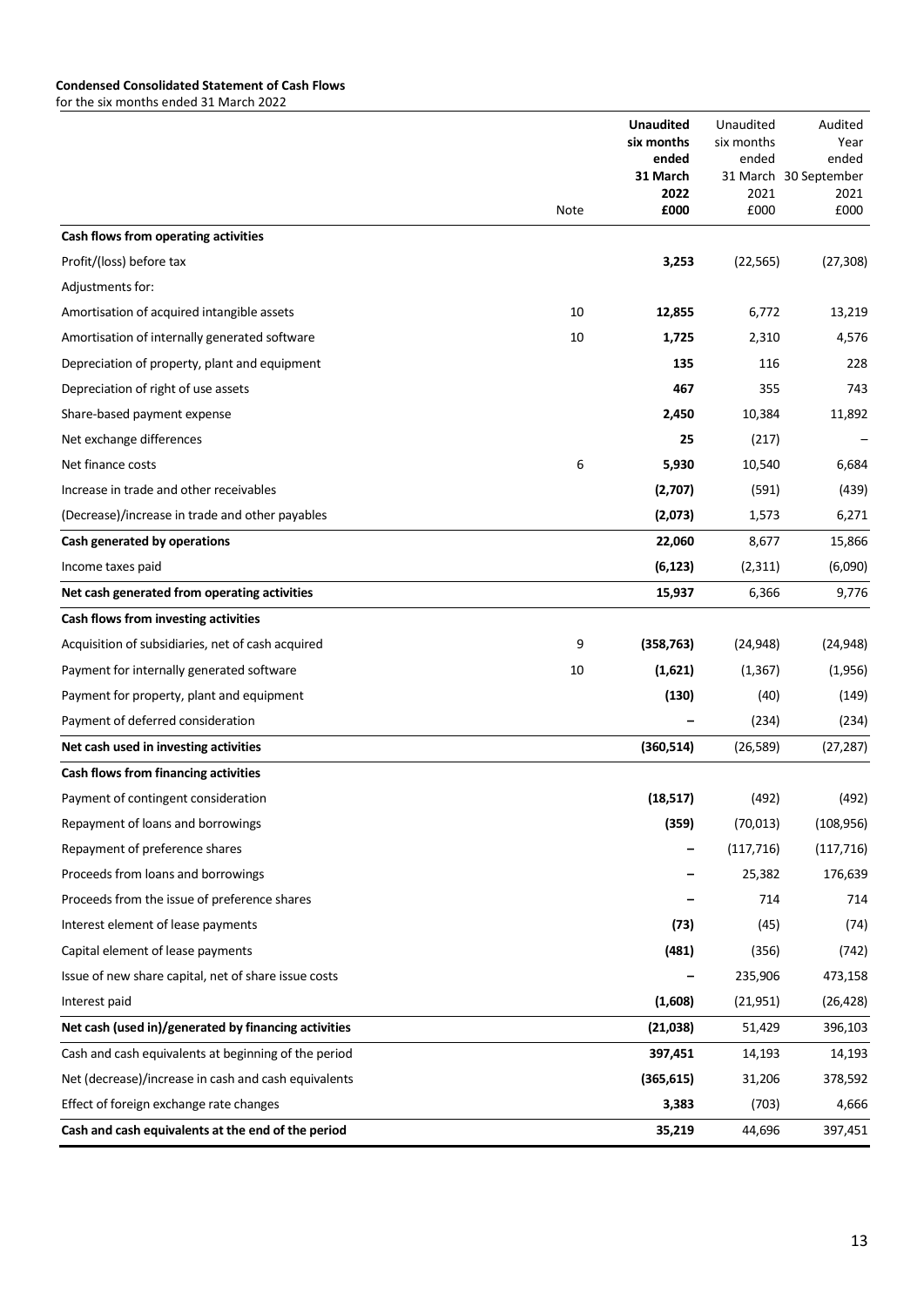|                                                      |      | <b>Unaudited</b><br>six months<br>ended<br>31 March<br>2022 | Unaudited<br>six months<br>ended<br>2021 | Audited<br>Year<br>ended<br>31 March 30 September<br>2021 |
|------------------------------------------------------|------|-------------------------------------------------------------|------------------------------------------|-----------------------------------------------------------|
|                                                      | Note | £000                                                        | £000                                     | £000                                                      |
| Cash flows from operating activities                 |      |                                                             |                                          |                                                           |
| Profit/(loss) before tax                             |      | 3,253                                                       | (22, 565)                                | (27, 308)                                                 |
| Adjustments for:                                     |      |                                                             |                                          |                                                           |
| Amortisation of acquired intangible assets           | 10   | 12,855                                                      | 6,772                                    | 13,219                                                    |
| Amortisation of internally generated software        | 10   | 1,725                                                       | 2,310                                    | 4,576                                                     |
| Depreciation of property, plant and equipment        |      | 135                                                         | 116                                      | 228                                                       |
| Depreciation of right of use assets                  |      | 467                                                         | 355                                      | 743                                                       |
| Share-based payment expense                          |      | 2,450                                                       | 10,384                                   | 11,892                                                    |
| Net exchange differences                             |      | 25                                                          | (217)                                    |                                                           |
| Net finance costs                                    | 6    | 5,930                                                       | 10,540                                   | 6,684                                                     |
| Increase in trade and other receivables              |      | (2,707)                                                     | (591)                                    | (439)                                                     |
| (Decrease)/increase in trade and other payables      |      | (2,073)                                                     | 1,573                                    | 6,271                                                     |
| Cash generated by operations                         |      | 22,060                                                      | 8,677                                    | 15,866                                                    |
| Income taxes paid                                    |      | (6, 123)                                                    | (2,311)                                  | (6,090)                                                   |
| Net cash generated from operating activities         |      | 15,937                                                      | 6,366                                    | 9,776                                                     |
| Cash flows from investing activities                 |      |                                                             |                                          |                                                           |
| Acquisition of subsidiaries, net of cash acquired    | 9    | (358, 763)                                                  | (24, 948)                                | (24, 948)                                                 |
| Payment for internally generated software            | 10   | (1,621)                                                     | (1, 367)                                 | (1,956)                                                   |
| Payment for property, plant and equipment            |      | (130)                                                       | (40)                                     | (149)                                                     |
| Payment of deferred consideration                    |      |                                                             | (234)                                    | (234)                                                     |
| Net cash used in investing activities                |      | (360, 514)                                                  | (26, 589)                                | (27, 287)                                                 |
| Cash flows from financing activities                 |      |                                                             |                                          |                                                           |
| Payment of contingent consideration                  |      | (18, 517)                                                   | (492)                                    | (492)                                                     |
| Repayment of loans and borrowings                    |      | (359)                                                       | (70, 013)                                | (108, 956)                                                |
| Repayment of preference shares                       |      |                                                             | (117, 716)                               | (117, 716)                                                |
| Proceeds from loans and borrowings                   |      |                                                             | 25,382                                   | 176,639                                                   |
| Proceeds from the issue of preference shares         |      |                                                             | 714                                      | 714                                                       |
| Interest element of lease payments                   |      | (73)                                                        | (45)                                     | (74)                                                      |
| Capital element of lease payments                    |      | (481)                                                       | (356)                                    | (742)                                                     |
| Issue of new share capital, net of share issue costs |      |                                                             | 235,906                                  | 473,158                                                   |
| Interest paid                                        |      | (1,608)                                                     | (21, 951)                                | (26, 428)                                                 |
| Net cash (used in)/generated by financing activities |      | (21,038)                                                    | 51,429                                   | 396,103                                                   |
| Cash and cash equivalents at beginning of the period |      | 397,451                                                     | 14,193                                   | 14,193                                                    |
| Net (decrease)/increase in cash and cash equivalents |      | (365, 615)                                                  | 31,206                                   | 378,592                                                   |
| Effect of foreign exchange rate changes              |      | 3,383                                                       | (703)                                    | 4,666                                                     |
| Cash and cash equivalents at the end of the period   |      | 35,219                                                      | 44,696                                   | 397,451                                                   |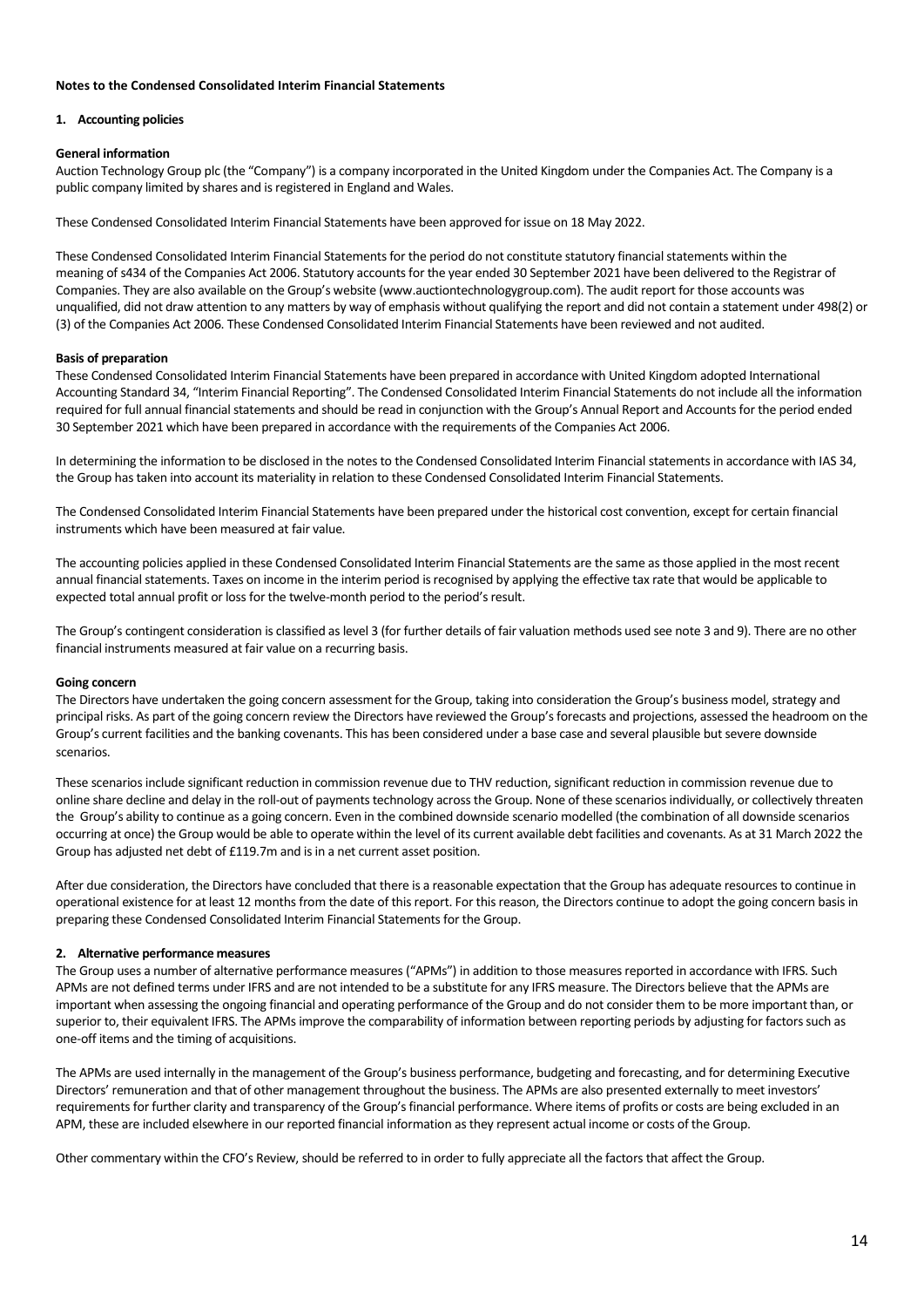# **Notes to the Condensed Consolidated Interim Financial Statements**

#### **1. Accounting policies**

## **General information**

Auction Technology Group plc (the "Company") is a company incorporated in the United Kingdom under the Companies Act. The Company is a public company limited by shares and is registered in England and Wales.

These Condensed Consolidated Interim Financial Statements have been approved for issue on 18 May 2022.

These Condensed Consolidated Interim Financial Statements for the period do not constitute statutory financial statements within the meaning of s434 of the Companies Act 2006. Statutory accounts for the year ended 30 September 2021 have been delivered to the Registrar of Companies. They are also available on the Group's website (www.auctiontechnologygroup.com). The audit report for those accounts was unqualified, did not draw attention to any matters by way of emphasis without qualifying the report and did not contain a statement under 498(2) or (3) of the Companies Act 2006. These Condensed Consolidated Interim Financial Statements have been reviewed and not audited.

#### **Basis of preparation**

These Condensed Consolidated Interim Financial Statements have been prepared in accordance with United Kingdom adopted International Accounting Standard 34, "Interim Financial Reporting". The Condensed Consolidated Interim Financial Statements do not include all the information required for full annual financial statements and should be read in conjunction with the Group's Annual Report and Accounts for the period ended 30 September 2021 which have been prepared in accordance with the requirements of the Companies Act 2006.

In determining the information to be disclosed in the notes to the Condensed Consolidated Interim Financial statements in accordance with IAS 34, the Group has taken into account its materiality in relation to these Condensed Consolidated Interim Financial Statements.

The Condensed Consolidated Interim Financial Statements have been prepared under the historical cost convention, except for certain financial instruments which have been measured at fair value.

The accounting policies applied in these Condensed Consolidated Interim Financial Statements are the same as those applied in the most recent annual financial statements. Taxes on income in the interim period is recognised by applying the effective tax rate that would be applicable to expected total annual profit or loss for the twelve-month period to the period's result.

The Group's contingent consideration is classified as level 3 (for further details of fair valuation methods used see note 3 and 9). There are no other financial instruments measured at fair value on a recurring basis.

#### **Going concern**

The Directors have undertaken the going concern assessment for the Group, taking into consideration the Group's business model, strategy and principal risks. As part of the going concern review the Directors have reviewed the Group's forecasts and projections, assessed the headroom on the Group's current facilities and the banking covenants. This has been considered under a base case and several plausible but severe downside scenarios.

These scenarios include significant reduction in commission revenue due to THV reduction, significant reduction in commission revenue due to online share decline and delay in the roll-out of payments technology across the Group. None of these scenarios individually, or collectively threaten the Group's ability to continue as a going concern. Even in the combined downside scenario modelled (the combination of all downside scenarios occurring at once) the Group would be able to operate within the level of its current available debt facilities and covenants. As at 31 March 2022 the Group has adjusted net debt of £119.7m and is in a net current asset position.

After due consideration, the Directors have concluded that there is a reasonable expectation that the Group has adequate resources to continue in operational existence for at least 12 months from the date of this report. For this reason, the Directors continue to adopt the going concern basis in preparing these Condensed Consolidated Interim Financial Statements for the Group.

# **2. Alternative performance measures**

The Group uses a number of alternative performance measures ("APMs") in addition to those measures reported in accordance with IFRS. Such APMs are not defined terms under IFRS and are not intended to be a substitute for any IFRS measure. The Directors believe that the APMs are important when assessing the ongoing financial and operating performance of the Group and do not consider them to be more important than, or superior to, their equivalent IFRS. The APMs improve the comparability of information between reporting periods by adjusting for factors such as one-off items and the timing of acquisitions.

The APMs are used internally in the management of the Group's business performance, budgeting and forecasting, and for determining Executive Directors' remuneration and that of other management throughout the business. The APMs are also presented externally to meet investors' requirements for further clarity and transparency of the Group's financial performance. Where items of profits or costs are being excluded in an APM, these are included elsewhere in our reported financial information as they represent actual income or costs of the Group.

Other commentary within the CFO's Review, should be referred to in order to fully appreciate all the factors that affect the Group.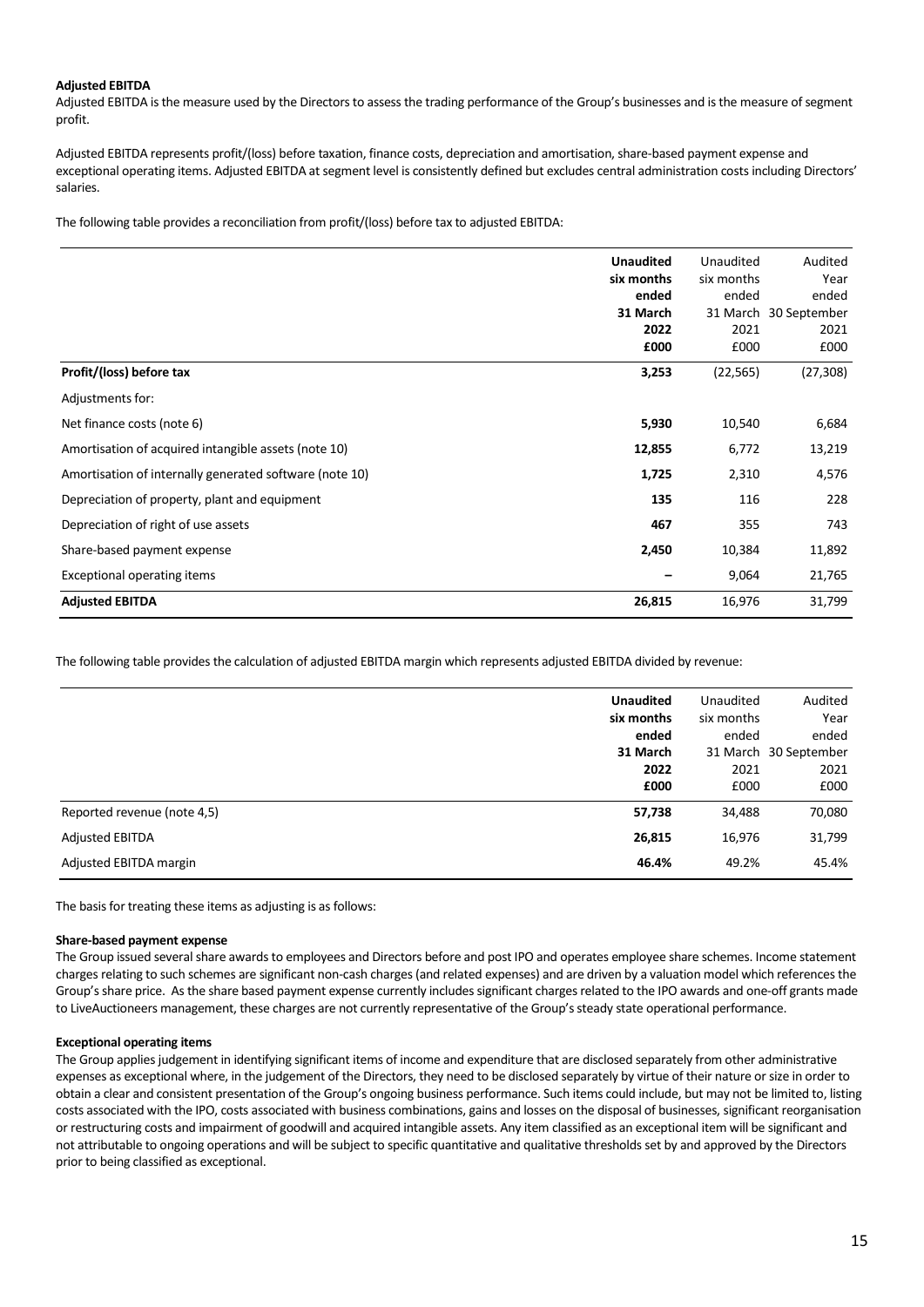# **Adjusted EBITDA**

Adjusted EBITDA is the measure used by the Directors to assess the trading performance of the Group's businesses and is the measure of segment profit.

Adjusted EBITDA represents profit/(loss) before taxation, finance costs, depreciation and amortisation, share-based payment expense and exceptional operating items. Adjusted EBITDA at segment level is consistently defined but excludes central administration costs including Directors' salaries.

The following table provides a reconciliation from profit/(loss) before tax to adjusted EBITDA:

|                                                         | <b>Unaudited</b><br>six months<br>ended<br>31 March<br>2022<br>£000 | Unaudited<br>six months<br>ended<br>2021<br>£000 | Audited<br>Year<br>ended<br>31 March 30 September<br>2021<br>£000 |
|---------------------------------------------------------|---------------------------------------------------------------------|--------------------------------------------------|-------------------------------------------------------------------|
| Profit/(loss) before tax                                | 3,253                                                               | (22, 565)                                        | (27, 308)                                                         |
| Adjustments for:                                        |                                                                     |                                                  |                                                                   |
| Net finance costs (note 6)                              | 5,930                                                               | 10,540                                           | 6,684                                                             |
| Amortisation of acquired intangible assets (note 10)    | 12,855                                                              | 6,772                                            | 13,219                                                            |
| Amortisation of internally generated software (note 10) | 1,725                                                               | 2,310                                            | 4,576                                                             |
| Depreciation of property, plant and equipment           | 135                                                                 | 116                                              | 228                                                               |
| Depreciation of right of use assets                     | 467                                                                 | 355                                              | 743                                                               |
| Share-based payment expense                             | 2,450                                                               | 10,384                                           | 11,892                                                            |
| <b>Exceptional operating items</b>                      |                                                                     | 9,064                                            | 21,765                                                            |
| <b>Adjusted EBITDA</b>                                  | 26,815                                                              | 16,976                                           | 31,799                                                            |

The following table provides the calculation of adjusted EBITDA margin which represents adjusted EBITDA divided by revenue:

|                             | <b>Unaudited</b><br>six months<br>ended<br>31 March<br>2022<br>£000 | Unaudited<br>six months<br>ended<br>2021<br>£000 | Audited<br>Year<br>ended<br>31 March 30 September<br>2021<br>£000 |
|-----------------------------|---------------------------------------------------------------------|--------------------------------------------------|-------------------------------------------------------------------|
| Reported revenue (note 4,5) | 57,738                                                              | 34,488                                           | 70,080                                                            |
| <b>Adjusted EBITDA</b>      | 26,815                                                              | 16,976                                           | 31,799                                                            |
| Adjusted EBITDA margin      | 46.4%                                                               | 49.2%                                            | 45.4%                                                             |

The basis for treating these items as adjusting is as follows:

# **Share-based payment expense**

The Group issued several share awards to employees and Directors before and post IPO and operates employee share schemes. Income statement charges relating to such schemes are significant non-cash charges (and related expenses) and are driven by a valuation model which references the Group's share price. As the share based payment expense currently includes significant charges related to the IPO awards and one-off grants made to LiveAuctioneers management, these charges are not currently representative of the Group's steady state operational performance.

# **Exceptional operating items**

The Group applies judgement in identifying significant items of income and expenditure that are disclosed separately from other administrative expenses as exceptional where, in the judgement of the Directors, they need to be disclosed separately by virtue of their nature or size in order to obtain a clear and consistent presentation of the Group's ongoing business performance. Such items could include, but may not be limited to, listing costs associated with the IPO, costs associated with business combinations, gains and losses on the disposal of businesses, significant reorganisation or restructuring costs and impairment of goodwill and acquired intangible assets. Any item classified as an exceptional item will be significant and not attributable to ongoing operations and will be subject to specific quantitative and qualitative thresholds set by and approved by the Directors prior to being classified as exceptional.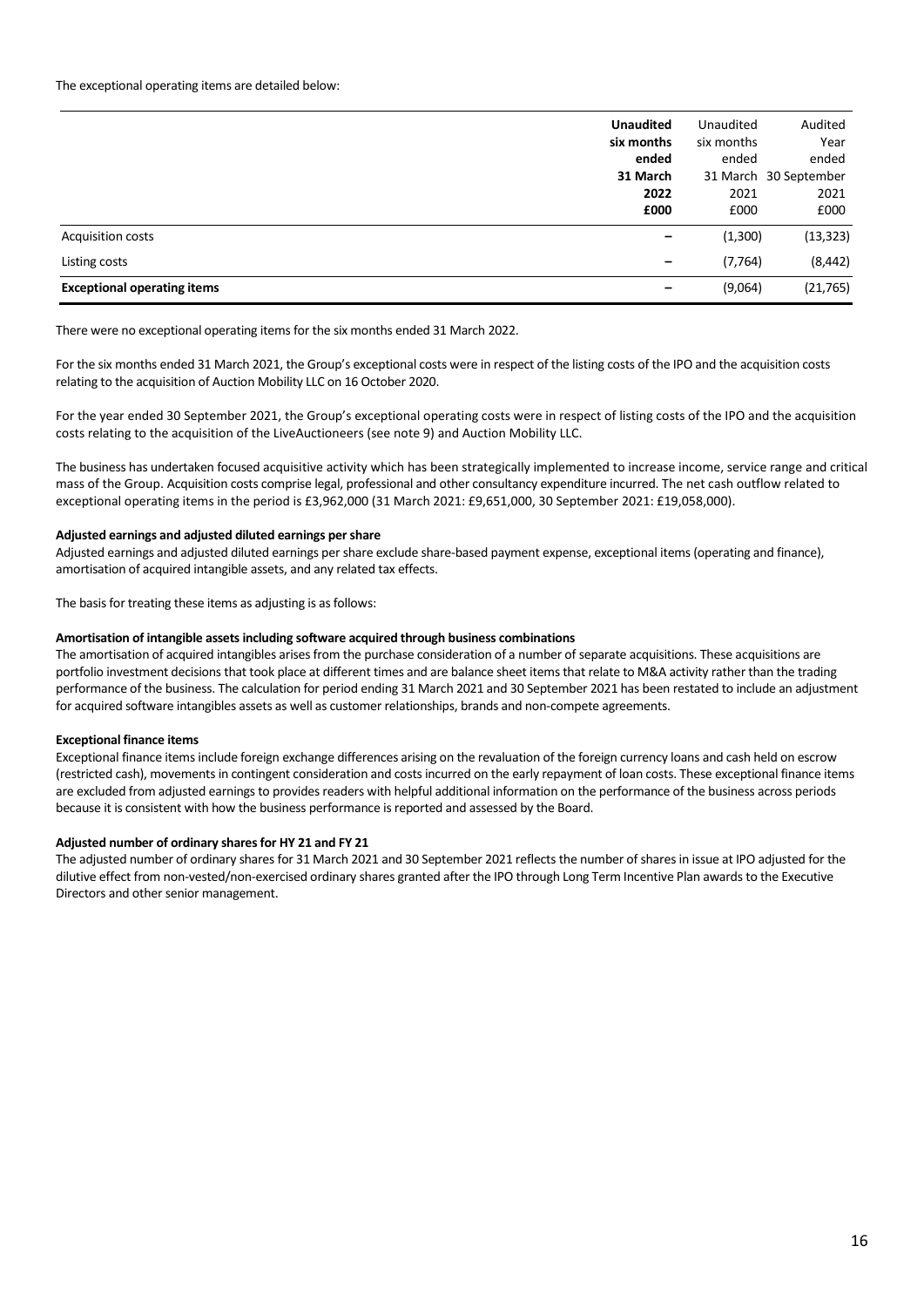|                                    | <b>Unaudited</b><br>six months<br>ended | Unaudited<br>six months<br>ended | Audited<br>Year<br>ended |
|------------------------------------|-----------------------------------------|----------------------------------|--------------------------|
|                                    | 31 March                                |                                  | 31 March 30 September    |
|                                    | 2022<br>£000                            | 2021<br>£000                     | 2021<br>£000             |
| <b>Acquisition costs</b>           | $\overline{\phantom{0}}$                | (1,300)                          | (13, 323)                |
| Listing costs                      | -                                       | (7, 764)                         | (8, 442)                 |
| <b>Exceptional operating items</b> | —                                       | (9,064)                          | (21, 765)                |

There were no exceptional operating items for the six months ended 31 March 2022.

For the six months ended 31 March 2021, the Group's exceptional costs were in respect of the listing costs of the IPO and the acquisition costs relating to the acquisition of Auction Mobility LLC on 16 October 2020.

For the year ended 30 September 2021, the Group's exceptional operating costs were in respect of listing costs of the IPO and the acquisition costs relating to the acquisition of the LiveAuctioneers (see note 9) and Auction Mobility LLC.

The business has undertaken focused acquisitive activity which has been strategically implemented to increase income, service range and critical mass of the Group. Acquisition costs comprise legal, professional and other consultancy expenditure incurred. The net cash outflow related to exceptional operating items in the period is £3,962,000 (31 March 2021: £9,651,000, 30 September 2021: £19,058,000).

#### **Adjusted earnings and adjusted diluted earnings per share**

Adjusted earnings and adjusted diluted earnings per share exclude share-based payment expense, exceptional items (operating and finance), amortisation of acquired intangible assets, and any related tax effects.

The basis for treating these items as adjusting is as follows:

#### **Amortisation of intangible assets including software acquired through business combinations**

The amortisation of acquired intangibles arises from the purchase consideration of a number of separate acquisitions. These acquisitions are portfolio investment decisions that took place at different times and are balance sheet items that relate to M&A activity rather than the trading performance of the business. The calculation for period ending 31 March 2021 and 30 September 2021 has been restated to include an adjustment for acquired software intangibles assets as well as customer relationships, brands and non-compete agreements.

# **Exceptional finance items**

Exceptional finance items include foreign exchange differences arising on the revaluation of the foreign currency loans and cash held on escrow (restricted cash), movements in contingent consideration and costs incurred on the early repayment of loan costs. These exceptional finance items are excluded from adjusted earnings to provides readers with helpful additional information on the performance of the business across periods because it is consistent with how the business performance is reported and assessed by the Board.

# **Adjusted number of ordinary sharesfor HY 21 and FY 21**

The adjusted number of ordinary shares for 31 March 2021 and 30 September 2021 reflects the number of shares in issue at IPO adjusted for the dilutive effect from non-vested/non-exercised ordinary shares granted after the IPO through Long Term Incentive Plan awards to the Executive Directors and other senior management.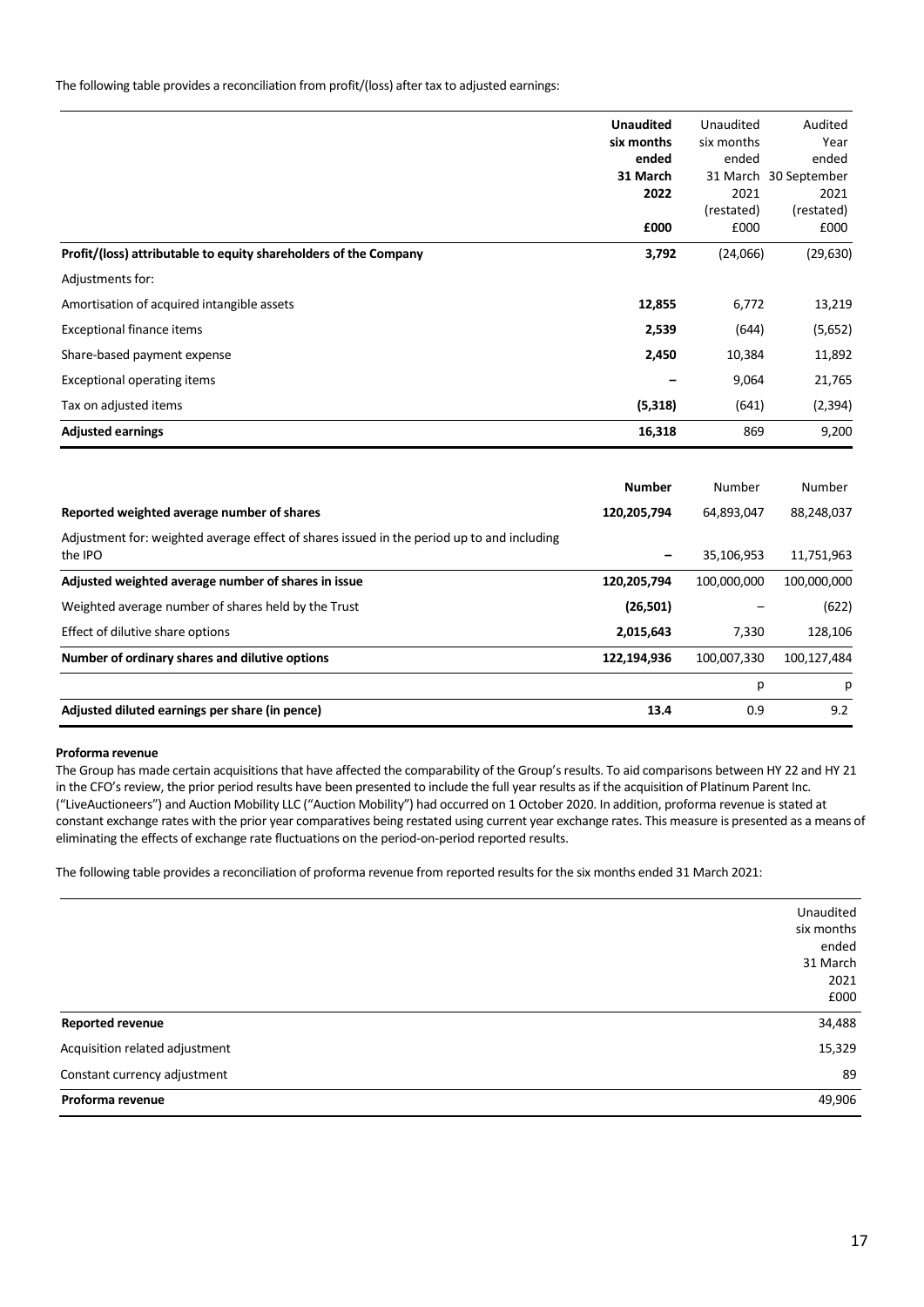The following table provides a reconciliation from profit/(loss) after tax to adjusted earnings:

| Reported weighted average number of shares                       | <b>Number</b><br>120,205,794 | Number<br>64,893,047 | Number<br>88,248,037          |
|------------------------------------------------------------------|------------------------------|----------------------|-------------------------------|
|                                                                  |                              |                      |                               |
| <b>Adjusted earnings</b>                                         | 16,318                       | 869                  | 9,200                         |
| Tax on adjusted items                                            | (5, 318)                     | (641)                | (2, 394)                      |
| <b>Exceptional operating items</b>                               |                              | 9,064                | 21,765                        |
| Share-based payment expense                                      | 2,450                        | 10,384               | 11,892                        |
| Exceptional finance items                                        | 2,539                        | (644)                | (5,652)                       |
| Amortisation of acquired intangible assets                       | 12,855                       | 6,772                | 13,219                        |
| Adjustments for:                                                 |                              |                      |                               |
| Profit/(loss) attributable to equity shareholders of the Company | 3,792                        | (24,066)             | (29, 630)                     |
|                                                                  | £000                         | £000                 | £000                          |
|                                                                  |                              | (restated)           | (restated)                    |
|                                                                  | 31 March<br>2022             | 2021                 | 31 March 30 September<br>2021 |
|                                                                  | ended                        | ended                | ended                         |
|                                                                  | six months                   | six months           | Year                          |
|                                                                  | <b>Unaudited</b>             | Unaudited            | Audited                       |

| Weighted average number of shares held by the Trust | (26,501)    | $\overline{\phantom{m}}$ | (622)       |
|-----------------------------------------------------|-------------|--------------------------|-------------|
| Effect of dilutive share options                    | 2,015,643   | 7.330                    | 128.106     |
| Number of ordinary shares and dilutive options      | 122,194,936 | 100.007.330              | 100.127.484 |
|                                                     |             |                          | D.          |
| Adjusted diluted earnings per share (in pence)      | 13.4        | 0.9                      | 9.2         |

#### **Proforma revenue**

The Group has made certain acquisitions that have affected the comparability of the Group's results. To aid comparisons between HY 22 and HY 21 in the CFO's review, the prior period results have been presented to include the full year results as if the acquisition of Platinum Parent Inc. ("LiveAuctioneers") and Auction Mobility LLC ("Auction Mobility") had occurred on 1 October 2020. In addition, proforma revenue is stated at constant exchange rates with the prior year comparatives being restated using current year exchange rates. This measure is presented as a means of eliminating the effects of exchange rate fluctuations on the period-on-period reported results.

The following table provides a reconciliation of proforma revenue from reported results for the six months ended 31 March 2021:

|                                | Unaudited  |
|--------------------------------|------------|
|                                | six months |
|                                | ended      |
|                                | 31 March   |
|                                | 2021       |
|                                | £000       |
| <b>Reported revenue</b>        | 34,488     |
| Acquisition related adjustment | 15,329     |
| Constant currency adjustment   | 89         |
| Proforma revenue               | 49,906     |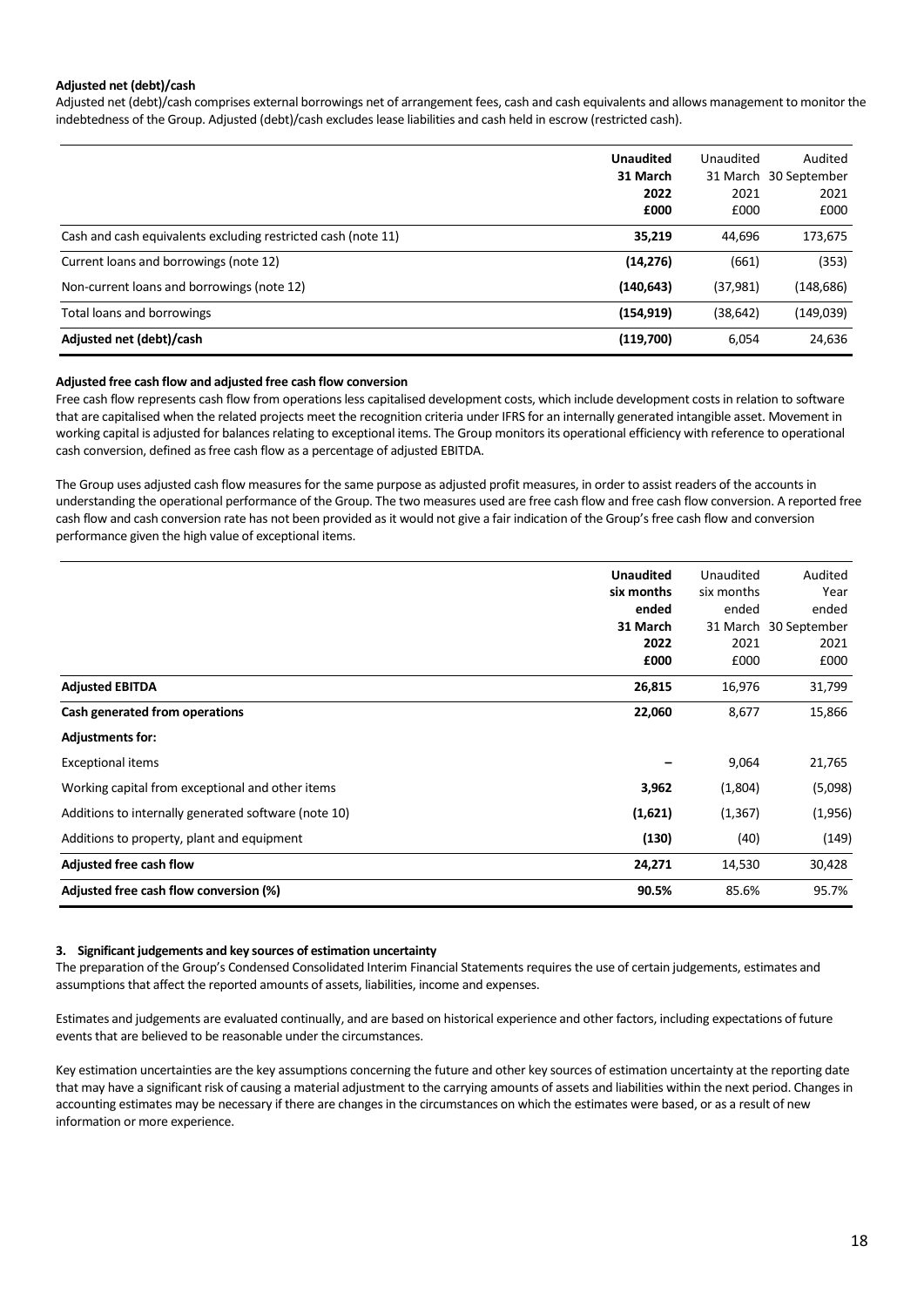# **Adjusted net (debt)/cash**

Adjusted net (debt)/cash comprises external borrowings net of arrangement fees, cash and cash equivalents and allows management to monitor the indebtedness of the Group. Adjusted (debt)/cash excludes lease liabilities and cash held in escrow (restricted cash).

|                                                               | <b>Unaudited</b><br>31 March | Unaudited    | Audited<br>31 March 30 September |
|---------------------------------------------------------------|------------------------------|--------------|----------------------------------|
|                                                               | 2022<br>£000                 | 2021<br>£000 | 2021<br>£000                     |
| Cash and cash equivalents excluding restricted cash (note 11) | 35,219                       | 44.696       | 173,675                          |
| Current loans and borrowings (note 12)                        | (14, 276)                    | (661)        | (353)                            |
| Non-current loans and borrowings (note 12)                    | (140, 643)                   | (37, 981)    | (148, 686)                       |
| Total loans and borrowings                                    | (154, 919)                   | (38, 642)    | (149,039)                        |
| Adjusted net (debt)/cash                                      | (119,700)                    | 6,054        | 24,636                           |

#### **Adjusted free cash flow and adjusted free cash flow conversion**

Free cash flow represents cash flow from operations less capitalised development costs, which include development costs in relation to software that are capitalised when the related projects meet the recognition criteria under IFRS for an internally generated intangible asset. Movement in working capital is adjusted for balances relating to exceptional items. The Group monitors its operational efficiency with reference to operational cash conversion, defined as free cash flow as a percentage of adjusted EBITDA.

The Group uses adjusted cash flow measures for the same purpose as adjusted profit measures, in order to assist readers of the accounts in understanding the operational performance of the Group. The two measures used are free cash flow and free cash flow conversion. A reported free cash flow and cash conversion rate has not been provided as it would not give a fair indication of the Group's free cash flow and conversion performance given the high value of exceptional items.

|                                                      | <b>Unaudited</b><br>six months<br>ended<br>31 March<br>2022<br>£000 | Unaudited<br>six months<br>ended<br>2021<br>£000 | Audited<br>Year<br>ended<br>31 March 30 September<br>2021<br>£000 |
|------------------------------------------------------|---------------------------------------------------------------------|--------------------------------------------------|-------------------------------------------------------------------|
| <b>Adjusted EBITDA</b>                               | 26,815                                                              | 16,976                                           | 31,799                                                            |
| Cash generated from operations                       | 22,060                                                              | 8,677                                            | 15,866                                                            |
| <b>Adjustments for:</b>                              |                                                                     |                                                  |                                                                   |
| <b>Exceptional items</b>                             |                                                                     | 9,064                                            | 21,765                                                            |
| Working capital from exceptional and other items     | 3,962                                                               | (1,804)                                          | (5,098)                                                           |
| Additions to internally generated software (note 10) | (1,621)                                                             | (1, 367)                                         | (1,956)                                                           |
| Additions to property, plant and equipment           | (130)                                                               | (40)                                             | (149)                                                             |
| Adjusted free cash flow                              | 24,271                                                              | 14,530                                           | 30,428                                                            |
| Adjusted free cash flow conversion (%)               | 90.5%                                                               | 85.6%                                            | 95.7%                                                             |

# **3. Significant judgements and key sources of estimation uncertainty**

The preparation of the Group's Condensed Consolidated Interim Financial Statements requires the use of certain judgements, estimates and assumptions that affect the reported amounts of assets, liabilities, income and expenses.

Estimates and judgements are evaluated continually, and are based on historical experience and other factors, including expectations of future events that are believed to be reasonable under the circumstances.

Key estimation uncertainties are the key assumptions concerning the future and other key sources of estimation uncertainty at the reporting date that may have a significant risk of causing a material adjustment to the carrying amounts of assets and liabilities within the next period. Changes in accounting estimates may be necessary if there are changes in the circumstances on which the estimates were based, or as a result of new information or more experience.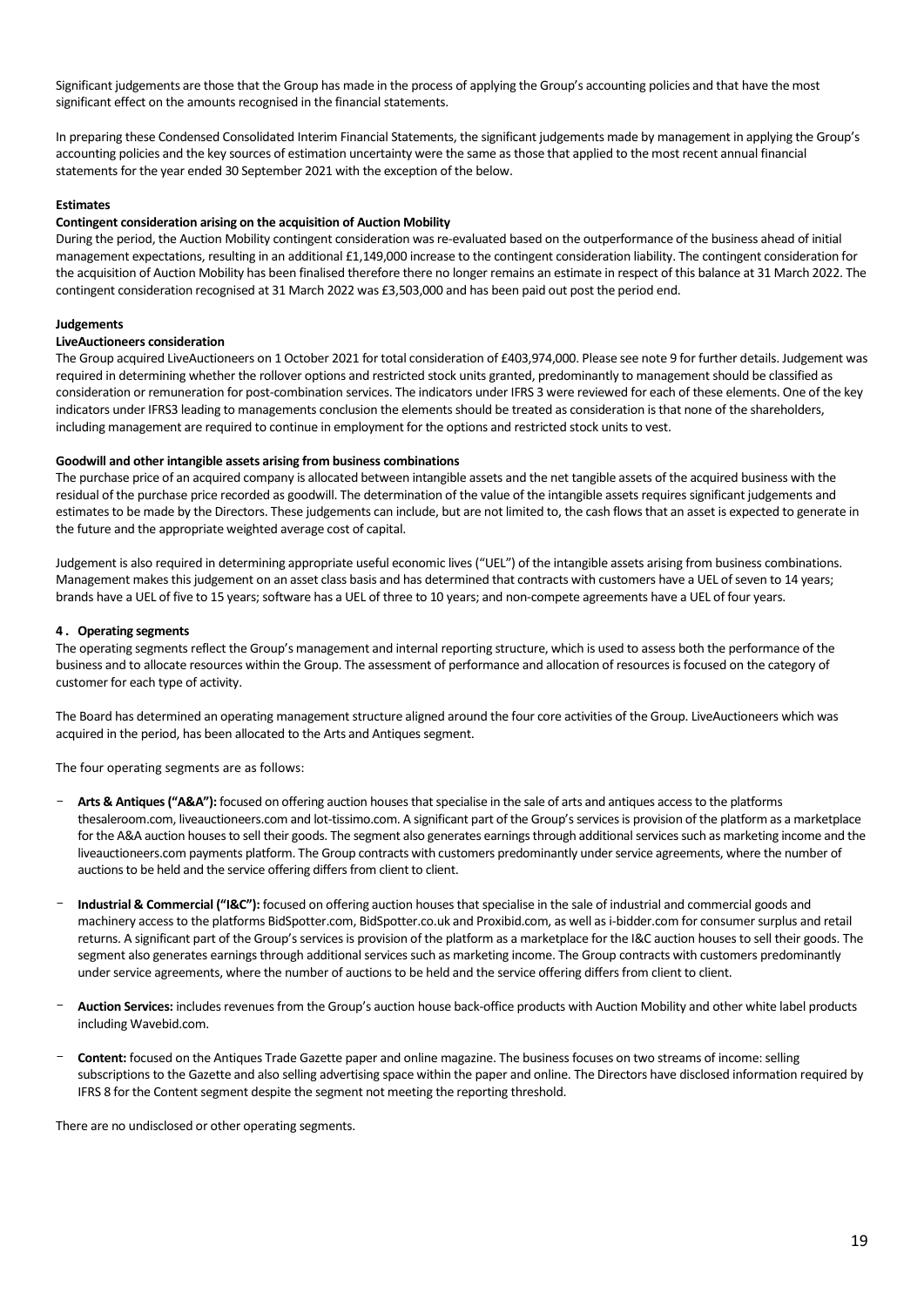Significant judgements are those that the Group has made in the process of applying the Group's accounting policies and that have the most significant effect on the amounts recognised in the financial statements.

In preparing these Condensed Consolidated Interim Financial Statements, the significant judgements made by management in applying the Group's accounting policies and the key sources of estimation uncertainty were the same as those that applied to the most recent annual financial statements for the year ended 30 September 2021 with the exception of the below.

# **Estimates**

## **Contingent consideration arising on the acquisition of Auction Mobility**

During the period, the Auction Mobility contingent consideration was re-evaluated based on the outperformance of the business ahead of initial management expectations, resulting in an additional £1,149,000 increase to the contingent consideration liability. The contingent consideration for the acquisition of Auction Mobility has been finalised therefore there no longer remains an estimate in respect of this balance at 31 March 2022. The contingent consideration recognised at 31 March 2022 was £3,503,000 and has been paid out post the period end.

#### **Judgements**

#### **LiveAuctioneers consideration**

The Group acquired LiveAuctioneers on 1 October 2021 for total consideration of £403,974,000. Please see note 9 for further details. Judgement was required in determining whether the rollover options and restricted stock units granted, predominantly to management should be classified as consideration or remuneration for post-combination services. The indicators under IFRS 3 were reviewed for each of these elements. One of the key indicators under IFRS3 leading to managements conclusion the elements should be treated as consideration is that none of the shareholders, including management are required to continue in employment for the options and restricted stock units to vest.

#### **Goodwill and other intangible assets arising from business combinations**

The purchase price of an acquired company is allocated between intangible assets and the net tangible assets of the acquired business with the residual of the purchase price recorded as goodwill. The determination of the value of the intangible assets requires significant judgements and estimates to be made by the Directors. These judgements can include, but are not limited to, the cash flows that an asset is expected to generate in the future and the appropriate weighted average cost of capital.

Judgement is also required in determining appropriate useful economic lives ("UEL") of the intangible assets arising from business combinations. Management makes this judgement on an asset class basis and has determined that contracts with customers have a UEL of seven to 14 years; brands have a UEL of five to 15 years; software has a UEL of three to 10 years; and non-compete agreements have a UEL of four years.

#### **4 . Operating segments**

The operating segments reflect the Group's management and internal reporting structure, which is used to assess both the performance of the business and to allocate resources within the Group. The assessment of performance and allocation of resources is focused on the category of customer for each type of activity.

The Board has determined an operating management structure aligned around the four core activities of the Group. LiveAuctioneers which was acquired in the period, has been allocated to the Arts and Antiques segment.

The four operating segments are as follows:

- **Arts & Antiques ("A&A"):** focused on offering auction houses that specialise in the sale of arts and antiques access to the platforms thesaleroom.com, liveauctioneers.com and lot-tissimo.com. A significant part of the Group's services is provision of the platform as a marketplace for the A&A auction houses to sell their goods. The segment also generates earnings through additional services such as marketing income and the liveauctioneers.com payments platform. The Group contracts with customers predominantly under service agreements, where the number of auctions to be held and the service offering differs from client to client.
- **Industrial & Commercial ("I&C"):** focused on offering auction houses that specialise in the sale of industrial and commercial goods and machinery access to the platforms BidSpotter.com, BidSpotter.co.uk and Proxibid.com, as well as i-bidder.com for consumer surplus and retail returns. A significant part of the Group's services is provision of the platform as a marketplace for the I&C auction houses to sell their goods. The segment also generates earnings through additional services such as marketing income. The Group contracts with customers predominantly under service agreements, where the number of auctions to be held and the service offering differs from client to client.
- **Auction Services:** includes revenues from the Group's auction house back-office products with Auction Mobility and other white label products including Wavebid.com.
- **Content:** focused on the Antiques Trade Gazette paper and online magazine. The business focuses on two streams of income: selling subscriptions to the Gazette and also selling advertising space within the paper and online. The Directors have disclosed information required by IFRS 8 for the Content segment despite the segment not meeting the reporting threshold.

There are no undisclosed or other operating segments.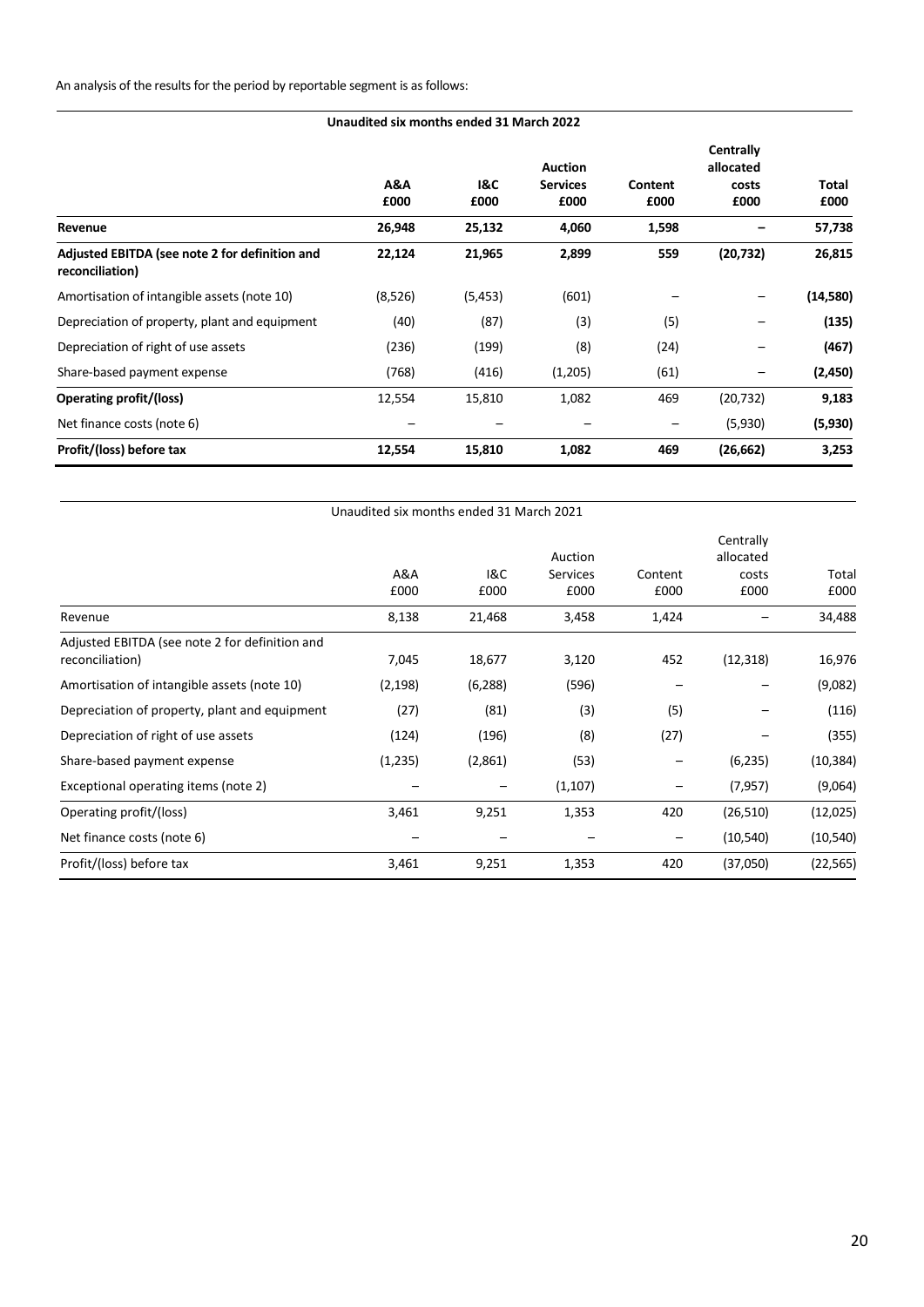| Unaudited six months ended 31 March 2022                          |             |             |                                           |                 |                                                |                      |
|-------------------------------------------------------------------|-------------|-------------|-------------------------------------------|-----------------|------------------------------------------------|----------------------|
|                                                                   | A&A<br>£000 | 1&C<br>£000 | <b>Auction</b><br><b>Services</b><br>£000 | Content<br>£000 | <b>Centrally</b><br>allocated<br>costs<br>£000 | <b>Total</b><br>£000 |
| Revenue                                                           | 26,948      | 25,132      | 4,060                                     | 1,598           |                                                | 57,738               |
| Adjusted EBITDA (see note 2 for definition and<br>reconciliation) | 22,124      | 21,965      | 2,899                                     | 559             | (20, 732)                                      | 26,815               |
| Amortisation of intangible assets (note 10)                       | (8,526)     | (5, 453)    | (601)                                     |                 |                                                | (14,580)             |
| Depreciation of property, plant and equipment                     | (40)        | (87)        | (3)                                       | (5)             |                                                | (135)                |
| Depreciation of right of use assets                               | (236)       | (199)       | (8)                                       | (24)            |                                                | (467)                |
| Share-based payment expense                                       | (768)       | (416)       | (1,205)                                   | (61)            |                                                | (2,450)              |
| Operating profit/(loss)                                           | 12,554      | 15,810      | 1,082                                     | 469             | (20, 732)                                      | 9,183                |
| Net finance costs (note 6)                                        |             |             |                                           |                 | (5,930)                                        | (5,930)              |
| Profit/(loss) before tax                                          | 12,554      | 15,810      | 1,082                                     | 469             | (26, 662)                                      | 3,253                |

|                                                                   | Unaudited six months ended 31 March 2021 |             |                                    |                 |                                         |               |
|-------------------------------------------------------------------|------------------------------------------|-------------|------------------------------------|-----------------|-----------------------------------------|---------------|
|                                                                   | A&A<br>£000                              | 18C<br>£000 | Auction<br><b>Services</b><br>£000 | Content<br>£000 | Centrally<br>allocated<br>costs<br>£000 | Total<br>£000 |
| Revenue                                                           | 8,138                                    | 21,468      | 3,458                              | 1,424           |                                         | 34,488        |
| Adjusted EBITDA (see note 2 for definition and<br>reconciliation) | 7,045                                    | 18,677      | 3,120                              | 452             | (12, 318)                               | 16,976        |
| Amortisation of intangible assets (note 10)                       | (2, 198)                                 | (6, 288)    | (596)                              |                 |                                         | (9,082)       |
| Depreciation of property, plant and equipment                     | (27)                                     | (81)        | (3)                                | (5)             |                                         | (116)         |
| Depreciation of right of use assets                               | (124)                                    | (196)       | (8)                                | (27)            |                                         | (355)         |
| Share-based payment expense                                       | (1,235)                                  | (2,861)     | (53)                               |                 | (6, 235)                                | (10, 384)     |
| Exceptional operating items (note 2)                              |                                          |             | (1, 107)                           |                 | (7, 957)                                | (9,064)       |
| Operating profit/(loss)                                           | 3,461                                    | 9,251       | 1,353                              | 420             | (26, 510)                               | (12,025)      |
| Net finance costs (note 6)                                        |                                          |             |                                    | -               | (10, 540)                               | (10, 540)     |
| Profit/(loss) before tax                                          | 3,461                                    | 9,251       | 1,353                              | 420             | (37,050)                                | (22, 565)     |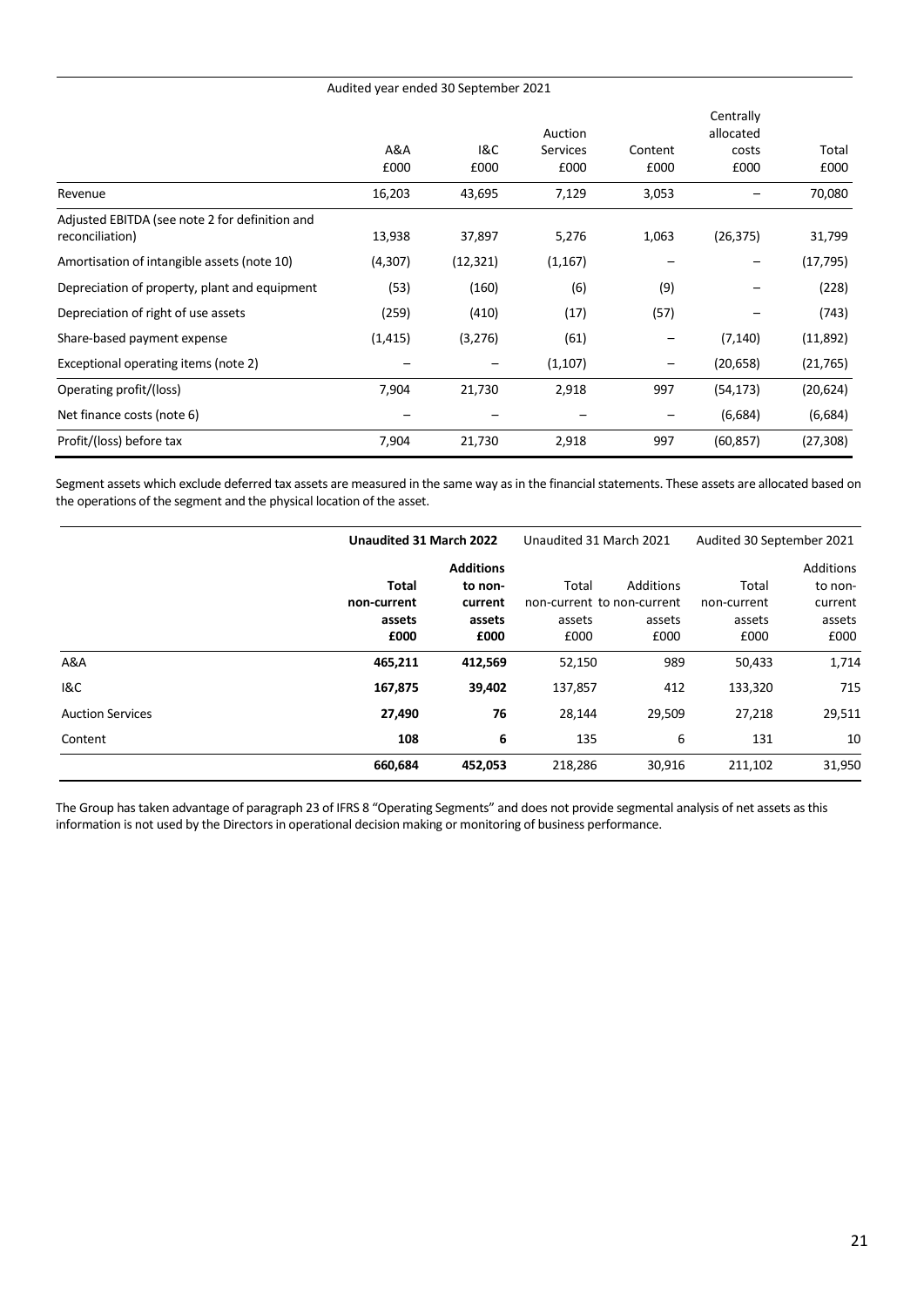| Audited year ended 30 September 2021                              |             |             |                             |                 |                                         |               |
|-------------------------------------------------------------------|-------------|-------------|-----------------------------|-----------------|-----------------------------------------|---------------|
|                                                                   | A&A<br>£000 | 1&C<br>£000 | Auction<br>Services<br>£000 | Content<br>£000 | Centrally<br>allocated<br>costs<br>£000 | Total<br>£000 |
| Revenue                                                           | 16,203      | 43,695      | 7,129                       | 3,053           |                                         | 70,080        |
| Adjusted EBITDA (see note 2 for definition and<br>reconciliation) | 13,938      | 37,897      | 5,276                       | 1,063           | (26, 375)                               | 31,799        |
| Amortisation of intangible assets (note 10)                       | (4, 307)    | (12, 321)   | (1, 167)                    |                 |                                         | (17, 795)     |
| Depreciation of property, plant and equipment                     | (53)        | (160)       | (6)                         | (9)             |                                         | (228)         |
| Depreciation of right of use assets                               | (259)       | (410)       | (17)                        | (57)            |                                         | (743)         |
| Share-based payment expense                                       | (1, 415)    | (3,276)     | (61)                        | -               | (7, 140)                                | (11,892)      |
| Exceptional operating items (note 2)                              |             |             | (1,107)                     | —               | (20, 658)                               | (21, 765)     |
| Operating profit/(loss)                                           | 7,904       | 21,730      | 2,918                       | 997             | (54, 173)                               | (20, 624)     |
| Net finance costs (note 6)                                        |             |             |                             |                 | (6,684)                                 | (6,684)       |
| Profit/(loss) before tax                                          | 7,904       | 21,730      | 2,918                       | 997             | (60, 857)                               | (27, 308)     |

Segment assets which exclude deferred tax assets are measured in the same way as in the financial statements. These assets are allocated based on the operations of the segment and the physical location of the asset.

|                         | Unaudited 31 March 2022    |                  | Unaudited 31 March 2021 |                            | Audited 30 September 2021 |                  |
|-------------------------|----------------------------|------------------|-------------------------|----------------------------|---------------------------|------------------|
|                         |                            | <b>Additions</b> |                         |                            |                           | <b>Additions</b> |
|                         | Total                      | to non-          | Total                   | Additions                  | Total                     | to non-          |
|                         | non-current                | current          |                         | non-current to non-current | non-current               | current          |
|                         | assets<br>assets<br>assets |                  | assets                  | assets                     | assets                    |                  |
|                         | £000                       | £000             | £000                    | £000                       | £000                      | £000             |
| A&A                     | 465,211                    | 412,569          | 52,150                  | 989                        | 50,433                    | 1,714            |
| <b>1&amp;C</b>          | 167,875                    | 39,402           | 137,857                 | 412                        | 133,320                   | 715              |
| <b>Auction Services</b> | 27,490                     | 76               | 28,144                  | 29,509                     | 27,218                    | 29,511           |
| Content                 | 108                        | 6                | 135                     | 6                          | 131                       | 10               |
|                         | 660,684                    | 452,053          | 218,286                 | 30,916                     | 211,102                   | 31,950           |

The Group has taken advantage of paragraph 23 of IFRS 8 "Operating Segments" and does not provide segmental analysis of net assets as this information is not used by the Directors in operational decision making or monitoring of business performance.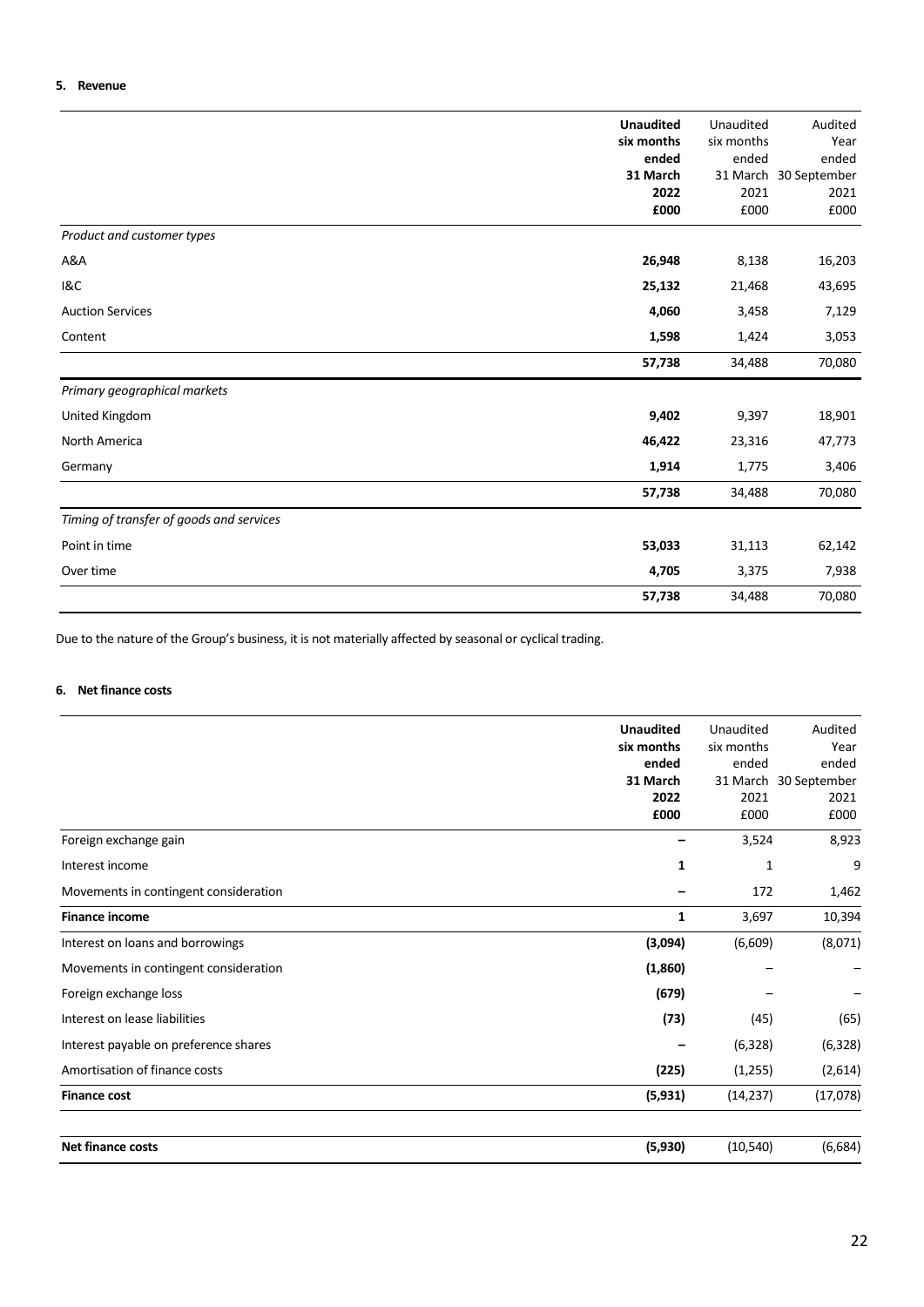# **5. Revenue**

|                                          | <b>Unaudited</b><br>six months<br>ended<br>31 March<br>2022<br>£000 | Unaudited<br>six months<br>ended<br>2021<br>£000 | Audited<br>Year<br>ended<br>31 March 30 September<br>2021<br>£000 |
|------------------------------------------|---------------------------------------------------------------------|--------------------------------------------------|-------------------------------------------------------------------|
| Product and customer types               |                                                                     |                                                  |                                                                   |
| A&A                                      | 26,948                                                              | 8,138                                            | 16,203                                                            |
| <b>1&amp;C</b>                           | 25,132                                                              | 21,468                                           | 43,695                                                            |
| <b>Auction Services</b>                  | 4,060                                                               | 3,458                                            | 7,129                                                             |
| Content                                  | 1,598                                                               | 1,424                                            | 3,053                                                             |
|                                          | 57,738                                                              | 34,488                                           | 70,080                                                            |
| Primary geographical markets             |                                                                     |                                                  |                                                                   |
| United Kingdom                           | 9,402                                                               | 9,397                                            | 18,901                                                            |
| North America                            | 46,422                                                              | 23,316                                           | 47,773                                                            |
| Germany                                  | 1,914                                                               | 1,775                                            | 3,406                                                             |
|                                          | 57,738                                                              | 34,488                                           | 70,080                                                            |
| Timing of transfer of goods and services |                                                                     |                                                  |                                                                   |
| Point in time                            | 53,033                                                              | 31,113                                           | 62,142                                                            |
| Over time                                | 4,705                                                               | 3,375                                            | 7,938                                                             |
|                                          | 57,738                                                              | 34,488                                           | 70,080                                                            |

Due to the nature of the Group's business, it is not materially affected by seasonal or cyclical trading.

# **6. Net finance costs**

|                                       | <b>Unaudited</b> | Unaudited  | Audited               |
|---------------------------------------|------------------|------------|-----------------------|
|                                       | six months       | six months | Year                  |
|                                       | ended            | ended      | ended                 |
|                                       | 31 March         |            | 31 March 30 September |
|                                       | 2022             | 2021       | 2021                  |
|                                       | £000             | £000       | £000                  |
| Foreign exchange gain                 |                  | 3,524      | 8,923                 |
| Interest income                       | 1                | 1          | 9                     |
| Movements in contingent consideration |                  | 172        | 1,462                 |
| <b>Finance income</b>                 | 1                | 3,697      | 10,394                |
| Interest on loans and borrowings      | (3,094)          | (6,609)    | (8,071)               |
| Movements in contingent consideration | (1,860)          |            |                       |
| Foreign exchange loss                 | (679)            |            |                       |
| Interest on lease liabilities         | (73)             | (45)       | (65)                  |
| Interest payable on preference shares |                  | (6,328)    | (6, 328)              |
| Amortisation of finance costs         | (225)            | (1,255)    | (2,614)               |
| <b>Finance cost</b>                   | (5, 931)         | (14, 237)  | (17,078)              |
| <b>Net finance costs</b>              | (5,930)          | (10, 540)  | (6,684)               |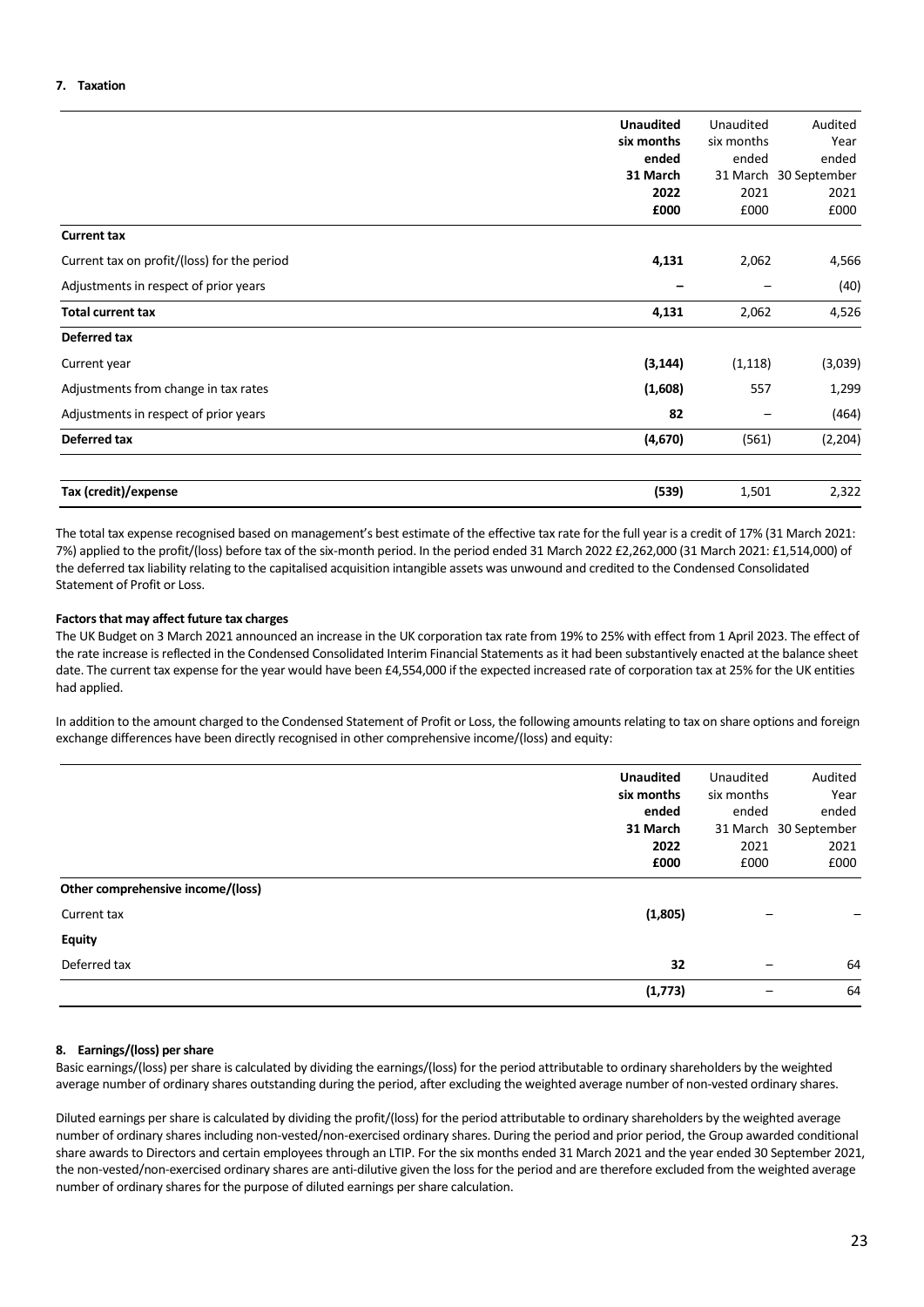|                                             | <b>Unaudited</b> | Unaudited  | Audited      |
|---------------------------------------------|------------------|------------|--------------|
|                                             |                  |            |              |
|                                             | six months       | six months | Year         |
|                                             | ended            | ended      | ended        |
|                                             | 31 March         | 31 March   | 30 September |
|                                             | 2022             | 2021       | 2021         |
|                                             | £000             | £000       | £000         |
| <b>Current tax</b>                          |                  |            |              |
| Current tax on profit/(loss) for the period | 4,131            | 2,062      | 4,566        |
| Adjustments in respect of prior years       |                  |            | (40)         |
| <b>Total current tax</b>                    | 4,131            | 2,062      | 4,526        |
| Deferred tax                                |                  |            |              |
| Current year                                | (3, 144)         | (1, 118)   | (3,039)      |
| Adjustments from change in tax rates        | (1,608)          | 557        | 1,299        |
| Adjustments in respect of prior years       | 82               |            | (464)        |
| <b>Deferred tax</b>                         | (4,670)          | (561)      | (2, 204)     |
| Tax (credit)/expense                        | (539)            | 1,501      | 2,322        |

The total tax expense recognised based on management's best estimate of the effective tax rate for the full year is a credit of 17% (31 March 2021: 7%) applied to the profit/(loss) before tax of the six-month period. In the period ended 31 March 2022 £2,262,000 (31 March 2021: £1,514,000) of the deferred tax liability relating to the capitalised acquisition intangible assets was unwound and credited to the Condensed Consolidated Statement of Profit or Loss.

# **Factors that may affect future tax charges**

The UK Budget on 3 March 2021 announced an increase in the UK corporation tax rate from 19% to 25% with effect from 1 April 2023. The effect of the rate increase is reflected in the Condensed Consolidated Interim Financial Statements as it had been substantively enacted at the balance sheet date. The current tax expense for the year would have been £4,554,000 if the expected increased rate of corporation tax at 25% for the UK entities had applied.

In addition to the amount charged to the Condensed Statement of Profit or Loss, the following amounts relating to tax on share options and foreign exchange differences have been directly recognised in other comprehensive income/(loss) and equity:

|                                   | <b>Unaudited</b> | Unaudited                | Audited               |
|-----------------------------------|------------------|--------------------------|-----------------------|
|                                   | six months       | six months               | Year                  |
|                                   | ended            | ended                    | ended                 |
|                                   | 31 March         |                          | 31 March 30 September |
|                                   | 2022             | 2021                     | 2021                  |
|                                   | £000             | £000                     | £000                  |
| Other comprehensive income/(loss) |                  |                          |                       |
| Current tax                       | (1,805)          |                          |                       |
| <b>Equity</b>                     |                  |                          |                       |
| Deferred tax                      | 32               | $\overline{\phantom{0}}$ | 64                    |
|                                   | (1,773)          |                          | 64                    |

# **8. Earnings/(loss) per share**

Basic earnings/(loss) per share is calculated by dividing the earnings/(loss) for the period attributable to ordinary shareholders by the weighted average number of ordinary shares outstanding during the period, after excluding the weighted average number of non-vested ordinary shares.

Diluted earnings per share is calculated by dividing the profit/(loss) for the period attributable to ordinary shareholders by the weighted average number of ordinary shares including non-vested/non-exercised ordinary shares. During the period and prior period, the Group awarded conditional share awards to Directors and certain employees through an LTIP. For the six months ended 31 March 2021 and the year ended 30 September 2021, the non-vested/non-exercised ordinary shares are anti-dilutive given the loss for the period and are therefore excluded from the weighted average number of ordinary shares for the purpose of diluted earnings per share calculation.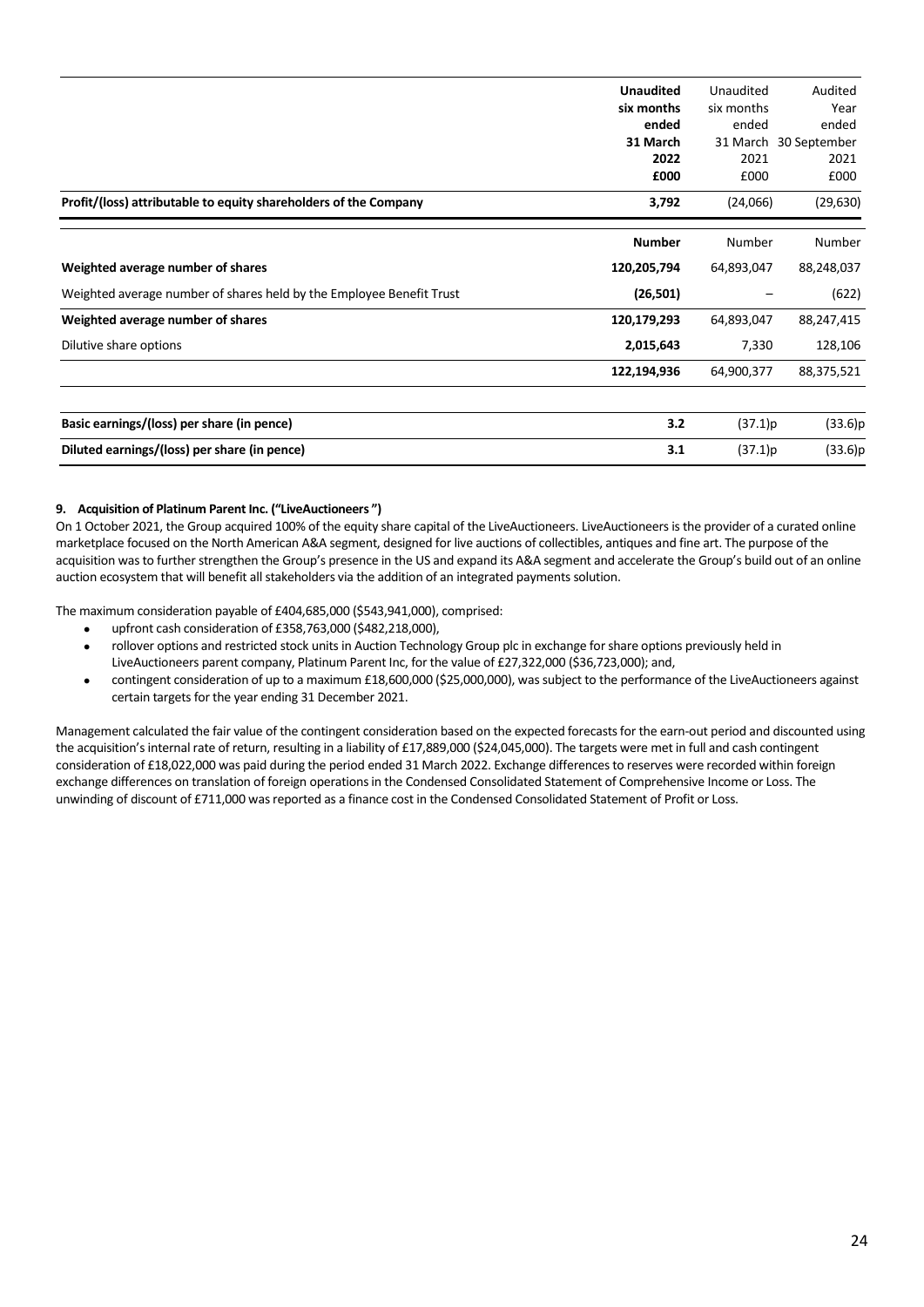|                                                                      | <b>Unaudited</b><br>six months<br>ended<br>31 March<br>2022<br>£000 | Unaudited<br>six months<br>ended<br>2021<br>£000 | Audited<br>Year<br>ended<br>31 March 30 September<br>2021<br>£000 |
|----------------------------------------------------------------------|---------------------------------------------------------------------|--------------------------------------------------|-------------------------------------------------------------------|
| Profit/(loss) attributable to equity shareholders of the Company     | 3,792                                                               | (24,066)                                         | (29, 630)                                                         |
|                                                                      | <b>Number</b>                                                       | Number                                           | Number                                                            |
| Weighted average number of shares                                    | 120,205,794                                                         | 64,893,047                                       | 88,248,037                                                        |
| Weighted average number of shares held by the Employee Benefit Trust | (26, 501)                                                           |                                                  | (622)                                                             |
| Weighted average number of shares                                    | 120,179,293                                                         | 64,893,047                                       | 88,247,415                                                        |
| Dilutive share options                                               | 2,015,643                                                           | 7,330                                            | 128,106                                                           |
|                                                                      | 122,194,936                                                         | 64,900,377                                       | 88,375,521                                                        |
|                                                                      |                                                                     |                                                  |                                                                   |
| Basic earnings/(loss) per share (in pence)                           | 3.2                                                                 | (37.1)p                                          | (33.6)p                                                           |
| Diluted earnings/(loss) per share (in pence)                         | 3.1                                                                 | (37.1)p                                          | (33.6)p                                                           |

# **9. Acquisition of Platinum Parent Inc. ("LiveAuctioneers ")**

On 1 October 2021, the Group acquired 100% of the equity share capital of the LiveAuctioneers. LiveAuctioneers is the provider of a curated online marketplace focused on the North American A&A segment, designed for live auctions of collectibles, antiques and fine art. The purpose of the acquisition was to further strengthen the Group's presence in the US and expand its A&A segment and accelerate the Group's build out of an online auction ecosystem that will benefit all stakeholders via the addition of an integrated payments solution.

The maximum consideration payable of £404,685,000 (\$543,941,000), comprised:

- upfront cash consideration of £358,763,000 (\$482,218,000),
- rollover options and restricted stock units in Auction Technology Group plc in exchange for share options previously held in LiveAuctioneers parent company, Platinum Parent Inc, for the value of £27,322,000 (\$36,723,000); and,
- contingent consideration of up to a maximum £18,600,000 (\$25,000,000), was subject to the performance of the LiveAuctioneers against certain targets for the year ending 31 December 2021.

Management calculated the fair value of the contingent consideration based on the expected forecasts for the earn-out period and discounted using the acquisition's internal rate of return, resulting in a liability of £17,889,000 (\$24,045,000). The targets were met in full and cash contingent consideration of £18,022,000 was paid during the period ended 31 March 2022. Exchange differences to reserves were recorded within foreign exchange differences on translation of foreign operations in the Condensed Consolidated Statement of Comprehensive Income or Loss. The unwinding of discount of £711,000 was reported as a finance cost in the Condensed Consolidated Statement of Profit or Loss.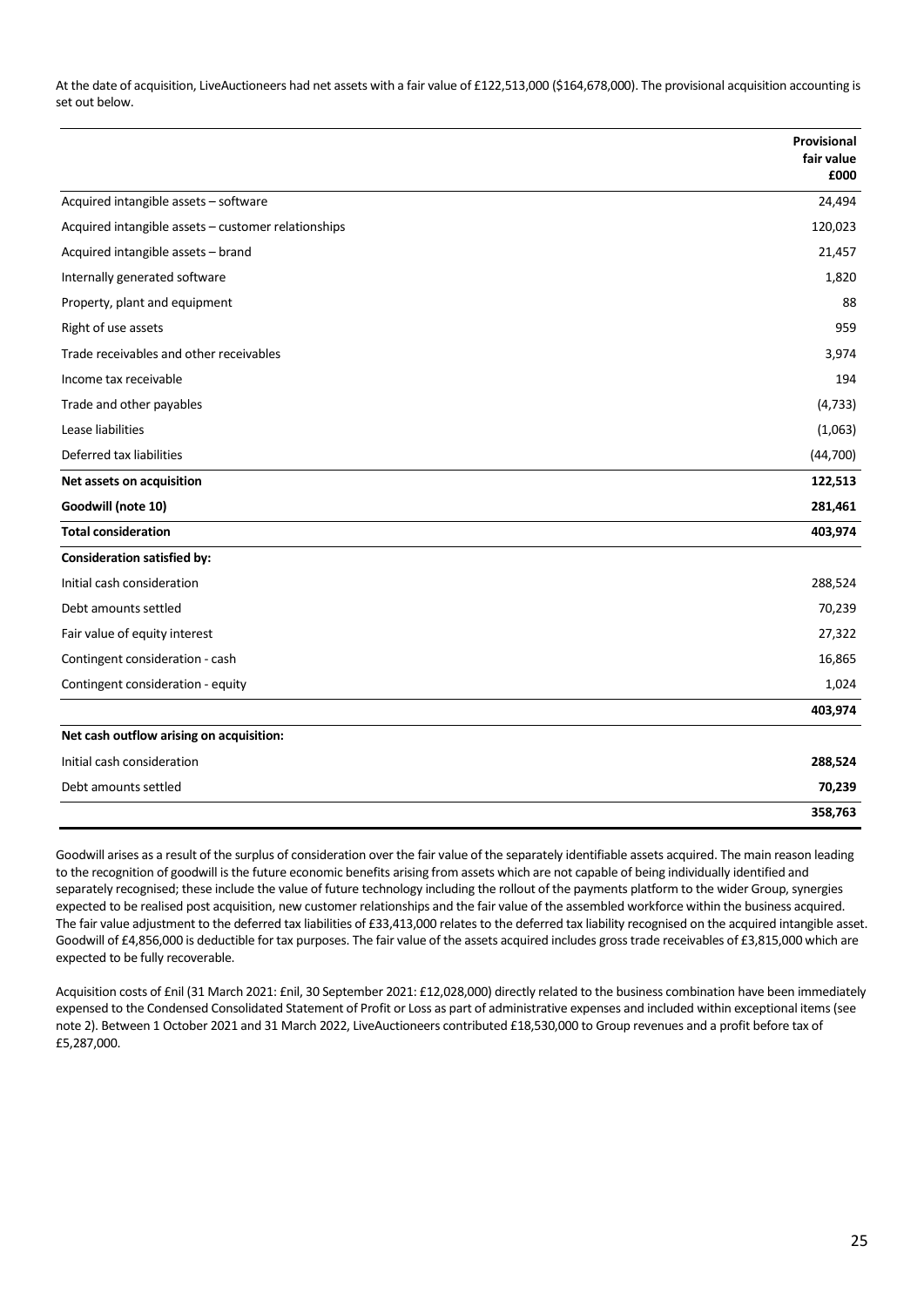At the date of acquisition, LiveAuctioneers had net assets with a fair value of £122,513,000 (\$164,678,000). The provisional acquisition accounting is set out below.

|                                                     | Provisional<br>fair value<br>£000 |
|-----------------------------------------------------|-----------------------------------|
| Acquired intangible assets - software               | 24,494                            |
| Acquired intangible assets - customer relationships | 120,023                           |
| Acquired intangible assets - brand                  | 21,457                            |
| Internally generated software                       | 1,820                             |
| Property, plant and equipment                       | 88                                |
| Right of use assets                                 | 959                               |
| Trade receivables and other receivables             | 3,974                             |
| Income tax receivable                               | 194                               |
| Trade and other payables                            | (4, 733)                          |
| Lease liabilities                                   | (1,063)                           |
| Deferred tax liabilities                            | (44, 700)                         |
| Net assets on acquisition                           | 122,513                           |
| Goodwill (note 10)                                  | 281,461                           |
| <b>Total consideration</b>                          | 403,974                           |
| <b>Consideration satisfied by:</b>                  |                                   |
| Initial cash consideration                          | 288,524                           |
| Debt amounts settled                                | 70,239                            |
| Fair value of equity interest                       | 27,322                            |
| Contingent consideration - cash                     | 16,865                            |
| Contingent consideration - equity                   | 1,024                             |
|                                                     | 403,974                           |
| Net cash outflow arising on acquisition:            |                                   |
| Initial cash consideration                          | 288,524                           |
| Debt amounts settled                                | 70,239                            |
|                                                     | 358,763                           |

Goodwill arises as a result of the surplus of consideration over the fair value of the separately identifiable assets acquired. The main reason leading to the recognition of goodwill is the future economic benefits arising from assets which are not capable of being individually identified and separately recognised; these include the value of future technology including the rollout of the payments platform to the wider Group, synergies expected to be realised post acquisition, new customer relationships and the fair value of the assembled workforce within the business acquired. The fair value adjustment to the deferred tax liabilities of £33,413,000 relates to the deferred tax liability recognised on the acquired intangible asset. Goodwill of £4,856,000 is deductible for tax purposes. The fair value of the assets acquired includes gross trade receivables of £3,815,000 which are expected to be fully recoverable.

Acquisition costs of £nil (31 March 2021: £nil, 30 September 2021: £12,028,000) directly related to the business combination have been immediately expensed to the Condensed Consolidated Statement of Profit or Loss as part of administrative expenses and included within exceptional items (see note 2). Between 1 October 2021 and 31 March 2022, LiveAuctioneers contributed £18,530,000 to Group revenues and a profit before tax of £5,287,000.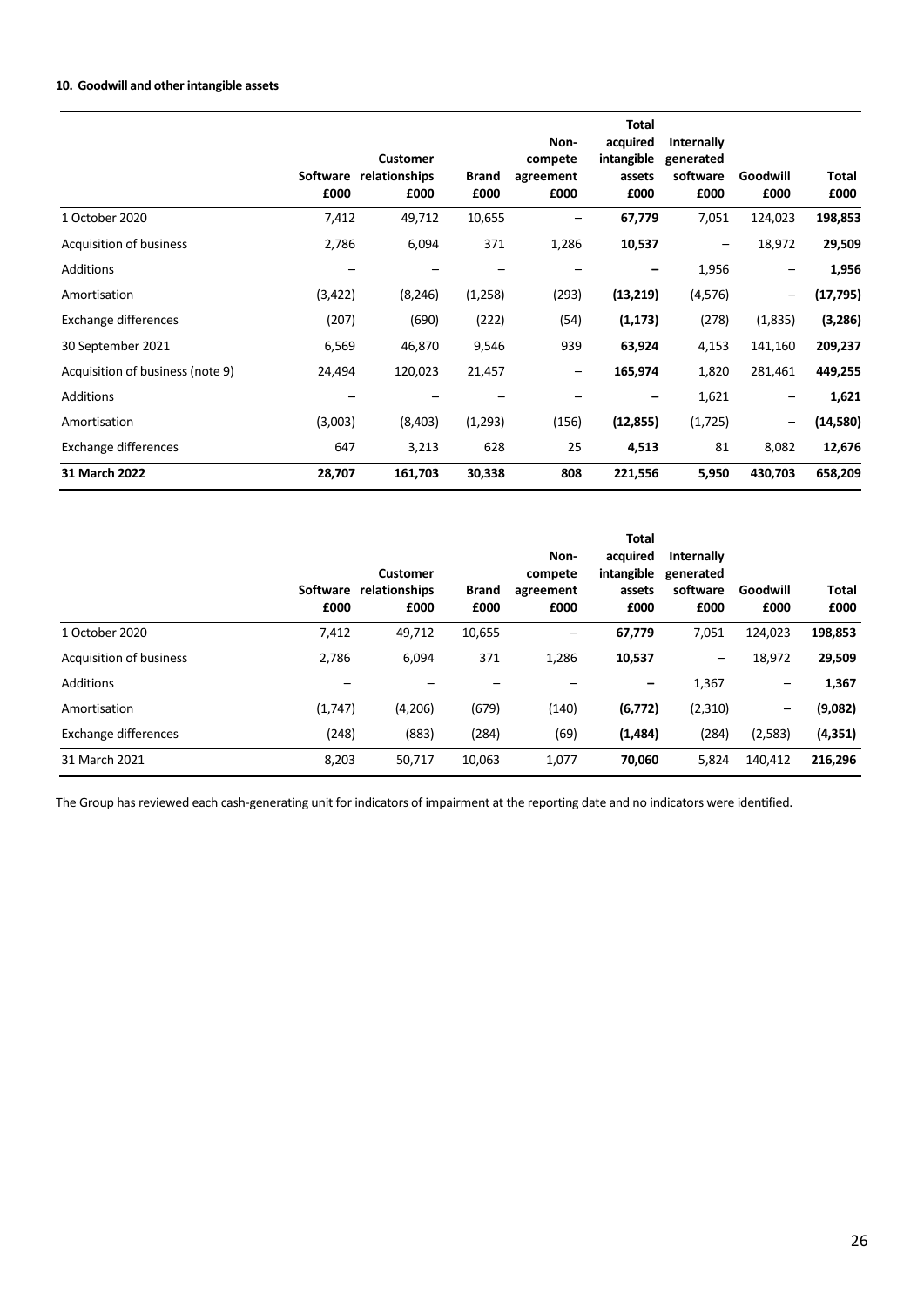# **10. Goodwill and other intangible assets**

|                                  | <b>Software</b><br>£000 | <b>Customer</b><br>relationships<br>£000 | <b>Brand</b><br>£000 | Non-<br>compete<br>agreement<br>£000 | <b>Total</b><br>acquired<br>intangible<br>assets<br>£000 | <b>Internally</b><br>generated<br>software<br>£000 | Goodwill<br>£000  | Total<br>£000 |
|----------------------------------|-------------------------|------------------------------------------|----------------------|--------------------------------------|----------------------------------------------------------|----------------------------------------------------|-------------------|---------------|
| 1 October 2020                   | 7,412                   | 49,712                                   | 10,655               |                                      | 67,779                                                   | 7,051                                              | 124,023           | 198,853       |
| Acquisition of business          | 2,786                   | 6,094                                    | 371                  | 1,286                                | 10,537                                                   | $\qquad \qquad -$                                  | 18,972            | 29,509        |
| Additions                        |                         |                                          |                      |                                      |                                                          | 1,956                                              | $\qquad \qquad -$ | 1,956         |
| Amortisation                     | (3,422)                 | (8, 246)                                 | (1,258)              | (293)                                | (13,219)                                                 | (4,576)                                            | $\qquad \qquad -$ | (17, 795)     |
| Exchange differences             | (207)                   | (690)                                    | (222)                | (54)                                 | (1, 173)                                                 | (278)                                              | (1,835)           | (3, 286)      |
| 30 September 2021                | 6,569                   | 46,870                                   | 9,546                | 939                                  | 63,924                                                   | 4,153                                              | 141,160           | 209,237       |
| Acquisition of business (note 9) | 24,494                  | 120,023                                  | 21,457               | $\qquad \qquad -$                    | 165,974                                                  | 1,820                                              | 281,461           | 449,255       |
| <b>Additions</b>                 |                         |                                          |                      |                                      |                                                          | 1,621                                              | $\qquad \qquad -$ | 1,621         |
| Amortisation                     | (3,003)                 | (8,403)                                  | (1,293)              | (156)                                | (12, 855)                                                | (1,725)                                            | -                 | (14, 580)     |
| Exchange differences             | 647                     | 3,213                                    | 628                  | 25                                   | 4,513                                                    | 81                                                 | 8,082             | 12,676        |
| 31 March 2022                    | 28,707                  | 161,703                                  | 30,338               | 808                                  | 221,556                                                  | 5,950                                              | 430,703           | 658,209       |

|                         | Software<br>£000 | <b>Customer</b><br>relationships<br>£000 | <b>Brand</b><br>£000 | Non-<br>compete<br>agreement<br>£000 | <b>Total</b><br>acquired<br>intangible<br>assets<br>£000 | Internally<br>generated<br>software<br>£000 | Goodwill<br>£000         | Total<br>£000 |
|-------------------------|------------------|------------------------------------------|----------------------|--------------------------------------|----------------------------------------------------------|---------------------------------------------|--------------------------|---------------|
| 1 October 2020          | 7,412            | 49,712                                   | 10,655               | —                                    | 67,779                                                   | 7,051                                       | 124,023                  | 198,853       |
| Acquisition of business | 2,786            | 6,094                                    | 371                  | 1,286                                | 10,537                                                   | $\overline{\phantom{m}}$                    | 18,972                   | 29,509        |
| <b>Additions</b>        |                  |                                          |                      |                                      | -                                                        | 1,367                                       | $\overline{\phantom{m}}$ | 1,367         |
| Amortisation            | (1,747)          | (4,206)                                  | (679)                | (140)                                | (6, 772)                                                 | (2,310)                                     | $\overline{\phantom{m}}$ | (9,082)       |
| Exchange differences    | (248)            | (883)                                    | (284)                | (69)                                 | (1,484)                                                  | (284)                                       | (2,583)                  | (4, 351)      |
| 31 March 2021           | 8,203            | 50,717                                   | 10,063               | 1,077                                | 70,060                                                   | 5,824                                       | 140,412                  | 216,296       |

The Group has reviewed each cash-generating unit for indicators of impairment at the reporting date and no indicators were identified.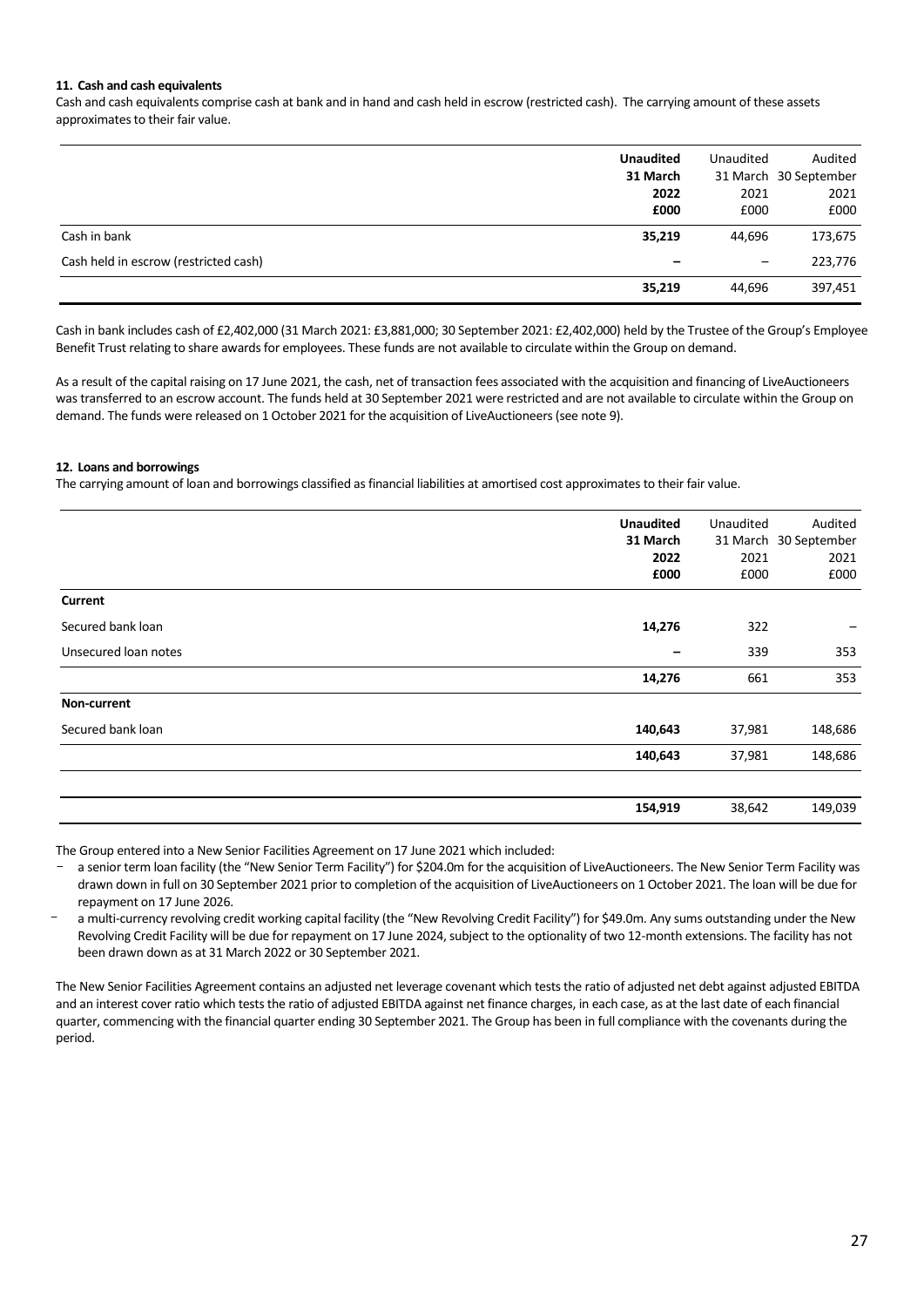# **11. Cash and cash equivalents**

Cash and cash equivalents comprise cash at bank and in hand and cash held in escrow (restricted cash). The carrying amount of these assets approximates to their fair value.

|                                       | <b>Unaudited</b><br>31 March<br>2022<br>£000 | Unaudited<br>2021<br>£000 | Audited<br>31 March 30 September<br>2021<br>£000 |
|---------------------------------------|----------------------------------------------|---------------------------|--------------------------------------------------|
| Cash in bank                          | 35,219                                       | 44.696                    | 173,675                                          |
| Cash held in escrow (restricted cash) | -                                            | $\qquad \qquad -$         | 223,776                                          |
|                                       | 35,219                                       | 44.696                    | 397,451                                          |

Cash in bank includes cash of £2,402,000 (31 March 2021: £3,881,000; 30 September 2021: £2,402,000) held by the Trustee of the Group's Employee Benefit Trust relating to share awards for employees. These funds are not available to circulate within the Group on demand.

As a result of the capital raising on 17 June 2021, the cash, net of transaction fees associated with the acquisition and financing of LiveAuctioneers was transferred to an escrow account. The funds held at 30 September 2021 were restricted and are not available to circulate within the Group on demand. The funds were released on 1 October 2021 for the acquisition of LiveAuctioneers (see note 9).

# **12. Loans and borrowings**

The carrying amount of loan and borrowings classified as financial liabilities at amortised cost approximates to their fair value.

|                      | <b>Unaudited</b><br>31 March<br>2022 | Unaudited<br>2021 | Audited<br>31 March 30 September<br>2021 |
|----------------------|--------------------------------------|-------------------|------------------------------------------|
|                      | £000                                 | £000              | £000                                     |
| <b>Current</b>       |                                      |                   |                                          |
| Secured bank loan    | 14,276                               | 322               | -                                        |
| Unsecured loan notes |                                      | 339               | 353                                      |
|                      | 14,276                               | 661               | 353                                      |
| Non-current          |                                      |                   |                                          |
| Secured bank loan    | 140,643                              | 37,981            | 148,686                                  |
|                      | 140,643                              | 37,981            | 148,686                                  |
|                      |                                      |                   |                                          |
|                      | 154,919                              | 38,642            | 149,039                                  |

The Group entered into a New Senior Facilities Agreement on 17 June 2021 which included:

a senior term loan facility (the "New Senior Term Facility") for \$204.0m for the acquisition of LiveAuctioneers. The New Senior Term Facility was drawn down in full on 30 September 2021 prior to completion of the acquisition of LiveAuctioneers on 1 October 2021. The loan will be due for repayment on 17 June 2026.

a multi-currency revolving credit working capital facility (the "New Revolving Credit Facility") for \$49.0m. Any sums outstanding under the New Revolving Credit Facility will be due for repayment on 17 June 2024, subject to the optionality of two 12-month extensions. The facility has not been drawn down as at 31 March 2022 or 30 September 2021.

The New Senior Facilities Agreement contains an adjusted net leverage covenant which tests the ratio of adjusted net debt against adjusted EBITDA and an interest cover ratio which tests the ratio of adjusted EBITDA against net finance charges, in each case, as at the last date of each financial quarter, commencing with the financial quarter ending 30 September 2021. The Group has been in full compliance with the covenants during the period.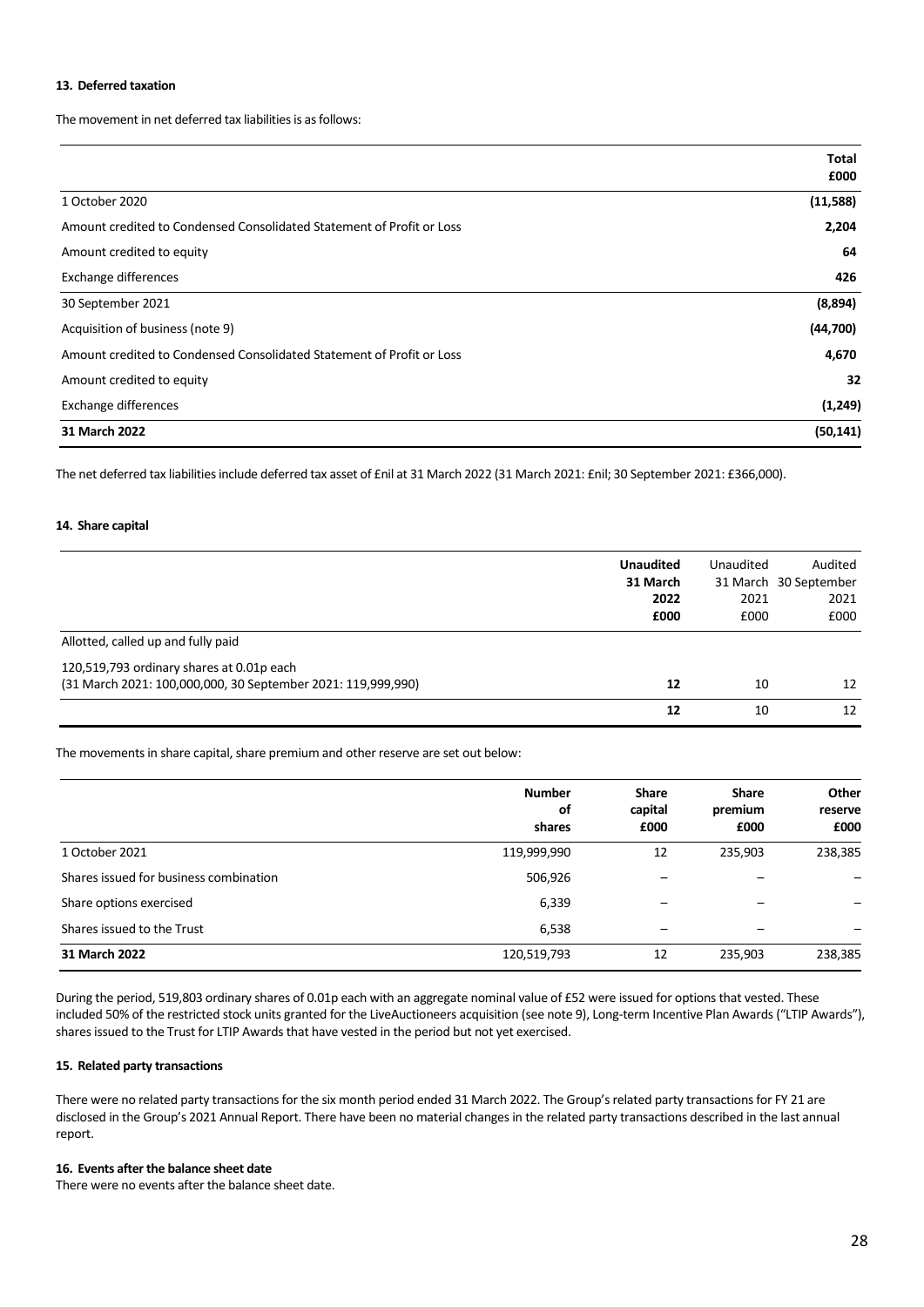# **13. Deferred taxation**

The movement in net deferred tax liabilities is as follows:

|                                                                       | Total     |
|-----------------------------------------------------------------------|-----------|
|                                                                       | £000      |
| 1 October 2020                                                        | (11,588)  |
| Amount credited to Condensed Consolidated Statement of Profit or Loss | 2,204     |
| Amount credited to equity                                             | 64        |
| <b>Exchange differences</b>                                           | 426       |
| 30 September 2021                                                     | (8,894)   |
| Acquisition of business (note 9)                                      | (44, 700) |
| Amount credited to Condensed Consolidated Statement of Profit or Loss | 4,670     |
| Amount credited to equity                                             | 32        |
| <b>Exchange differences</b>                                           | (1, 249)  |
| 31 March 2022                                                         | (50, 141) |

The net deferred tax liabilities include deferred tax asset of £nil at 31 March 2022 (31 March 2021: £nil; 30 September 2021: £366,000).

#### **14. Share capital**

|                                                              | <b>Unaudited</b> | Unaudited | Audited               |
|--------------------------------------------------------------|------------------|-----------|-----------------------|
|                                                              | 31 March         |           | 31 March 30 September |
|                                                              | 2022             | 2021      | 2021                  |
|                                                              | £000             | £000      | £000                  |
| Allotted, called up and fully paid                           |                  |           |                       |
| 120,519,793 ordinary shares at 0.01p each                    |                  |           |                       |
| (31 March 2021: 100,000,000, 30 September 2021: 119,999,990) | 12               | 10        | 12                    |
|                                                              | 12               | 10        | 12                    |
|                                                              |                  |           |                       |

The movements in share capital, share premium and other reserve are set out below:

|                                        | <b>Number</b><br>of<br>shares | <b>Share</b><br>capital<br>£000 | <b>Share</b><br>premium<br>£000 | Other<br>reserve<br>£000 |
|----------------------------------------|-------------------------------|---------------------------------|---------------------------------|--------------------------|
| 1 October 2021                         | 119,999,990                   | 12                              | 235,903                         | 238,385                  |
| Shares issued for business combination | 506,926                       | -                               |                                 |                          |
| Share options exercised                | 6,339                         |                                 |                                 | -                        |
| Shares issued to the Trust             | 6,538                         | -                               |                                 |                          |
| 31 March 2022                          | 120,519,793                   | 12                              | 235,903                         | 238,385                  |

During the period, 519,803 ordinary shares of 0.01p each with an aggregate nominal value of £52 were issued for options that vested. These included 50% of the restricted stock units granted for the LiveAuctioneers acquisition (see note 9), Long-term Incentive Plan Awards("LTIP Awards"), shares issued to the Trust for LTIP Awards that have vested in the period but not yet exercised.

# **15. Related party transactions**

There were no related party transactions for the six month period ended 31 March 2022. The Group's related party transactions for FY 21 are disclosed in the Group's 2021 Annual Report. There have been no material changes in the related party transactions described in the last annual report.

# **16. Events after the balance sheet date**

There were no events after the balance sheet date.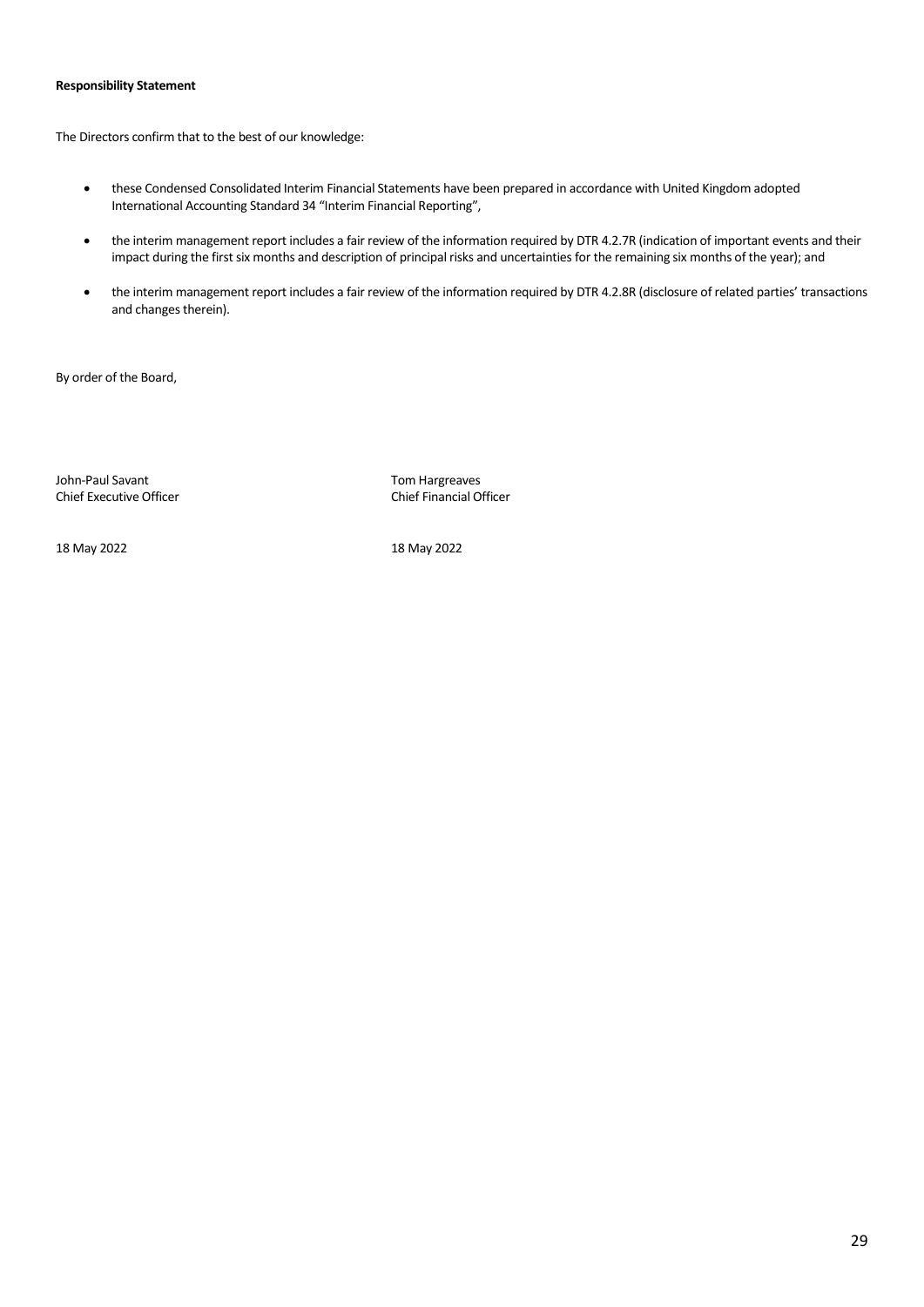# **Responsibility Statement**

The Directors confirm that to the best of our knowledge:

- these Condensed Consolidated Interim Financial Statements have been prepared in accordance with United Kingdom adopted International Accounting Standard 34 "Interim Financial Reporting",
- the interim management report includes a fair review of the information required by DTR 4.2.7R (indication of important events and their impact during the first six months and description of principal risks and uncertainties for the remaining six months of the year); and
- the interim management report includes a fair review of the information required by DTR 4.2.8R (disclosure of related parties' transactions and changes therein).

By order of the Board,

John-Paul Savant Tom Hargreaves Chief Executive Officer Chief Financial Officer

18 May 2022 18 May 2022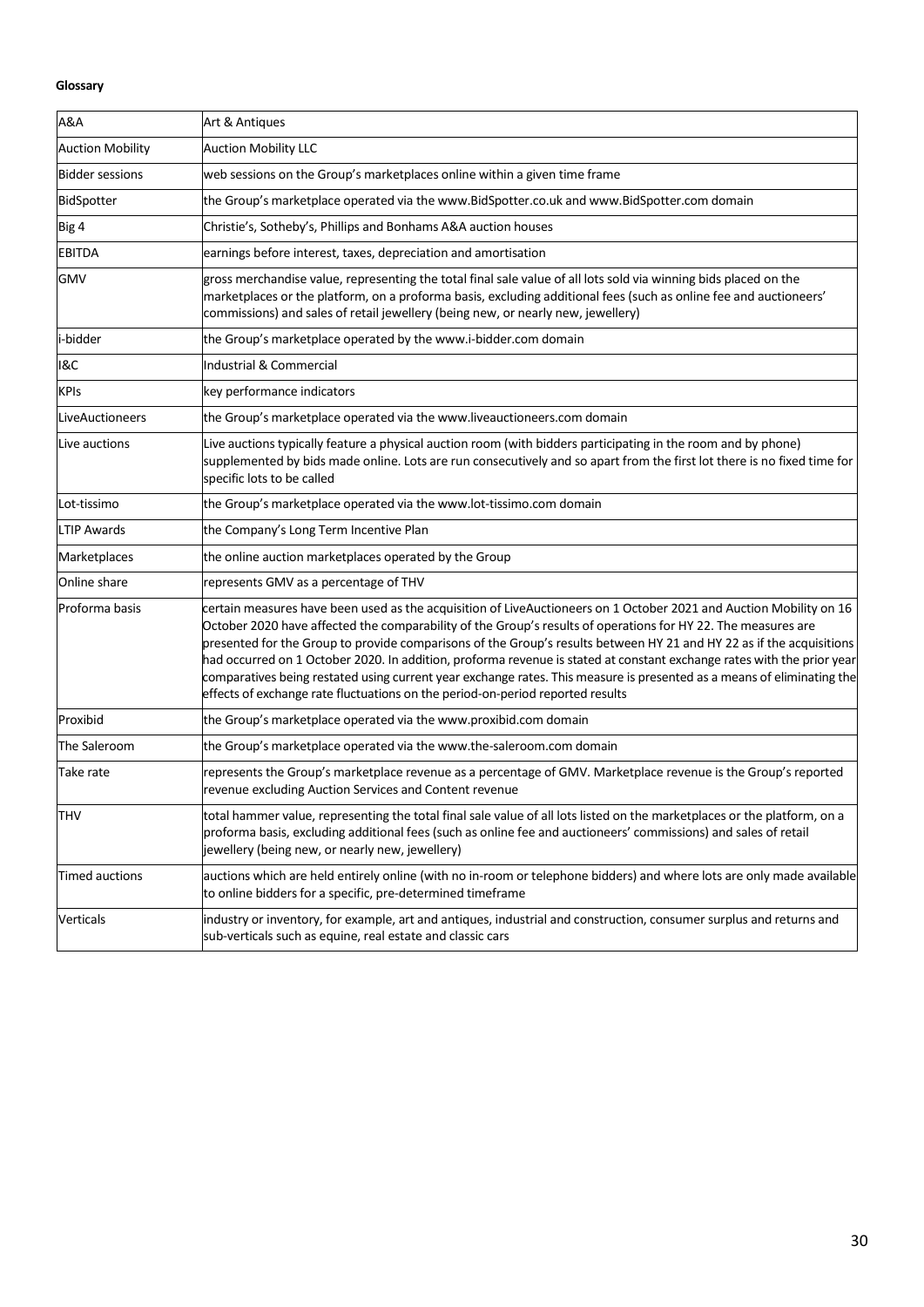# **Glossary**

| A&A                     | Art & Antiques                                                                                                                                                                                                                                                                                                                                                                                                                                                                                                                                                                                                                                                                                    |
|-------------------------|---------------------------------------------------------------------------------------------------------------------------------------------------------------------------------------------------------------------------------------------------------------------------------------------------------------------------------------------------------------------------------------------------------------------------------------------------------------------------------------------------------------------------------------------------------------------------------------------------------------------------------------------------------------------------------------------------|
| <b>Auction Mobility</b> | <b>Auction Mobility LLC</b>                                                                                                                                                                                                                                                                                                                                                                                                                                                                                                                                                                                                                                                                       |
| <b>Bidder sessions</b>  | web sessions on the Group's marketplaces online within a given time frame                                                                                                                                                                                                                                                                                                                                                                                                                                                                                                                                                                                                                         |
| BidSpotter              | the Group's marketplace operated via the www.BidSpotter.co.uk and www.BidSpotter.com domain                                                                                                                                                                                                                                                                                                                                                                                                                                                                                                                                                                                                       |
| Big 4                   | Christie's, Sotheby's, Phillips and Bonhams A&A auction houses                                                                                                                                                                                                                                                                                                                                                                                                                                                                                                                                                                                                                                    |
| <b>EBITDA</b>           | earnings before interest, taxes, depreciation and amortisation                                                                                                                                                                                                                                                                                                                                                                                                                                                                                                                                                                                                                                    |
| <b>GMV</b>              | gross merchandise value, representing the total final sale value of all lots sold via winning bids placed on the<br>marketplaces or the platform, on a proforma basis, excluding additional fees (such as online fee and auctioneers'<br>commissions) and sales of retail jewellery (being new, or nearly new, jewellery)                                                                                                                                                                                                                                                                                                                                                                         |
| i-bidder                | the Group's marketplace operated by the www.i-bidder.com domain                                                                                                                                                                                                                                                                                                                                                                                                                                                                                                                                                                                                                                   |
| I&C                     | <b>Industrial &amp; Commercial</b>                                                                                                                                                                                                                                                                                                                                                                                                                                                                                                                                                                                                                                                                |
| <b>KPIs</b>             | key performance indicators                                                                                                                                                                                                                                                                                                                                                                                                                                                                                                                                                                                                                                                                        |
| LiveAuctioneers         | the Group's marketplace operated via the www.liveauctioneers.com domain                                                                                                                                                                                                                                                                                                                                                                                                                                                                                                                                                                                                                           |
| Live auctions           | Live auctions typically feature a physical auction room (with bidders participating in the room and by phone)<br>supplemented by bids made online. Lots are run consecutively and so apart from the first lot there is no fixed time for<br>specific lots to be called                                                                                                                                                                                                                                                                                                                                                                                                                            |
| Lot-tissimo             | the Group's marketplace operated via the www.lot-tissimo.com domain                                                                                                                                                                                                                                                                                                                                                                                                                                                                                                                                                                                                                               |
| <b>LTIP Awards</b>      | the Company's Long Term Incentive Plan                                                                                                                                                                                                                                                                                                                                                                                                                                                                                                                                                                                                                                                            |
| Marketplaces            | the online auction marketplaces operated by the Group                                                                                                                                                                                                                                                                                                                                                                                                                                                                                                                                                                                                                                             |
| Online share            | represents GMV as a percentage of THV                                                                                                                                                                                                                                                                                                                                                                                                                                                                                                                                                                                                                                                             |
| Proforma basis          | certain measures have been used as the acquisition of LiveAuctioneers on 1 October 2021 and Auction Mobility on 16<br>October 2020 have affected the comparability of the Group's results of operations for HY 22. The measures are<br>presented for the Group to provide comparisons of the Group's results between HY 21 and HY 22 as if the acquisitions<br>had occurred on 1 October 2020. In addition, proforma revenue is stated at constant exchange rates with the prior year<br>comparatives being restated using current year exchange rates. This measure is presented as a means of eliminating the<br>effects of exchange rate fluctuations on the period-on-period reported results |
| Proxibid                | the Group's marketplace operated via the www.proxibid.com domain                                                                                                                                                                                                                                                                                                                                                                                                                                                                                                                                                                                                                                  |
| The Saleroom            | the Group's marketplace operated via the www.the-saleroom.com domain                                                                                                                                                                                                                                                                                                                                                                                                                                                                                                                                                                                                                              |
| Take rate               | represents the Group's marketplace revenue as a percentage of GMV. Marketplace revenue is the Group's reported<br>revenue excluding Auction Services and Content revenue                                                                                                                                                                                                                                                                                                                                                                                                                                                                                                                          |
| <b>THV</b>              | total hammer value, representing the total final sale value of all lots listed on the marketplaces or the platform, on a<br>proforma basis, excluding additional fees (such as online fee and auctioneers' commissions) and sales of retail<br>jewellery (being new, or nearly new, jewellery)                                                                                                                                                                                                                                                                                                                                                                                                    |
| <b>Timed auctions</b>   | auctions which are held entirely online (with no in-room or telephone bidders) and where lots are only made available<br>to online bidders for a specific, pre-determined timeframe                                                                                                                                                                                                                                                                                                                                                                                                                                                                                                               |
| Verticals               | industry or inventory, for example, art and antiques, industrial and construction, consumer surplus and returns and<br>sub-verticals such as equine, real estate and classic cars                                                                                                                                                                                                                                                                                                                                                                                                                                                                                                                 |